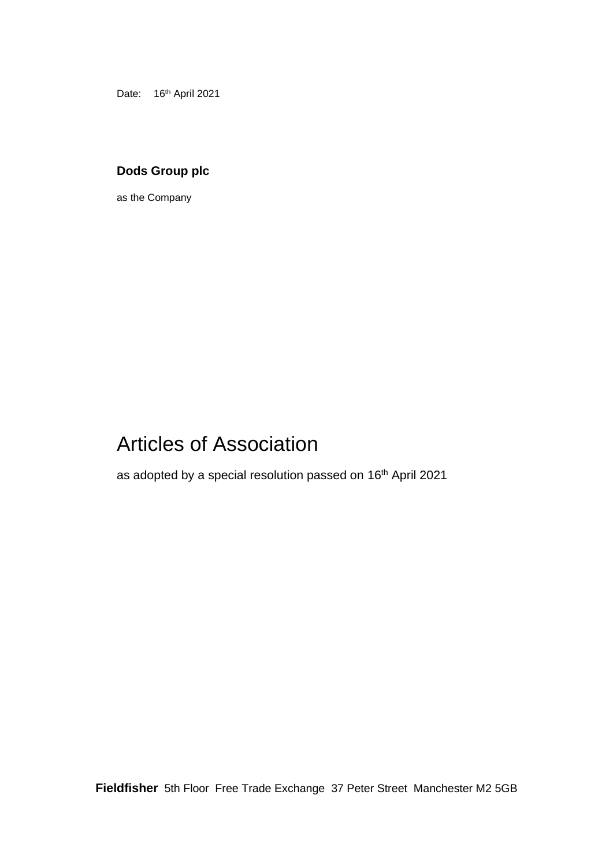Date: 16<sup>th</sup> April 2021

# **Dods Group plc**

as the Company

# Articles of Association

as adopted by a special resolution passed on 16<sup>th</sup> April 2021

**Fieldfisher** 5th Floor Free Trade Exchange 37 Peter Street Manchester M2 5GB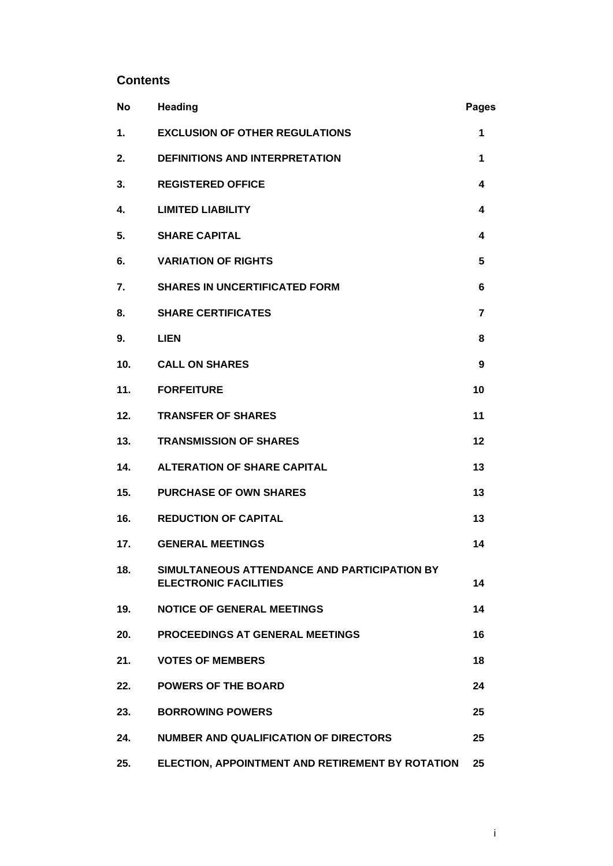# **Contents**

| <b>No</b> | <b>Heading</b>                                                               | <b>Pages</b> |
|-----------|------------------------------------------------------------------------------|--------------|
| 1.        | <b>EXCLUSION OF OTHER REGULATIONS</b>                                        | 1            |
| 2.        | <b>DEFINITIONS AND INTERPRETATION</b>                                        | 1            |
| 3.        | <b>REGISTERED OFFICE</b>                                                     | 4            |
| 4.        | <b>LIMITED LIABILITY</b>                                                     | 4            |
| 5.        | <b>SHARE CAPITAL</b>                                                         | 4            |
| 6.        | <b>VARIATION OF RIGHTS</b>                                                   | 5            |
| 7.        | <b>SHARES IN UNCERTIFICATED FORM</b>                                         | 6            |
| 8.        | <b>SHARE CERTIFICATES</b>                                                    | 7            |
| 9.        | <b>LIEN</b>                                                                  | 8            |
| 10.       | <b>CALL ON SHARES</b>                                                        | 9            |
| 11.       | <b>FORFEITURE</b>                                                            | 10           |
| 12.       | <b>TRANSFER OF SHARES</b>                                                    | 11           |
| 13.       | <b>TRANSMISSION OF SHARES</b>                                                | 12           |
| 14.       | <b>ALTERATION OF SHARE CAPITAL</b>                                           | 13           |
| 15.       | <b>PURCHASE OF OWN SHARES</b>                                                | 13           |
| 16.       | <b>REDUCTION OF CAPITAL</b>                                                  | 13           |
| 17.       | <b>GENERAL MEETINGS</b>                                                      | 14           |
| 18.       | SIMULTANEOUS ATTENDANCE AND PARTICIPATION BY<br><b>ELECTRONIC FACILITIES</b> | 14           |
| 19.       | <b>NOTICE OF GENERAL MEETINGS</b>                                            | 14           |
| 20.       | PROCEEDINGS AT GENERAL MEETINGS                                              | 16           |
| 21.       | <b>VOTES OF MEMBERS</b>                                                      | 18           |
| 22.       | <b>POWERS OF THE BOARD</b>                                                   | 24           |
| 23.       | <b>BORROWING POWERS</b>                                                      | 25           |
| 24.       | <b>NUMBER AND QUALIFICATION OF DIRECTORS</b>                                 | 25           |
| 25.       | ELECTION, APPOINTMENT AND RETIREMENT BY ROTATION                             | 25           |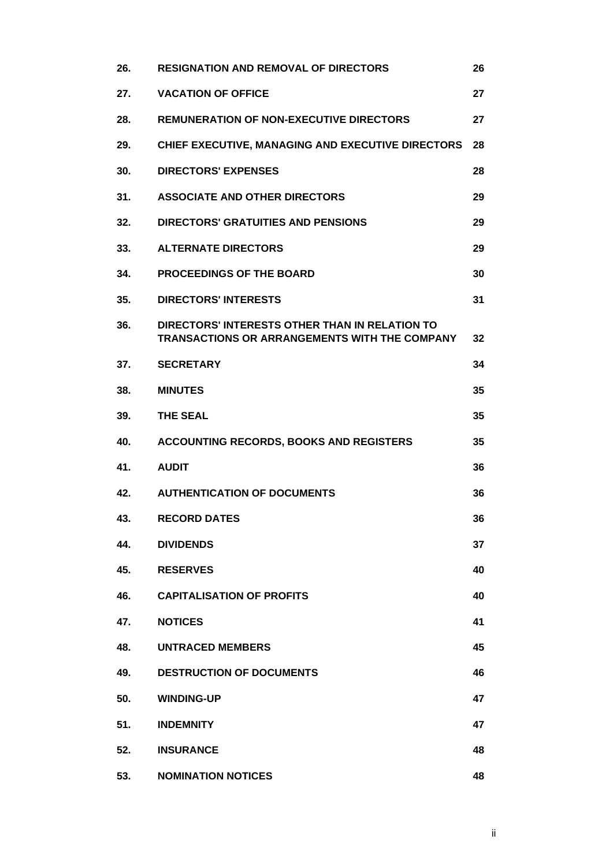| 26. | <b>RESIGNATION AND REMOVAL OF DIRECTORS</b>                                                     | 26 |
|-----|-------------------------------------------------------------------------------------------------|----|
| 27. | <b>VACATION OF OFFICE</b>                                                                       | 27 |
| 28. | <b>REMUNERATION OF NON-EXECUTIVE DIRECTORS</b>                                                  | 27 |
| 29. | CHIEF EXECUTIVE, MANAGING AND EXECUTIVE DIRECTORS                                               | 28 |
| 30. | <b>DIRECTORS' EXPENSES</b>                                                                      | 28 |
| 31. | <b>ASSOCIATE AND OTHER DIRECTORS</b>                                                            | 29 |
| 32. | <b>DIRECTORS' GRATUITIES AND PENSIONS</b>                                                       | 29 |
| 33. | <b>ALTERNATE DIRECTORS</b>                                                                      | 29 |
| 34. | <b>PROCEEDINGS OF THE BOARD</b>                                                                 | 30 |
| 35. | <b>DIRECTORS' INTERESTS</b>                                                                     | 31 |
| 36. | DIRECTORS' INTERESTS OTHER THAN IN RELATION TO<br>TRANSACTIONS OR ARRANGEMENTS WITH THE COMPANY | 32 |
| 37. | <b>SECRETARY</b>                                                                                | 34 |
| 38. | <b>MINUTES</b>                                                                                  | 35 |
| 39. | <b>THE SEAL</b>                                                                                 | 35 |
| 40. | <b>ACCOUNTING RECORDS, BOOKS AND REGISTERS</b>                                                  | 35 |
| 41. | <b>AUDIT</b>                                                                                    | 36 |
| 42. | <b>AUTHENTICATION OF DOCUMENTS</b>                                                              | 36 |
| 43. | <b>RECORD DATES</b>                                                                             | 36 |
| 44. | <b>DIVIDENDS</b>                                                                                | 37 |
| 45. | <b>RESERVES</b>                                                                                 | 40 |
| 46. | <b>CAPITALISATION OF PROFITS</b>                                                                | 40 |
| 47. | <b>NOTICES</b>                                                                                  | 41 |
| 48. | <b>UNTRACED MEMBERS</b>                                                                         | 45 |
| 49. | <b>DESTRUCTION OF DOCUMENTS</b>                                                                 | 46 |
| 50. | <b>WINDING-UP</b>                                                                               | 47 |
| 51. | <b>INDEMNITY</b>                                                                                | 47 |
| 52. | <b>INSURANCE</b>                                                                                | 48 |
| 53. | <b>NOMINATION NOTICES</b>                                                                       | 48 |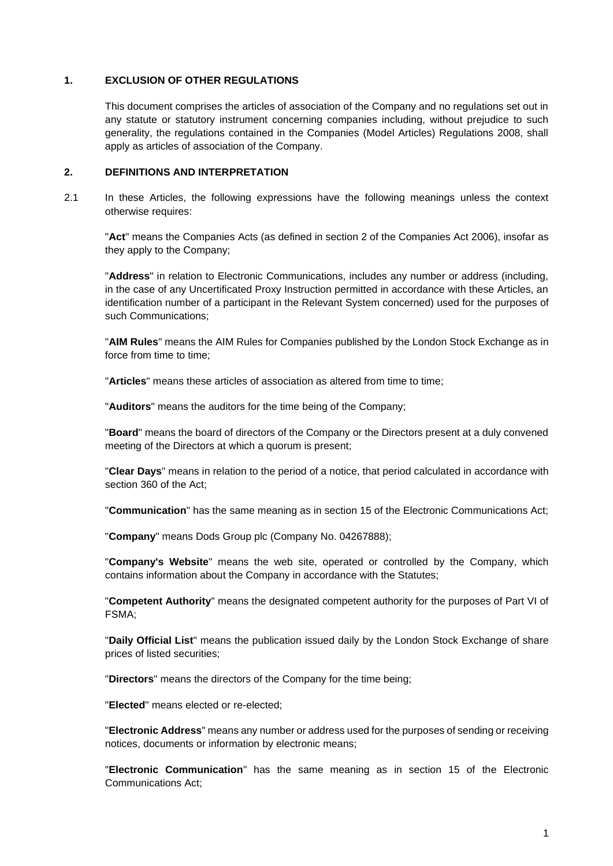#### **1. EXCLUSION OF OTHER REGULATIONS**

This document comprises the articles of association of the Company and no regulations set out in any statute or statutory instrument concerning companies including, without prejudice to such generality, the regulations contained in the Companies (Model Articles) Regulations 2008, shall apply as articles of association of the Company.

#### **2. DEFINITIONS AND INTERPRETATION**

2.1 In these Articles, the following expressions have the following meanings unless the context otherwise requires:

"**Act**" means the Companies Acts (as defined in section 2 of the Companies Act 2006), insofar as they apply to the Company;

"**Address**" in relation to Electronic Communications, includes any number or address (including, in the case of any Uncertificated Proxy Instruction permitted in accordance with these Articles, an identification number of a participant in the Relevant System concerned) used for the purposes of such Communications;

"**AIM Rules**" means the AIM Rules for Companies published by the London Stock Exchange as in force from time to time;

"**Articles**" means these articles of association as altered from time to time;

"**Auditors**" means the auditors for the time being of the Company;

"**Board**" means the board of directors of the Company or the Directors present at a duly convened meeting of the Directors at which a quorum is present;

"**Clear Days**" means in relation to the period of a notice, that period calculated in accordance with section 360 of the Act;

"**Communication**" has the same meaning as in section 15 of the Electronic Communications Act;

"**Company**" means Dods Group plc (Company No. 04267888);

"**Company's Website**" means the web site, operated or controlled by the Company, which contains information about the Company in accordance with the Statutes;

"**Competent Authority**" means the designated competent authority for the purposes of Part VI of FSMA;

"**Daily Official List**" means the publication issued daily by the London Stock Exchange of share prices of listed securities;

"**Directors**" means the directors of the Company for the time being;

"**Elected**" means elected or re-elected;

"**Electronic Address**" means any number or address used for the purposes of sending or receiving notices, documents or information by electronic means;

"**Electronic Communication**" has the same meaning as in section 15 of the Electronic Communications Act;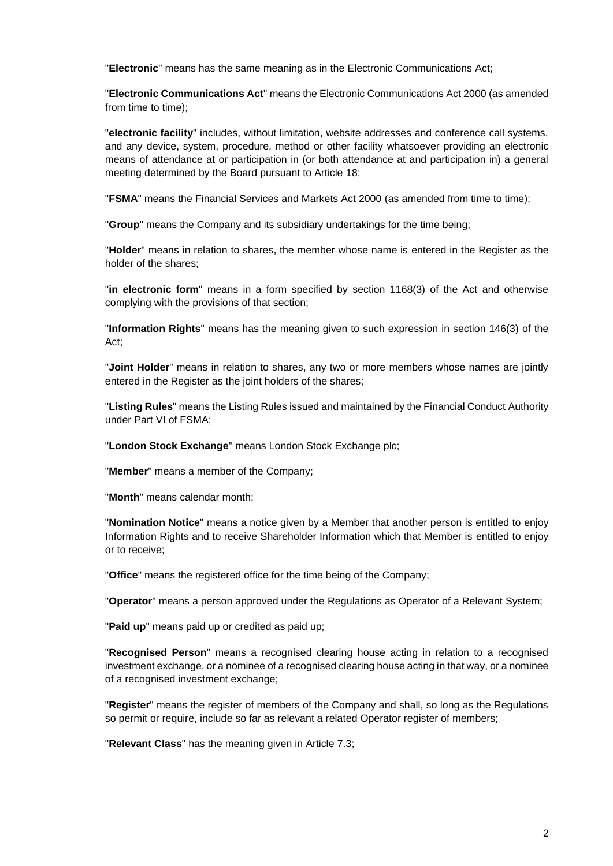"**Electronic**" means has the same meaning as in the Electronic Communications Act;

"**Electronic Communications Act**" means the Electronic Communications Act 2000 (as amended from time to time);

"**electronic facility**" includes, without limitation, website addresses and conference call systems, and any device, system, procedure, method or other facility whatsoever providing an electronic means of attendance at or participation in (or both attendance at and participation in) a general meeting determined by the Board pursuant to Article [18;](#page-16-0)

"**FSMA**" means the Financial Services and Markets Act 2000 (as amended from time to time);

"**Group**" means the Company and its subsidiary undertakings for the time being;

"**Holder**" means in relation to shares, the member whose name is entered in the Register as the holder of the shares;

"**in electronic form**" means in a form specified by section 1168(3) of the Act and otherwise complying with the provisions of that section;

"**Information Rights**" means has the meaning given to such expression in section 146(3) of the Act;

"**Joint Holder**" means in relation to shares, any two or more members whose names are jointly entered in the Register as the joint holders of the shares;

"**Listing Rules**" means the Listing Rules issued and maintained by the Financial Conduct Authority under Part VI of FSMA;

"**London Stock Exchange**" means London Stock Exchange plc;

"**Member**" means a member of the Company;

"**Month**" means calendar month;

"**Nomination Notice**" means a notice given by a Member that another person is entitled to enjoy Information Rights and to receive Shareholder Information which that Member is entitled to enjoy or to receive;

"**Office**" means the registered office for the time being of the Company;

"**Operator**" means a person approved under the Regulations as Operator of a Relevant System;

"**Paid up**" means paid up or credited as paid up;

"**Recognised Person**" means a recognised clearing house acting in relation to a recognised investment exchange, or a nominee of a recognised clearing house acting in that way, or a nominee of a recognised investment exchange;

"**Register**" means the register of members of the Company and shall, so long as the Regulations so permit or require, include so far as relevant a related Operator register of members;

"**Relevant Class**" has the meaning given in Article [7.3;](#page-9-0)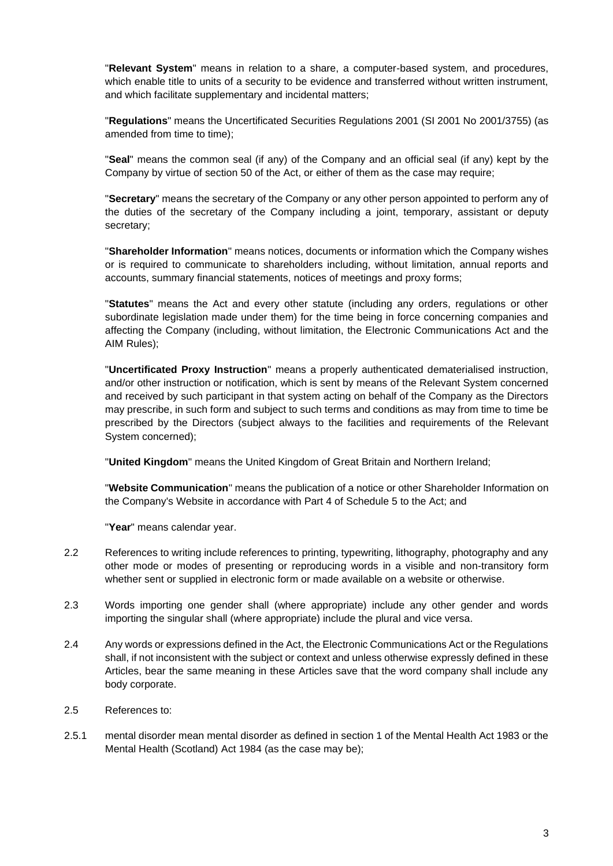"**Relevant System**" means in relation to a share, a computer-based system, and procedures, which enable title to units of a security to be evidence and transferred without written instrument, and which facilitate supplementary and incidental matters;

"**Regulations**" means the Uncertificated Securities Regulations 2001 (SI 2001 No 2001/3755) (as amended from time to time);

"**Seal**" means the common seal (if any) of the Company and an official seal (if any) kept by the Company by virtue of section 50 of the Act, or either of them as the case may require;

"**Secretary**" means the secretary of the Company or any other person appointed to perform any of the duties of the secretary of the Company including a joint, temporary, assistant or deputy secretary;

"**Shareholder Information**" means notices, documents or information which the Company wishes or is required to communicate to shareholders including, without limitation, annual reports and accounts, summary financial statements, notices of meetings and proxy forms;

"**Statutes**" means the Act and every other statute (including any orders, regulations or other subordinate legislation made under them) for the time being in force concerning companies and affecting the Company (including, without limitation, the Electronic Communications Act and the AIM Rules);

"**Uncertificated Proxy Instruction**" means a properly authenticated dematerialised instruction, and/or other instruction or notification, which is sent by means of the Relevant System concerned and received by such participant in that system acting on behalf of the Company as the Directors may prescribe, in such form and subject to such terms and conditions as may from time to time be prescribed by the Directors (subject always to the facilities and requirements of the Relevant System concerned);

"**United Kingdom**" means the United Kingdom of Great Britain and Northern Ireland;

"**Website Communication**" means the publication of a notice or other Shareholder Information on the Company's Website in accordance with Part 4 of Schedule 5 to the Act; and

"**Year**" means calendar year.

- 2.2 References to writing include references to printing, typewriting, lithography, photography and any other mode or modes of presenting or reproducing words in a visible and non-transitory form whether sent or supplied in electronic form or made available on a website or otherwise.
- 2.3 Words importing one gender shall (where appropriate) include any other gender and words importing the singular shall (where appropriate) include the plural and vice versa.
- 2.4 Any words or expressions defined in the Act, the Electronic Communications Act or the Regulations shall, if not inconsistent with the subject or context and unless otherwise expressly defined in these Articles, bear the same meaning in these Articles save that the word company shall include any body corporate.
- 2.5 References to:
- 2.5.1 mental disorder mean mental disorder as defined in section 1 of the Mental Health Act 1983 or the Mental Health (Scotland) Act 1984 (as the case may be);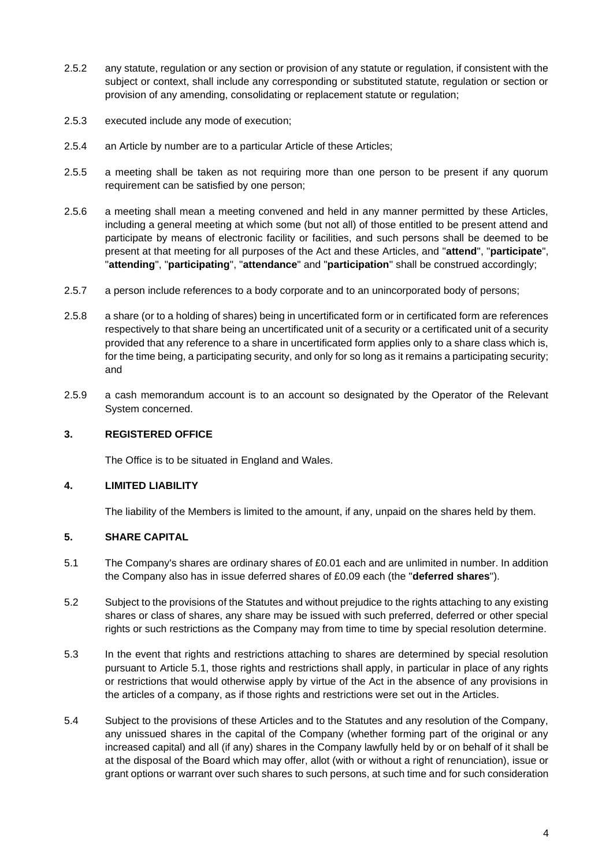- 2.5.2 any statute, regulation or any section or provision of any statute or regulation, if consistent with the subject or context, shall include any corresponding or substituted statute, regulation or section or provision of any amending, consolidating or replacement statute or regulation;
- 2.5.3 executed include any mode of execution;
- 2.5.4 an Article by number are to a particular Article of these Articles;
- 2.5.5 a meeting shall be taken as not requiring more than one person to be present if any quorum requirement can be satisfied by one person;
- 2.5.6 a meeting shall mean a meeting convened and held in any manner permitted by these Articles, including a general meeting at which some (but not all) of those entitled to be present attend and participate by means of electronic facility or facilities, and such persons shall be deemed to be present at that meeting for all purposes of the Act and these Articles, and "**attend**", "**participate**", "**attending**", "**participating**", "**attendance**" and "**participation**" shall be construed accordingly;
- 2.5.7 a person include references to a body corporate and to an unincorporated body of persons;
- 2.5.8 a share (or to a holding of shares) being in uncertificated form or in certificated form are references respectively to that share being an uncertificated unit of a security or a certificated unit of a security provided that any reference to a share in uncertificated form applies only to a share class which is, for the time being, a participating security, and only for so long as it remains a participating security; and
- 2.5.9 a cash memorandum account is to an account so designated by the Operator of the Relevant System concerned.

## **3. REGISTERED OFFICE**

The Office is to be situated in England and Wales.

# **4. LIMITED LIABILITY**

The liability of the Members is limited to the amount, if any, unpaid on the shares held by them.

# <span id="page-6-0"></span>**5. SHARE CAPITAL**

- 5.1 The Company's shares are ordinary shares of £0.01 each and are unlimited in number. In addition the Company also has in issue deferred shares of £0.09 each (the "**deferred shares**").
- 5.2 Subject to the provisions of the Statutes and without prejudice to the rights attaching to any existing shares or class of shares, any share may be issued with such preferred, deferred or other special rights or such restrictions as the Company may from time to time by special resolution determine.
- 5.3 In the event that rights and restrictions attaching to shares are determined by special resolution pursuant to Article [5.1,](#page-6-0) those rights and restrictions shall apply, in particular in place of any rights or restrictions that would otherwise apply by virtue of the Act in the absence of any provisions in the articles of a company, as if those rights and restrictions were set out in the Articles.
- 5.4 Subject to the provisions of these Articles and to the Statutes and any resolution of the Company, any unissued shares in the capital of the Company (whether forming part of the original or any increased capital) and all (if any) shares in the Company lawfully held by or on behalf of it shall be at the disposal of the Board which may offer, allot (with or without a right of renunciation), issue or grant options or warrant over such shares to such persons, at such time and for such consideration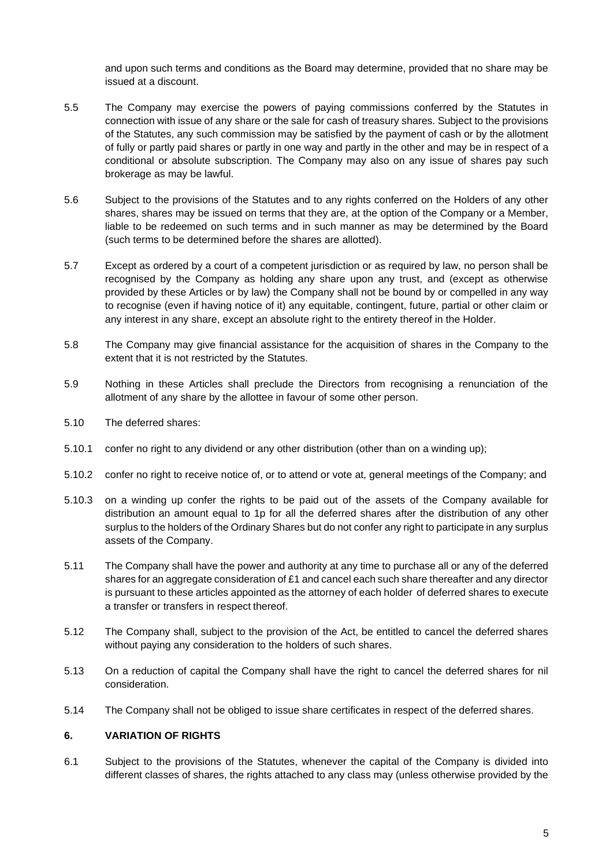and upon such terms and conditions as the Board may determine, provided that no share may be issued at a discount.

- 5.5 The Company may exercise the powers of paying commissions conferred by the Statutes in connection with issue of any share or the sale for cash of treasury shares. Subject to the provisions of the Statutes, any such commission may be satisfied by the payment of cash or by the allotment of fully or partly paid shares or partly in one way and partly in the other and may be in respect of a conditional or absolute subscription. The Company may also on any issue of shares pay such brokerage as may be lawful.
- 5.6 Subject to the provisions of the Statutes and to any rights conferred on the Holders of any other shares, shares may be issued on terms that they are, at the option of the Company or a Member, liable to be redeemed on such terms and in such manner as may be determined by the Board (such terms to be determined before the shares are allotted).
- 5.7 Except as ordered by a court of a competent jurisdiction or as required by law, no person shall be recognised by the Company as holding any share upon any trust, and (except as otherwise provided by these Articles or by law) the Company shall not be bound by or compelled in any way to recognise (even if having notice of it) any equitable, contingent, future, partial or other claim or any interest in any share, except an absolute right to the entirety thereof in the Holder.
- 5.8 The Company may give financial assistance for the acquisition of shares in the Company to the extent that it is not restricted by the Statutes.
- 5.9 Nothing in these Articles shall preclude the Directors from recognising a renunciation of the allotment of any share by the allottee in favour of some other person.
- 5.10 The deferred shares:
- 5.10.1 confer no right to any dividend or any other distribution (other than on a winding up);
- 5.10.2 confer no right to receive notice of, or to attend or vote at, general meetings of the Company; and
- 5.10.3 on a winding up confer the rights to be paid out of the assets of the Company available for distribution an amount equal to 1p for all the deferred shares after the distribution of any other surplus to the holders of the Ordinary Shares but do not confer any right to participate in any surplus assets of the Company.
- 5.11 The Company shall have the power and authority at any time to purchase all or any of the deferred shares for an aggregate consideration of £1 and cancel each such share thereafter and any director is pursuant to these articles appointed as the attorney of each holder of deferred shares to execute a transfer or transfers in respect thereof.
- 5.12 The Company shall, subject to the provision of the Act, be entitled to cancel the deferred shares without paying any consideration to the holders of such shares.
- 5.13 On a reduction of capital the Company shall have the right to cancel the deferred shares for nil consideration.
- 5.14 The Company shall not be obliged to issue share certificates in respect of the deferred shares.

#### <span id="page-7-0"></span>**6. VARIATION OF RIGHTS**

6.1 Subject to the provisions of the Statutes, whenever the capital of the Company is divided into different classes of shares, the rights attached to any class may (unless otherwise provided by the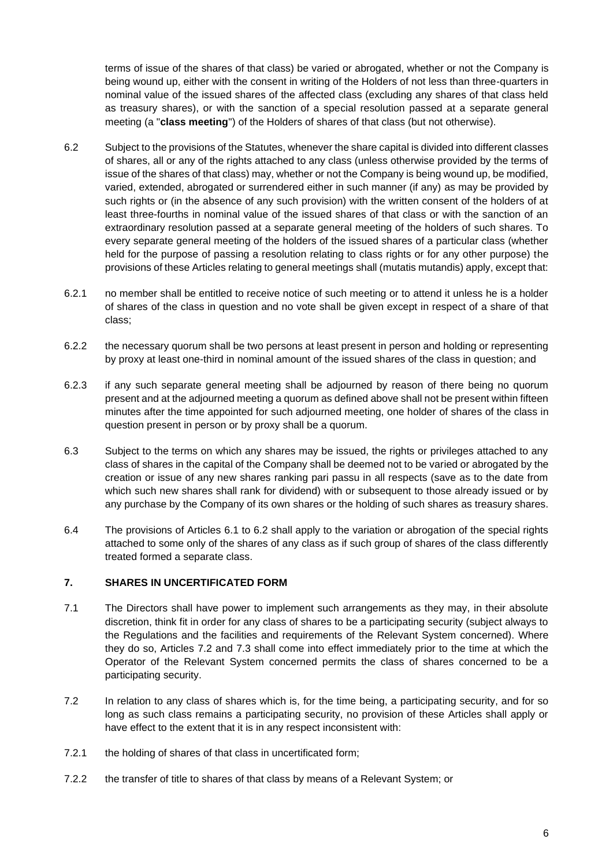terms of issue of the shares of that class) be varied or abrogated, whether or not the Company is being wound up, either with the consent in writing of the Holders of not less than three-quarters in nominal value of the issued shares of the affected class (excluding any shares of that class held as treasury shares), or with the sanction of a special resolution passed at a separate general meeting (a "**class meeting**") of the Holders of shares of that class (but not otherwise).

- <span id="page-8-0"></span>6.2 Subject to the provisions of the Statutes, whenever the share capital is divided into different classes of shares, all or any of the rights attached to any class (unless otherwise provided by the terms of issue of the shares of that class) may, whether or not the Company is being wound up, be modified, varied, extended, abrogated or surrendered either in such manner (if any) as may be provided by such rights or (in the absence of any such provision) with the written consent of the holders of at least three-fourths in nominal value of the issued shares of that class or with the sanction of an extraordinary resolution passed at a separate general meeting of the holders of such shares. To every separate general meeting of the holders of the issued shares of a particular class (whether held for the purpose of passing a resolution relating to class rights or for any other purpose) the provisions of these Articles relating to general meetings shall (mutatis mutandis) apply, except that:
- 6.2.1 no member shall be entitled to receive notice of such meeting or to attend it unless he is a holder of shares of the class in question and no vote shall be given except in respect of a share of that class;
- 6.2.2 the necessary quorum shall be two persons at least present in person and holding or representing by proxy at least one-third in nominal amount of the issued shares of the class in question; and
- 6.2.3 if any such separate general meeting shall be adjourned by reason of there being no quorum present and at the adjourned meeting a quorum as defined above shall not be present within fifteen minutes after the time appointed for such adjourned meeting, one holder of shares of the class in question present in person or by proxy shall be a quorum.
- 6.3 Subject to the terms on which any shares may be issued, the rights or privileges attached to any class of shares in the capital of the Company shall be deemed not to be varied or abrogated by the creation or issue of any new shares ranking pari passu in all respects (save as to the date from which such new shares shall rank for dividend) with or subsequent to those already issued or by any purchase by the Company of its own shares or the holding of such shares as treasury shares.
- 6.4 The provisions of Articles [6.1](#page-7-0) to [6.2](#page-8-0) shall apply to the variation or abrogation of the special rights attached to some only of the shares of any class as if such group of shares of the class differently treated formed a separate class.

## **7. SHARES IN UNCERTIFICATED FORM**

- 7.1 The Directors shall have power to implement such arrangements as they may, in their absolute discretion, think fit in order for any class of shares to be a participating security (subject always to the Regulations and the facilities and requirements of the Relevant System concerned). Where they do so, Articles [7.2](#page-8-1) and [7.3](#page-9-0) shall come into effect immediately prior to the time at which the Operator of the Relevant System concerned permits the class of shares concerned to be a participating security.
- <span id="page-8-1"></span>7.2 In relation to any class of shares which is, for the time being, a participating security, and for so long as such class remains a participating security, no provision of these Articles shall apply or have effect to the extent that it is in any respect inconsistent with:
- 7.2.1 the holding of shares of that class in uncertificated form;
- 7.2.2 the transfer of title to shares of that class by means of a Relevant System; or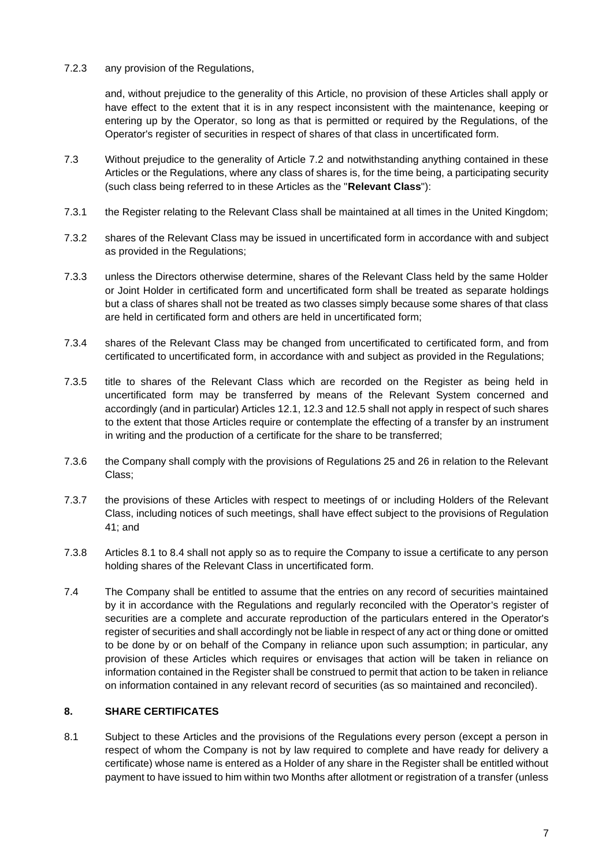7.2.3 any provision of the Regulations,

and, without prejudice to the generality of this Article, no provision of these Articles shall apply or have effect to the extent that it is in any respect inconsistent with the maintenance, keeping or entering up by the Operator, so long as that is permitted or required by the Regulations, of the Operator's register of securities in respect of shares of that class in uncertificated form.

- <span id="page-9-0"></span>7.3 Without prejudice to the generality of Article [7.2](#page-8-1) and notwithstanding anything contained in these Articles or the Regulations, where any class of shares is, for the time being, a participating security (such class being referred to in these Articles as the "**Relevant Class**"):
- 7.3.1 the Register relating to the Relevant Class shall be maintained at all times in the United Kingdom;
- 7.3.2 shares of the Relevant Class may be issued in uncertificated form in accordance with and subject as provided in the Regulations;
- 7.3.3 unless the Directors otherwise determine, shares of the Relevant Class held by the same Holder or Joint Holder in certificated form and uncertificated form shall be treated as separate holdings but a class of shares shall not be treated as two classes simply because some shares of that class are held in certificated form and others are held in uncertificated form;
- 7.3.4 shares of the Relevant Class may be changed from uncertificated to certificated form, and from certificated to uncertificated form, in accordance with and subject as provided in the Regulations;
- 7.3.5 title to shares of the Relevant Class which are recorded on the Register as being held in uncertificated form may be transferred by means of the Relevant System concerned and accordingly (and in particular) Articles [12.1,](#page-13-0) [12.3](#page-13-1) an[d 12.5](#page-14-0) shall not apply in respect of such shares to the extent that those Articles require or contemplate the effecting of a transfer by an instrument in writing and the production of a certificate for the share to be transferred;
- 7.3.6 the Company shall comply with the provisions of Regulations 25 and 26 in relation to the Relevant Class;
- 7.3.7 the provisions of these Articles with respect to meetings of or including Holders of the Relevant Class, including notices of such meetings, shall have effect subject to the provisions of Regulation 41; and
- 7.3.8 Articles [8.1](#page-9-1) to [8.4](#page-10-0) shall not apply so as to require the Company to issue a certificate to any person holding shares of the Relevant Class in uncertificated form.
- 7.4 The Company shall be entitled to assume that the entries on any record of securities maintained by it in accordance with the Regulations and regularly reconciled with the Operator's register of securities are a complete and accurate reproduction of the particulars entered in the Operator's register of securities and shall accordingly not be liable in respect of any act or thing done or omitted to be done by or on behalf of the Company in reliance upon such assumption; in particular, any provision of these Articles which requires or envisages that action will be taken in reliance on information contained in the Register shall be construed to permit that action to be taken in reliance on information contained in any relevant record of securities (as so maintained and reconciled).

#### <span id="page-9-1"></span>**8. SHARE CERTIFICATES**

8.1 Subject to these Articles and the provisions of the Regulations every person (except a person in respect of whom the Company is not by law required to complete and have ready for delivery a certificate) whose name is entered as a Holder of any share in the Register shall be entitled without payment to have issued to him within two Months after allotment or registration of a transfer (unless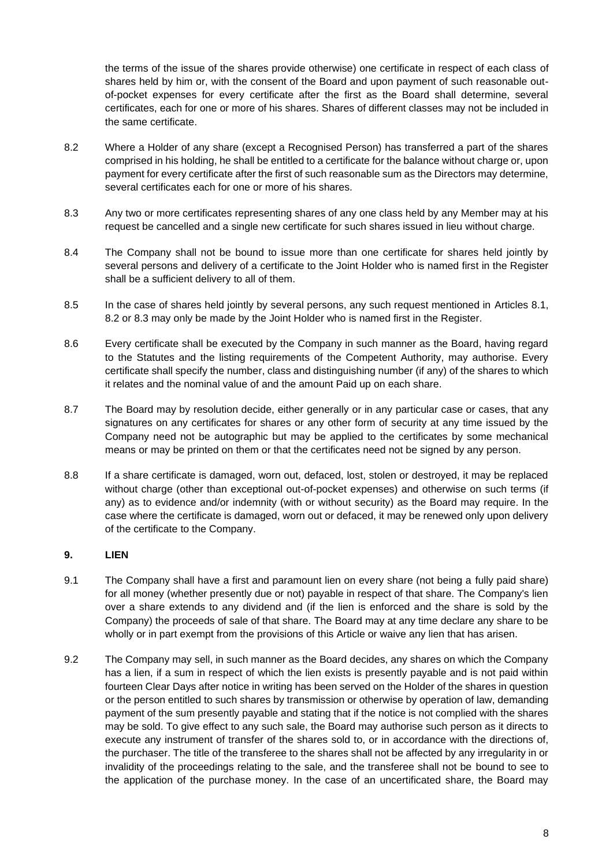the terms of the issue of the shares provide otherwise) one certificate in respect of each class of shares held by him or, with the consent of the Board and upon payment of such reasonable outof-pocket expenses for every certificate after the first as the Board shall determine, several certificates, each for one or more of his shares. Shares of different classes may not be included in the same certificate.

- <span id="page-10-1"></span>8.2 Where a Holder of any share (except a Recognised Person) has transferred a part of the shares comprised in his holding, he shall be entitled to a certificate for the balance without charge or, upon payment for every certificate after the first of such reasonable sum as the Directors may determine, several certificates each for one or more of his shares.
- <span id="page-10-2"></span>8.3 Any two or more certificates representing shares of any one class held by any Member may at his request be cancelled and a single new certificate for such shares issued in lieu without charge.
- <span id="page-10-0"></span>8.4 The Company shall not be bound to issue more than one certificate for shares held jointly by several persons and delivery of a certificate to the Joint Holder who is named first in the Register shall be a sufficient delivery to all of them.
- 8.5 In the case of shares held jointly by several persons, any such request mentioned in Articles [8.1,](#page-9-1) [8.2](#page-10-1) or [8.3](#page-10-2) may only be made by the Joint Holder who is named first in the Register.
- 8.6 Every certificate shall be executed by the Company in such manner as the Board, having regard to the Statutes and the listing requirements of the Competent Authority, may authorise. Every certificate shall specify the number, class and distinguishing number (if any) of the shares to which it relates and the nominal value of and the amount Paid up on each share.
- 8.7 The Board may by resolution decide, either generally or in any particular case or cases, that any signatures on any certificates for shares or any other form of security at any time issued by the Company need not be autographic but may be applied to the certificates by some mechanical means or may be printed on them or that the certificates need not be signed by any person.
- 8.8 If a share certificate is damaged, worn out, defaced, lost, stolen or destroyed, it may be replaced without charge (other than exceptional out-of-pocket expenses) and otherwise on such terms (if any) as to evidence and/or indemnity (with or without security) as the Board may require. In the case where the certificate is damaged, worn out or defaced, it may be renewed only upon delivery of the certificate to the Company.

#### **9. LIEN**

- 9.1 The Company shall have a first and paramount lien on every share (not being a fully paid share) for all money (whether presently due or not) payable in respect of that share. The Company's lien over a share extends to any dividend and (if the lien is enforced and the share is sold by the Company) the proceeds of sale of that share. The Board may at any time declare any share to be wholly or in part exempt from the provisions of this Article or waive any lien that has arisen.
- 9.2 The Company may sell, in such manner as the Board decides, any shares on which the Company has a lien, if a sum in respect of which the lien exists is presently payable and is not paid within fourteen Clear Days after notice in writing has been served on the Holder of the shares in question or the person entitled to such shares by transmission or otherwise by operation of law, demanding payment of the sum presently payable and stating that if the notice is not complied with the shares may be sold. To give effect to any such sale, the Board may authorise such person as it directs to execute any instrument of transfer of the shares sold to, or in accordance with the directions of, the purchaser. The title of the transferee to the shares shall not be affected by any irregularity in or invalidity of the proceedings relating to the sale, and the transferee shall not be bound to see to the application of the purchase money. In the case of an uncertificated share, the Board may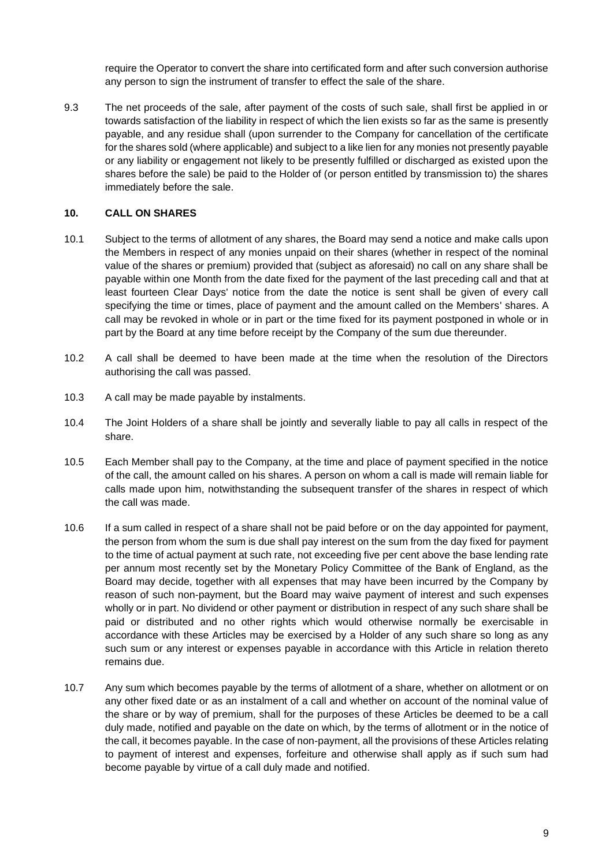require the Operator to convert the share into certificated form and after such conversion authorise any person to sign the instrument of transfer to effect the sale of the share.

9.3 The net proceeds of the sale, after payment of the costs of such sale, shall first be applied in or towards satisfaction of the liability in respect of which the lien exists so far as the same is presently payable, and any residue shall (upon surrender to the Company for cancellation of the certificate for the shares sold (where applicable) and subject to a like lien for any monies not presently payable or any liability or engagement not likely to be presently fulfilled or discharged as existed upon the shares before the sale) be paid to the Holder of (or person entitled by transmission to) the shares immediately before the sale.

#### **10. CALL ON SHARES**

- 10.1 Subject to the terms of allotment of any shares, the Board may send a notice and make calls upon the Members in respect of any monies unpaid on their shares (whether in respect of the nominal value of the shares or premium) provided that (subject as aforesaid) no call on any share shall be payable within one Month from the date fixed for the payment of the last preceding call and that at least fourteen Clear Days' notice from the date the notice is sent shall be given of every call specifying the time or times, place of payment and the amount called on the Members' shares. A call may be revoked in whole or in part or the time fixed for its payment postponed in whole or in part by the Board at any time before receipt by the Company of the sum due thereunder.
- 10.2 A call shall be deemed to have been made at the time when the resolution of the Directors authorising the call was passed.
- 10.3 A call may be made payable by instalments.
- 10.4 The Joint Holders of a share shall be jointly and severally liable to pay all calls in respect of the share.
- 10.5 Each Member shall pay to the Company, at the time and place of payment specified in the notice of the call, the amount called on his shares. A person on whom a call is made will remain liable for calls made upon him, notwithstanding the subsequent transfer of the shares in respect of which the call was made.
- 10.6 If a sum called in respect of a share shall not be paid before or on the day appointed for payment, the person from whom the sum is due shall pay interest on the sum from the day fixed for payment to the time of actual payment at such rate, not exceeding five per cent above the base lending rate per annum most recently set by the Monetary Policy Committee of the Bank of England, as the Board may decide, together with all expenses that may have been incurred by the Company by reason of such non-payment, but the Board may waive payment of interest and such expenses wholly or in part. No dividend or other payment or distribution in respect of any such share shall be paid or distributed and no other rights which would otherwise normally be exercisable in accordance with these Articles may be exercised by a Holder of any such share so long as any such sum or any interest or expenses payable in accordance with this Article in relation thereto remains due.
- 10.7 Any sum which becomes payable by the terms of allotment of a share, whether on allotment or on any other fixed date or as an instalment of a call and whether on account of the nominal value of the share or by way of premium, shall for the purposes of these Articles be deemed to be a call duly made, notified and payable on the date on which, by the terms of allotment or in the notice of the call, it becomes payable. In the case of non-payment, all the provisions of these Articles relating to payment of interest and expenses, forfeiture and otherwise shall apply as if such sum had become payable by virtue of a call duly made and notified.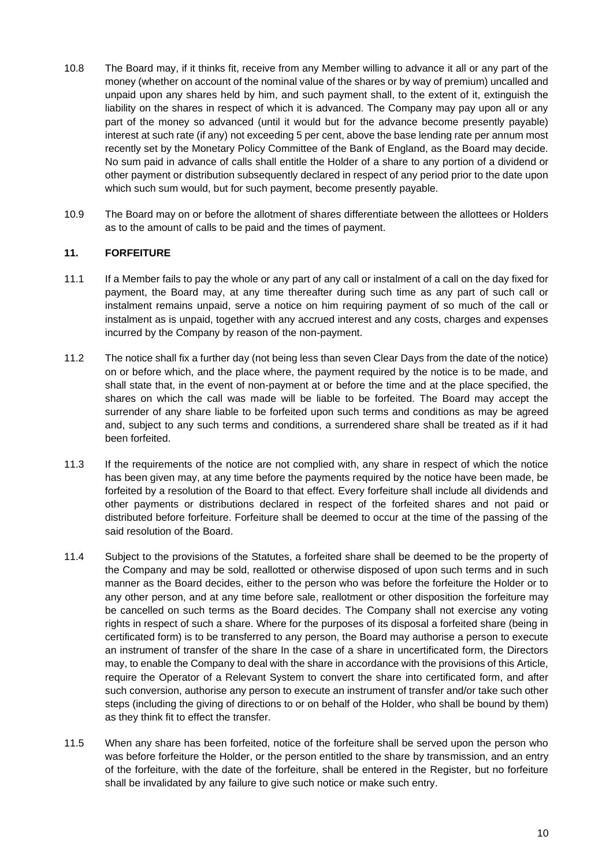- 10.8 The Board may, if it thinks fit, receive from any Member willing to advance it all or any part of the money (whether on account of the nominal value of the shares or by way of premium) uncalled and unpaid upon any shares held by him, and such payment shall, to the extent of it, extinguish the liability on the shares in respect of which it is advanced. The Company may pay upon all or any part of the money so advanced (until it would but for the advance become presently payable) interest at such rate (if any) not exceeding 5 per cent, above the base lending rate per annum most recently set by the Monetary Policy Committee of the Bank of England, as the Board may decide. No sum paid in advance of calls shall entitle the Holder of a share to any portion of a dividend or other payment or distribution subsequently declared in respect of any period prior to the date upon which such sum would, but for such payment, become presently payable.
- 10.9 The Board may on or before the allotment of shares differentiate between the allottees or Holders as to the amount of calls to be paid and the times of payment.

### **11. FORFEITURE**

- 11.1 If a Member fails to pay the whole or any part of any call or instalment of a call on the day fixed for payment, the Board may, at any time thereafter during such time as any part of such call or instalment remains unpaid, serve a notice on him requiring payment of so much of the call or instalment as is unpaid, together with any accrued interest and any costs, charges and expenses incurred by the Company by reason of the non-payment.
- 11.2 The notice shall fix a further day (not being less than seven Clear Days from the date of the notice) on or before which, and the place where, the payment required by the notice is to be made, and shall state that, in the event of non-payment at or before the time and at the place specified, the shares on which the call was made will be liable to be forfeited. The Board may accept the surrender of any share liable to be forfeited upon such terms and conditions as may be agreed and, subject to any such terms and conditions, a surrendered share shall be treated as if it had been forfeited.
- 11.3 If the requirements of the notice are not complied with, any share in respect of which the notice has been given may, at any time before the payments required by the notice have been made, be forfeited by a resolution of the Board to that effect. Every forfeiture shall include all dividends and other payments or distributions declared in respect of the forfeited shares and not paid or distributed before forfeiture. Forfeiture shall be deemed to occur at the time of the passing of the said resolution of the Board.
- 11.4 Subject to the provisions of the Statutes, a forfeited share shall be deemed to be the property of the Company and may be sold, reallotted or otherwise disposed of upon such terms and in such manner as the Board decides, either to the person who was before the forfeiture the Holder or to any other person, and at any time before sale, reallotment or other disposition the forfeiture may be cancelled on such terms as the Board decides. The Company shall not exercise any voting rights in respect of such a share. Where for the purposes of its disposal a forfeited share (being in certificated form) is to be transferred to any person, the Board may authorise a person to execute an instrument of transfer of the share In the case of a share in uncertificated form, the Directors may, to enable the Company to deal with the share in accordance with the provisions of this Article, require the Operator of a Relevant System to convert the share into certificated form, and after such conversion, authorise any person to execute an instrument of transfer and/or take such other steps (including the giving of directions to or on behalf of the Holder, who shall be bound by them) as they think fit to effect the transfer.
- 11.5 When any share has been forfeited, notice of the forfeiture shall be served upon the person who was before forfeiture the Holder, or the person entitled to the share by transmission, and an entry of the forfeiture, with the date of the forfeiture, shall be entered in the Register, but no forfeiture shall be invalidated by any failure to give such notice or make such entry.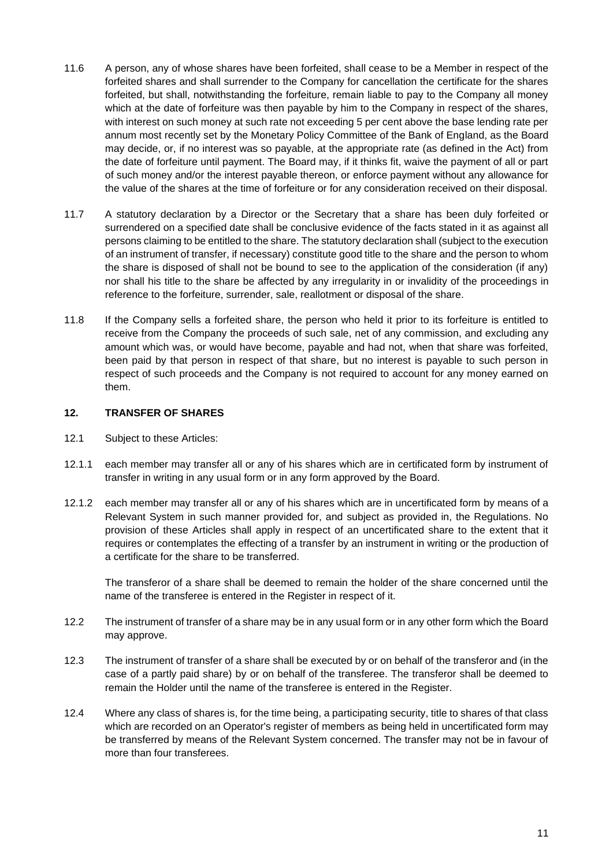- 11.6 A person, any of whose shares have been forfeited, shall cease to be a Member in respect of the forfeited shares and shall surrender to the Company for cancellation the certificate for the shares forfeited, but shall, notwithstanding the forfeiture, remain liable to pay to the Company all money which at the date of forfeiture was then payable by him to the Company in respect of the shares, with interest on such money at such rate not exceeding 5 per cent above the base lending rate per annum most recently set by the Monetary Policy Committee of the Bank of England, as the Board may decide, or, if no interest was so payable, at the appropriate rate (as defined in the Act) from the date of forfeiture until payment. The Board may, if it thinks fit, waive the payment of all or part of such money and/or the interest payable thereon, or enforce payment without any allowance for the value of the shares at the time of forfeiture or for any consideration received on their disposal.
- 11.7 A statutory declaration by a Director or the Secretary that a share has been duly forfeited or surrendered on a specified date shall be conclusive evidence of the facts stated in it as against all persons claiming to be entitled to the share. The statutory declaration shall (subject to the execution of an instrument of transfer, if necessary) constitute good title to the share and the person to whom the share is disposed of shall not be bound to see to the application of the consideration (if any) nor shall his title to the share be affected by any irregularity in or invalidity of the proceedings in reference to the forfeiture, surrender, sale, reallotment or disposal of the share.
- 11.8 If the Company sells a forfeited share, the person who held it prior to its forfeiture is entitled to receive from the Company the proceeds of such sale, net of any commission, and excluding any amount which was, or would have become, payable and had not, when that share was forfeited, been paid by that person in respect of that share, but no interest is payable to such person in respect of such proceeds and the Company is not required to account for any money earned on them.

#### <span id="page-13-0"></span>**12. TRANSFER OF SHARES**

- 12.1 Subject to these Articles:
- 12.1.1 each member may transfer all or any of his shares which are in certificated form by instrument of transfer in writing in any usual form or in any form approved by the Board.
- 12.1.2 each member may transfer all or any of his shares which are in uncertificated form by means of a Relevant System in such manner provided for, and subject as provided in, the Regulations. No provision of these Articles shall apply in respect of an uncertificated share to the extent that it requires or contemplates the effecting of a transfer by an instrument in writing or the production of a certificate for the share to be transferred.

The transferor of a share shall be deemed to remain the holder of the share concerned until the name of the transferee is entered in the Register in respect of it.

- 12.2 The instrument of transfer of a share may be in any usual form or in any other form which the Board may approve.
- <span id="page-13-1"></span>12.3 The instrument of transfer of a share shall be executed by or on behalf of the transferor and (in the case of a partly paid share) by or on behalf of the transferee. The transferor shall be deemed to remain the Holder until the name of the transferee is entered in the Register.
- 12.4 Where any class of shares is, for the time being, a participating security, title to shares of that class which are recorded on an Operator's register of members as being held in uncertificated form may be transferred by means of the Relevant System concerned. The transfer may not be in favour of more than four transferees.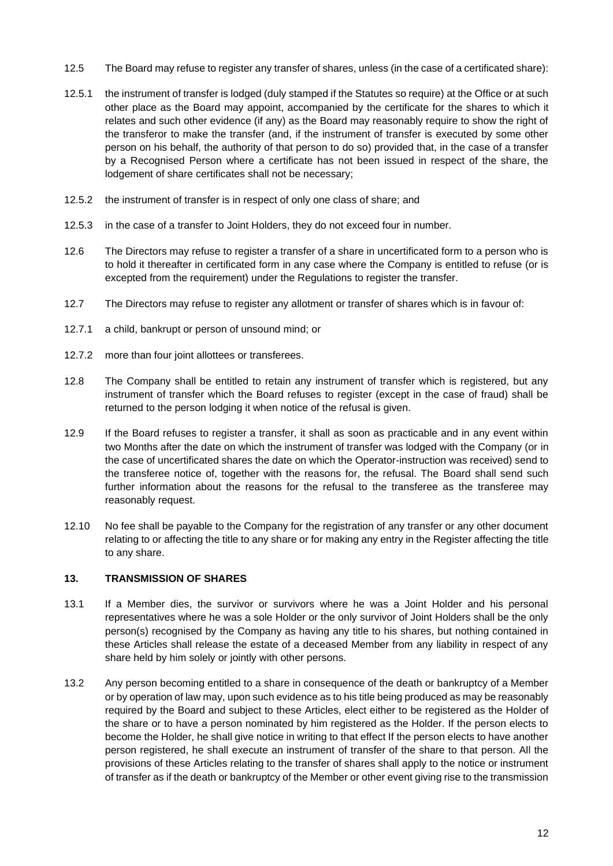- <span id="page-14-0"></span>12.5 The Board may refuse to register any transfer of shares, unless (in the case of a certificated share):
- 12.5.1 the instrument of transfer is lodged (duly stamped if the Statutes so require) at the Office or at such other place as the Board may appoint, accompanied by the certificate for the shares to which it relates and such other evidence (if any) as the Board may reasonably require to show the right of the transferor to make the transfer (and, if the instrument of transfer is executed by some other person on his behalf, the authority of that person to do so) provided that, in the case of a transfer by a Recognised Person where a certificate has not been issued in respect of the share, the lodgement of share certificates shall not be necessary;
- 12.5.2 the instrument of transfer is in respect of only one class of share; and
- 12.5.3 in the case of a transfer to Joint Holders, they do not exceed four in number.
- 12.6 The Directors may refuse to register a transfer of a share in uncertificated form to a person who is to hold it thereafter in certificated form in any case where the Company is entitled to refuse (or is excepted from the requirement) under the Regulations to register the transfer.
- 12.7 The Directors may refuse to register any allotment or transfer of shares which is in favour of:
- 12.7.1 a child, bankrupt or person of unsound mind; or
- 12.7.2 more than four joint allottees or transferees.
- 12.8 The Company shall be entitled to retain any instrument of transfer which is registered, but any instrument of transfer which the Board refuses to register (except in the case of fraud) shall be returned to the person lodging it when notice of the refusal is given.
- 12.9 If the Board refuses to register a transfer, it shall as soon as practicable and in any event within two Months after the date on which the instrument of transfer was lodged with the Company (or in the case of uncertificated shares the date on which the Operator-instruction was received) send to the transferee notice of, together with the reasons for, the refusal. The Board shall send such further information about the reasons for the refusal to the transferee as the transferee may reasonably request.
- 12.10 No fee shall be payable to the Company for the registration of any transfer or any other document relating to or affecting the title to any share or for making any entry in the Register affecting the title to any share.

#### **13. TRANSMISSION OF SHARES**

- 13.1 If a Member dies, the survivor or survivors where he was a Joint Holder and his personal representatives where he was a sole Holder or the only survivor of Joint Holders shall be the only person(s) recognised by the Company as having any title to his shares, but nothing contained in these Articles shall release the estate of a deceased Member from any liability in respect of any share held by him solely or jointly with other persons.
- 13.2 Any person becoming entitled to a share in consequence of the death or bankruptcy of a Member or by operation of law may, upon such evidence as to his title being produced as may be reasonably required by the Board and subject to these Articles, elect either to be registered as the Holder of the share or to have a person nominated by him registered as the Holder. If the person elects to become the Holder, he shall give notice in writing to that effect If the person elects to have another person registered, he shall execute an instrument of transfer of the share to that person. All the provisions of these Articles relating to the transfer of shares shall apply to the notice or instrument of transfer as if the death or bankruptcy of the Member or other event giving rise to the transmission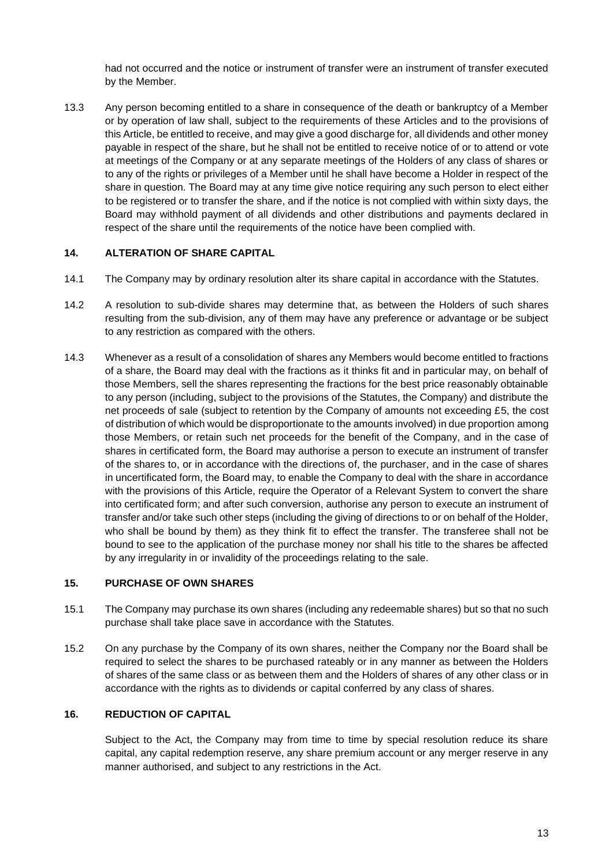had not occurred and the notice or instrument of transfer were an instrument of transfer executed by the Member.

13.3 Any person becoming entitled to a share in consequence of the death or bankruptcy of a Member or by operation of law shall, subject to the requirements of these Articles and to the provisions of this Article, be entitled to receive, and may give a good discharge for, all dividends and other money payable in respect of the share, but he shall not be entitled to receive notice of or to attend or vote at meetings of the Company or at any separate meetings of the Holders of any class of shares or to any of the rights or privileges of a Member until he shall have become a Holder in respect of the share in question. The Board may at any time give notice requiring any such person to elect either to be registered or to transfer the share, and if the notice is not complied with within sixty days, the Board may withhold payment of all dividends and other distributions and payments declared in respect of the share until the requirements of the notice have been complied with.

#### **14. ALTERATION OF SHARE CAPITAL**

- 14.1 The Company may by ordinary resolution alter its share capital in accordance with the Statutes.
- 14.2 A resolution to sub-divide shares may determine that, as between the Holders of such shares resulting from the sub-division, any of them may have any preference or advantage or be subject to any restriction as compared with the others.
- 14.3 Whenever as a result of a consolidation of shares any Members would become entitled to fractions of a share, the Board may deal with the fractions as it thinks fit and in particular may, on behalf of those Members, sell the shares representing the fractions for the best price reasonably obtainable to any person (including, subject to the provisions of the Statutes, the Company) and distribute the net proceeds of sale (subject to retention by the Company of amounts not exceeding £5, the cost of distribution of which would be disproportionate to the amounts involved) in due proportion among those Members, or retain such net proceeds for the benefit of the Company, and in the case of shares in certificated form, the Board may authorise a person to execute an instrument of transfer of the shares to, or in accordance with the directions of, the purchaser, and in the case of shares in uncertificated form, the Board may, to enable the Company to deal with the share in accordance with the provisions of this Article, require the Operator of a Relevant System to convert the share into certificated form; and after such conversion, authorise any person to execute an instrument of transfer and/or take such other steps (including the giving of directions to or on behalf of the Holder, who shall be bound by them) as they think fit to effect the transfer. The transferee shall not be bound to see to the application of the purchase money nor shall his title to the shares be affected by any irregularity in or invalidity of the proceedings relating to the sale.

#### **15. PURCHASE OF OWN SHARES**

- 15.1 The Company may purchase its own shares (including any redeemable shares) but so that no such purchase shall take place save in accordance with the Statutes.
- 15.2 On any purchase by the Company of its own shares, neither the Company nor the Board shall be required to select the shares to be purchased rateably or in any manner as between the Holders of shares of the same class or as between them and the Holders of shares of any other class or in accordance with the rights as to dividends or capital conferred by any class of shares.

#### **16. REDUCTION OF CAPITAL**

Subject to the Act, the Company may from time to time by special resolution reduce its share capital, any capital redemption reserve, any share premium account or any merger reserve in any manner authorised, and subject to any restrictions in the Act.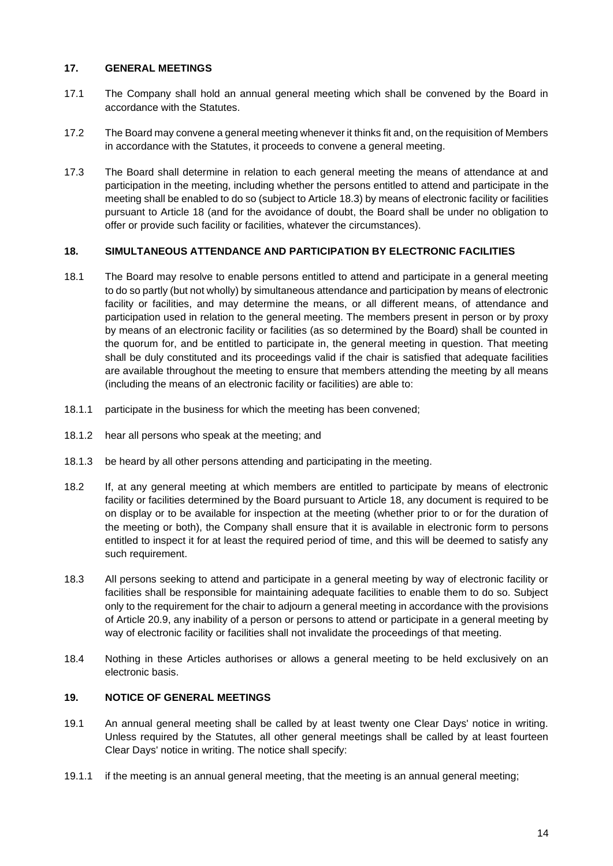### **17. GENERAL MEETINGS**

- 17.1 The Company shall hold an annual general meeting which shall be convened by the Board in accordance with the Statutes.
- 17.2 The Board may convene a general meeting whenever it thinks fit and, on the requisition of Members in accordance with the Statutes, it proceeds to convene a general meeting.
- 17.3 The Board shall determine in relation to each general meeting the means of attendance at and participation in the meeting, including whether the persons entitled to attend and participate in the meeting shall be enabled to do so (subject to Article [18.3\)](#page-16-1) by means of electronic facility or facilities pursuant to Article [18](#page-16-0) (and for the avoidance of doubt, the Board shall be under no obligation to offer or provide such facility or facilities, whatever the circumstances).

### <span id="page-16-0"></span>**18. SIMULTANEOUS ATTENDANCE AND PARTICIPATION BY ELECTRONIC FACILITIES**

- 18.1 The Board may resolve to enable persons entitled to attend and participate in a general meeting to do so partly (but not wholly) by simultaneous attendance and participation by means of electronic facility or facilities, and may determine the means, or all different means, of attendance and participation used in relation to the general meeting. The members present in person or by proxy by means of an electronic facility or facilities (as so determined by the Board) shall be counted in the quorum for, and be entitled to participate in, the general meeting in question. That meeting shall be duly constituted and its proceedings valid if the chair is satisfied that adequate facilities are available throughout the meeting to ensure that members attending the meeting by all means (including the means of an electronic facility or facilities) are able to:
- 18.1.1 participate in the business for which the meeting has been convened;
- 18.1.2 hear all persons who speak at the meeting; and
- 18.1.3 be heard by all other persons attending and participating in the meeting.
- 18.2 If, at any general meeting at which members are entitled to participate by means of electronic facility or facilities determined by the Board pursuant to Article [18,](#page-16-0) any document is required to be on display or to be available for inspection at the meeting (whether prior to or for the duration of the meeting or both), the Company shall ensure that it is available in electronic form to persons entitled to inspect it for at least the required period of time, and this will be deemed to satisfy any such requirement.
- <span id="page-16-1"></span>18.3 All persons seeking to attend and participate in a general meeting by way of electronic facility or facilities shall be responsible for maintaining adequate facilities to enable them to do so. Subject only to the requirement for the chair to adjourn a general meeting in accordance with the provisions of Article [20.9,](#page-19-0) any inability of a person or persons to attend or participate in a general meeting by way of electronic facility or facilities shall not invalidate the proceedings of that meeting.
- 18.4 Nothing in these Articles authorises or allows a general meeting to be held exclusively on an electronic basis.

# **19. NOTICE OF GENERAL MEETINGS**

- 19.1 An annual general meeting shall be called by at least twenty one Clear Days' notice in writing. Unless required by the Statutes, all other general meetings shall be called by at least fourteen Clear Days' notice in writing. The notice shall specify:
- 19.1.1 if the meeting is an annual general meeting, that the meeting is an annual general meeting;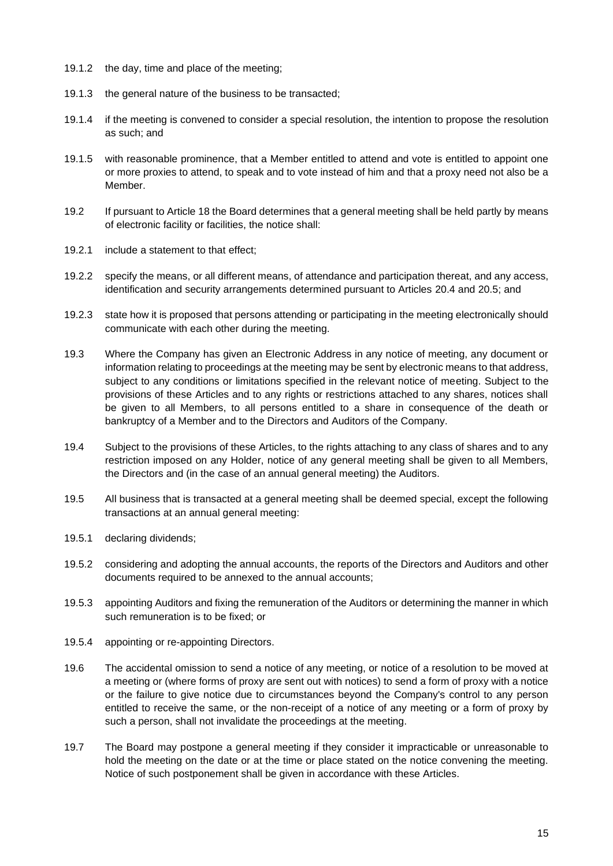- 19.1.2 the day, time and place of the meeting;
- 19.1.3 the general nature of the business to be transacted;
- 19.1.4 if the meeting is convened to consider a special resolution, the intention to propose the resolution as such; and
- 19.1.5 with reasonable prominence, that a Member entitled to attend and vote is entitled to appoint one or more proxies to attend, to speak and to vote instead of him and that a proxy need not also be a Member.
- 19.2 If pursuant to Article [18](#page-16-0) the Board determines that a general meeting shall be held partly by means of electronic facility or facilities, the notice shall:
- 19.2.1 include a statement to that effect;
- 19.2.2 specify the means, or all different means, of attendance and participation thereat, and any access, identification and security arrangements determined pursuant to Articles [20.4](#page-18-0) and [20.5;](#page-18-1) and
- 19.2.3 state how it is proposed that persons attending or participating in the meeting electronically should communicate with each other during the meeting.
- 19.3 Where the Company has given an Electronic Address in any notice of meeting, any document or information relating to proceedings at the meeting may be sent by electronic means to that address, subject to any conditions or limitations specified in the relevant notice of meeting. Subject to the provisions of these Articles and to any rights or restrictions attached to any shares, notices shall be given to all Members, to all persons entitled to a share in consequence of the death or bankruptcy of a Member and to the Directors and Auditors of the Company.
- 19.4 Subject to the provisions of these Articles, to the rights attaching to any class of shares and to any restriction imposed on any Holder, notice of any general meeting shall be given to all Members, the Directors and (in the case of an annual general meeting) the Auditors.
- 19.5 All business that is transacted at a general meeting shall be deemed special, except the following transactions at an annual general meeting:
- 19.5.1 declaring dividends;
- 19.5.2 considering and adopting the annual accounts, the reports of the Directors and Auditors and other documents required to be annexed to the annual accounts;
- 19.5.3 appointing Auditors and fixing the remuneration of the Auditors or determining the manner in which such remuneration is to be fixed; or
- 19.5.4 appointing or re-appointing Directors.
- 19.6 The accidental omission to send a notice of any meeting, or notice of a resolution to be moved at a meeting or (where forms of proxy are sent out with notices) to send a form of proxy with a notice or the failure to give notice due to circumstances beyond the Company's control to any person entitled to receive the same, or the non-receipt of a notice of any meeting or a form of proxy by such a person, shall not invalidate the proceedings at the meeting.
- 19.7 The Board may postpone a general meeting if they consider it impracticable or unreasonable to hold the meeting on the date or at the time or place stated on the notice convening the meeting. Notice of such postponement shall be given in accordance with these Articles.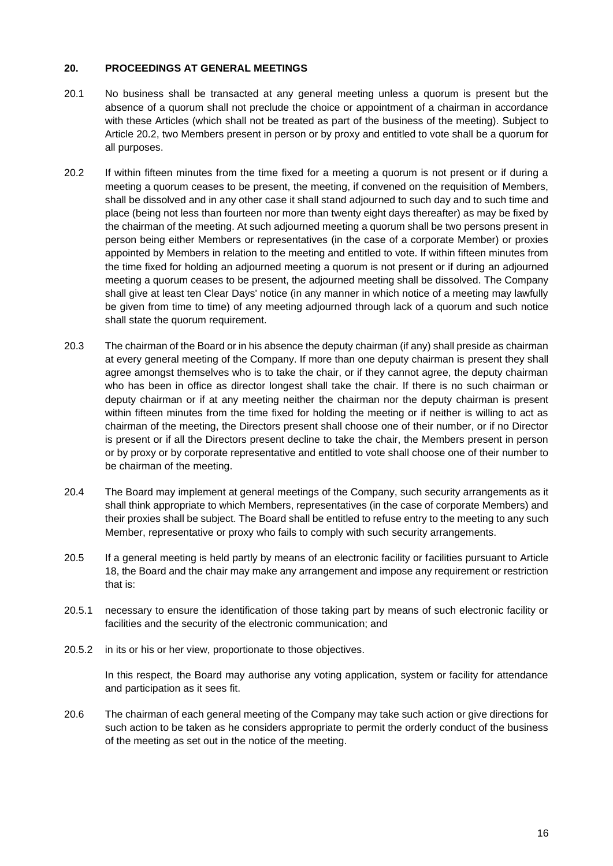#### **20. PROCEEDINGS AT GENERAL MEETINGS**

- 20.1 No business shall be transacted at any general meeting unless a quorum is present but the absence of a quorum shall not preclude the choice or appointment of a chairman in accordance with these Articles (which shall not be treated as part of the business of the meeting). Subject to Article [20.2,](#page-18-2) two Members present in person or by proxy and entitled to vote shall be a quorum for all purposes.
- <span id="page-18-2"></span>20.2 If within fifteen minutes from the time fixed for a meeting a quorum is not present or if during a meeting a quorum ceases to be present, the meeting, if convened on the requisition of Members, shall be dissolved and in any other case it shall stand adjourned to such day and to such time and place (being not less than fourteen nor more than twenty eight days thereafter) as may be fixed by the chairman of the meeting. At such adjourned meeting a quorum shall be two persons present in person being either Members or representatives (in the case of a corporate Member) or proxies appointed by Members in relation to the meeting and entitled to vote. If within fifteen minutes from the time fixed for holding an adjourned meeting a quorum is not present or if during an adjourned meeting a quorum ceases to be present, the adjourned meeting shall be dissolved. The Company shall give at least ten Clear Days' notice (in any manner in which notice of a meeting may lawfully be given from time to time) of any meeting adjourned through lack of a quorum and such notice shall state the quorum requirement.
- 20.3 The chairman of the Board or in his absence the deputy chairman (if any) shall preside as chairman at every general meeting of the Company. If more than one deputy chairman is present they shall agree amongst themselves who is to take the chair, or if they cannot agree, the deputy chairman who has been in office as director longest shall take the chair. If there is no such chairman or deputy chairman or if at any meeting neither the chairman nor the deputy chairman is present within fifteen minutes from the time fixed for holding the meeting or if neither is willing to act as chairman of the meeting, the Directors present shall choose one of their number, or if no Director is present or if all the Directors present decline to take the chair, the Members present in person or by proxy or by corporate representative and entitled to vote shall choose one of their number to be chairman of the meeting.
- <span id="page-18-0"></span>20.4 The Board may implement at general meetings of the Company, such security arrangements as it shall think appropriate to which Members, representatives (in the case of corporate Members) and their proxies shall be subject. The Board shall be entitled to refuse entry to the meeting to any such Member, representative or proxy who fails to comply with such security arrangements.
- <span id="page-18-1"></span>20.5 If a general meeting is held partly by means of an electronic facility or facilities pursuant to Article [18,](#page-16-0) the Board and the chair may make any arrangement and impose any requirement or restriction that is:
- 20.5.1 necessary to ensure the identification of those taking part by means of such electronic facility or facilities and the security of the electronic communication; and
- 20.5.2 in its or his or her view, proportionate to those objectives.

In this respect, the Board may authorise any voting application, system or facility for attendance and participation as it sees fit.

20.6 The chairman of each general meeting of the Company may take such action or give directions for such action to be taken as he considers appropriate to permit the orderly conduct of the business of the meeting as set out in the notice of the meeting.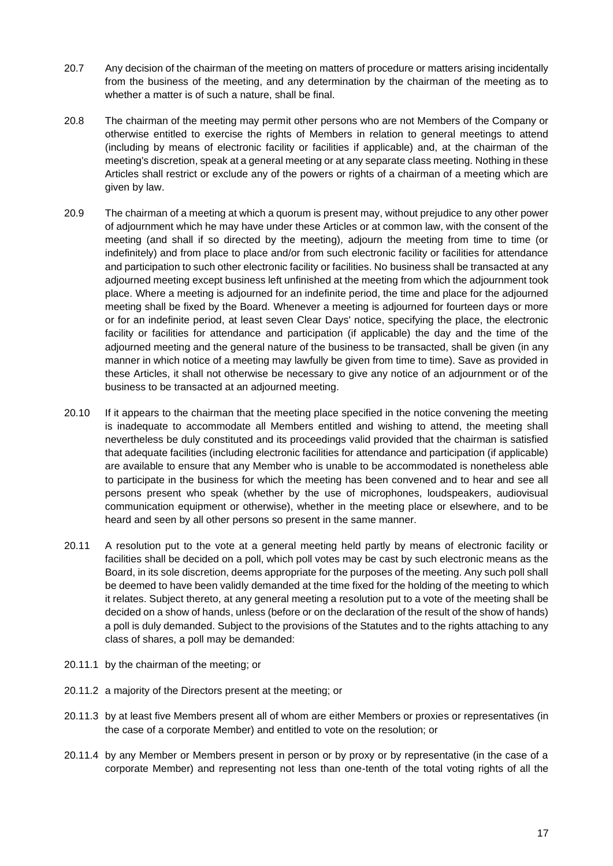- 20.7 Any decision of the chairman of the meeting on matters of procedure or matters arising incidentally from the business of the meeting, and any determination by the chairman of the meeting as to whether a matter is of such a nature, shall be final.
- 20.8 The chairman of the meeting may permit other persons who are not Members of the Company or otherwise entitled to exercise the rights of Members in relation to general meetings to attend (including by means of electronic facility or facilities if applicable) and, at the chairman of the meeting's discretion, speak at a general meeting or at any separate class meeting. Nothing in these Articles shall restrict or exclude any of the powers or rights of a chairman of a meeting which are given by law.
- <span id="page-19-0"></span>20.9 The chairman of a meeting at which a quorum is present may, without prejudice to any other power of adjournment which he may have under these Articles or at common law, with the consent of the meeting (and shall if so directed by the meeting), adjourn the meeting from time to time (or indefinitely) and from place to place and/or from such electronic facility or facilities for attendance and participation to such other electronic facility or facilities. No business shall be transacted at any adjourned meeting except business left unfinished at the meeting from which the adjournment took place. Where a meeting is adjourned for an indefinite period, the time and place for the adjourned meeting shall be fixed by the Board. Whenever a meeting is adjourned for fourteen days or more or for an indefinite period, at least seven Clear Days' notice, specifying the place, the electronic facility or facilities for attendance and participation (if applicable) the day and the time of the adjourned meeting and the general nature of the business to be transacted, shall be given (in any manner in which notice of a meeting may lawfully be given from time to time). Save as provided in these Articles, it shall not otherwise be necessary to give any notice of an adjournment or of the business to be transacted at an adjourned meeting.
- 20.10 If it appears to the chairman that the meeting place specified in the notice convening the meeting is inadequate to accommodate all Members entitled and wishing to attend, the meeting shall nevertheless be duly constituted and its proceedings valid provided that the chairman is satisfied that adequate facilities (including electronic facilities for attendance and participation (if applicable) are available to ensure that any Member who is unable to be accommodated is nonetheless able to participate in the business for which the meeting has been convened and to hear and see all persons present who speak (whether by the use of microphones, loudspeakers, audiovisual communication equipment or otherwise), whether in the meeting place or elsewhere, and to be heard and seen by all other persons so present in the same manner.
- 20.11 A resolution put to the vote at a general meeting held partly by means of electronic facility or facilities shall be decided on a poll, which poll votes may be cast by such electronic means as the Board, in its sole discretion, deems appropriate for the purposes of the meeting. Any such poll shall be deemed to have been validly demanded at the time fixed for the holding of the meeting to which it relates. Subject thereto, at any general meeting a resolution put to a vote of the meeting shall be decided on a show of hands, unless (before or on the declaration of the result of the show of hands) a poll is duly demanded. Subject to the provisions of the Statutes and to the rights attaching to any class of shares, a poll may be demanded:
- 20.11.1 by the chairman of the meeting; or
- 20.11.2 a majority of the Directors present at the meeting; or
- 20.11.3 by at least five Members present all of whom are either Members or proxies or representatives (in the case of a corporate Member) and entitled to vote on the resolution; or
- 20.11.4 by any Member or Members present in person or by proxy or by representative (in the case of a corporate Member) and representing not less than one-tenth of the total voting rights of all the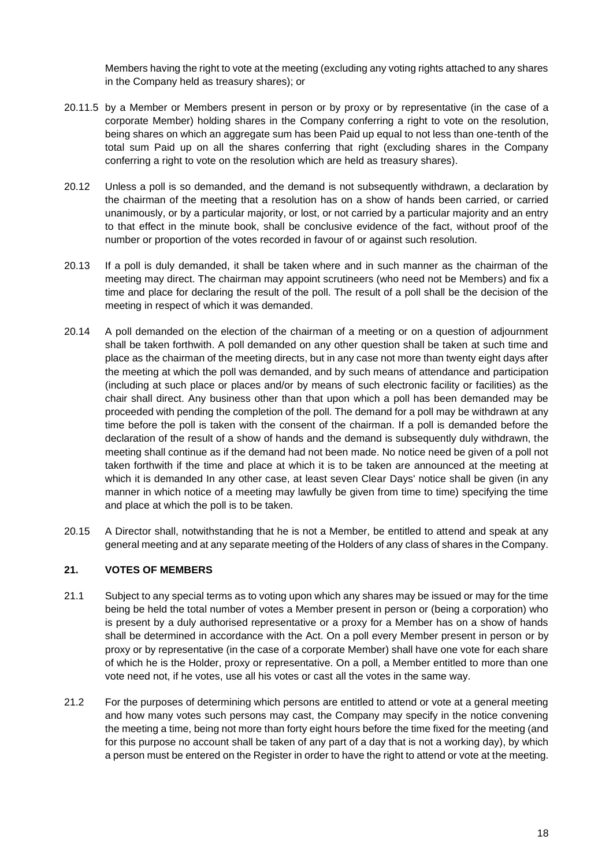Members having the right to vote at the meeting (excluding any voting rights attached to any shares in the Company held as treasury shares); or

- 20.11.5 by a Member or Members present in person or by proxy or by representative (in the case of a corporate Member) holding shares in the Company conferring a right to vote on the resolution, being shares on which an aggregate sum has been Paid up equal to not less than one-tenth of the total sum Paid up on all the shares conferring that right (excluding shares in the Company conferring a right to vote on the resolution which are held as treasury shares).
- 20.12 Unless a poll is so demanded, and the demand is not subsequently withdrawn, a declaration by the chairman of the meeting that a resolution has on a show of hands been carried, or carried unanimously, or by a particular majority, or lost, or not carried by a particular majority and an entry to that effect in the minute book, shall be conclusive evidence of the fact, without proof of the number or proportion of the votes recorded in favour of or against such resolution.
- 20.13 If a poll is duly demanded, it shall be taken where and in such manner as the chairman of the meeting may direct. The chairman may appoint scrutineers (who need not be Members) and fix a time and place for declaring the result of the poll. The result of a poll shall be the decision of the meeting in respect of which it was demanded.
- 20.14 A poll demanded on the election of the chairman of a meeting or on a question of adjournment shall be taken forthwith. A poll demanded on any other question shall be taken at such time and place as the chairman of the meeting directs, but in any case not more than twenty eight days after the meeting at which the poll was demanded, and by such means of attendance and participation (including at such place or places and/or by means of such electronic facility or facilities) as the chair shall direct. Any business other than that upon which a poll has been demanded may be proceeded with pending the completion of the poll. The demand for a poll may be withdrawn at any time before the poll is taken with the consent of the chairman. If a poll is demanded before the declaration of the result of a show of hands and the demand is subsequently duly withdrawn, the meeting shall continue as if the demand had not been made. No notice need be given of a poll not taken forthwith if the time and place at which it is to be taken are announced at the meeting at which it is demanded In any other case, at least seven Clear Days' notice shall be given (in any manner in which notice of a meeting may lawfully be given from time to time) specifying the time and place at which the poll is to be taken.
- 20.15 A Director shall, notwithstanding that he is not a Member, be entitled to attend and speak at any general meeting and at any separate meeting of the Holders of any class of shares in the Company.

#### **21. VOTES OF MEMBERS**

- 21.1 Subject to any special terms as to voting upon which any shares may be issued or may for the time being be held the total number of votes a Member present in person or (being a corporation) who is present by a duly authorised representative or a proxy for a Member has on a show of hands shall be determined in accordance with the Act. On a poll every Member present in person or by proxy or by representative (in the case of a corporate Member) shall have one vote for each share of which he is the Holder, proxy or representative. On a poll, a Member entitled to more than one vote need not, if he votes, use all his votes or cast all the votes in the same way.
- 21.2 For the purposes of determining which persons are entitled to attend or vote at a general meeting and how many votes such persons may cast, the Company may specify in the notice convening the meeting a time, being not more than forty eight hours before the time fixed for the meeting (and for this purpose no account shall be taken of any part of a day that is not a working day), by which a person must be entered on the Register in order to have the right to attend or vote at the meeting.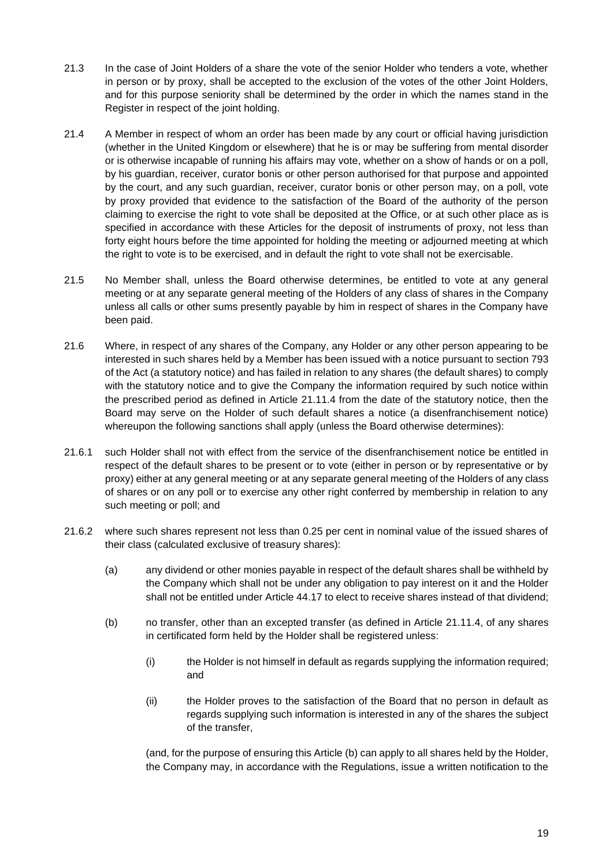- 21.3 In the case of Joint Holders of a share the vote of the senior Holder who tenders a vote, whether in person or by proxy, shall be accepted to the exclusion of the votes of the other Joint Holders, and for this purpose seniority shall be determined by the order in which the names stand in the Register in respect of the joint holding.
- 21.4 A Member in respect of whom an order has been made by any court or official having jurisdiction (whether in the United Kingdom or elsewhere) that he is or may be suffering from mental disorder or is otherwise incapable of running his affairs may vote, whether on a show of hands or on a poll, by his guardian, receiver, curator bonis or other person authorised for that purpose and appointed by the court, and any such guardian, receiver, curator bonis or other person may, on a poll, vote by proxy provided that evidence to the satisfaction of the Board of the authority of the person claiming to exercise the right to vote shall be deposited at the Office, or at such other place as is specified in accordance with these Articles for the deposit of instruments of proxy, not less than forty eight hours before the time appointed for holding the meeting or adjourned meeting at which the right to vote is to be exercised, and in default the right to vote shall not be exercisable.
- 21.5 No Member shall, unless the Board otherwise determines, be entitled to vote at any general meeting or at any separate general meeting of the Holders of any class of shares in the Company unless all calls or other sums presently payable by him in respect of shares in the Company have been paid.
- <span id="page-21-1"></span>21.6 Where, in respect of any shares of the Company, any Holder or any other person appearing to be interested in such shares held by a Member has been issued with a notice pursuant to section 793 of the Act (a statutory notice) and has failed in relation to any shares (the default shares) to comply with the statutory notice and to give the Company the information required by such notice within the prescribed period as defined in Article [21.11.4](#page-22-0) from the date of the statutory notice, then the Board may serve on the Holder of such default shares a notice (a disenfranchisement notice) whereupon the following sanctions shall apply (unless the Board otherwise determines):
- 21.6.1 such Holder shall not with effect from the service of the disenfranchisement notice be entitled in respect of the default shares to be present or to vote (either in person or by representative or by proxy) either at any general meeting or at any separate general meeting of the Holders of any class of shares or on any poll or to exercise any other right conferred by membership in relation to any such meeting or poll; and
- <span id="page-21-0"></span>21.6.2 where such shares represent not less than 0.25 per cent in nominal value of the issued shares of their class (calculated exclusive of treasury shares):
	- (a) any dividend or other monies payable in respect of the default shares shall be withheld by the Company which shall not be under any obligation to pay interest on it and the Holder shall not be entitled under Article [44.17](#page-41-0) to elect to receive shares instead of that dividend;
	- (b) no transfer, other than an excepted transfer (as defined in Article [21.11.4,](#page-22-0) of any shares in certificated form held by the Holder shall be registered unless:
		- (i) the Holder is not himself in default as regards supplying the information required; and
		- (ii) the Holder proves to the satisfaction of the Board that no person in default as regards supplying such information is interested in any of the shares the subject of the transfer,

(and, for the purpose of ensuring this Article [\(b\)](#page-21-0) can apply to all shares held by the Holder, the Company may, in accordance with the Regulations, issue a written notification to the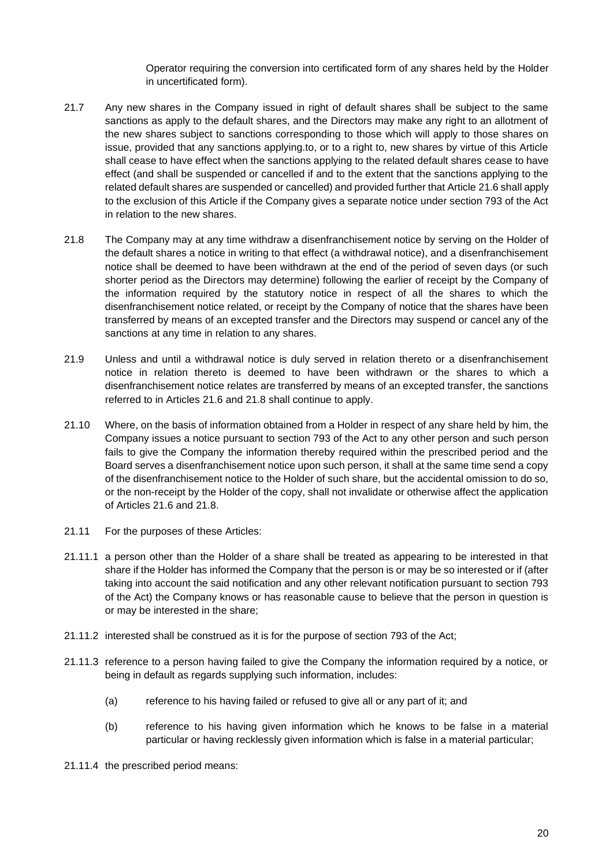Operator requiring the conversion into certificated form of any shares held by the Holder in uncertificated form).

- 21.7 Any new shares in the Company issued in right of default shares shall be subject to the same sanctions as apply to the default shares, and the Directors may make any right to an allotment of the new shares subject to sanctions corresponding to those which will apply to those shares on issue, provided that any sanctions applying.to, or to a right to, new shares by virtue of this Article shall cease to have effect when the sanctions applying to the related default shares cease to have effect (and shall be suspended or cancelled if and to the extent that the sanctions applying to the related default shares are suspended or cancelled) and provided further that Articl[e 21.6](#page-21-1) shall apply to the exclusion of this Article if the Company gives a separate notice under section 793 of the Act in relation to the new shares.
- <span id="page-22-1"></span>21.8 The Company may at any time withdraw a disenfranchisement notice by serving on the Holder of the default shares a notice in writing to that effect (a withdrawal notice), and a disenfranchisement notice shall be deemed to have been withdrawn at the end of the period of seven days (or such shorter period as the Directors may determine) following the earlier of receipt by the Company of the information required by the statutory notice in respect of all the shares to which the disenfranchisement notice related, or receipt by the Company of notice that the shares have been transferred by means of an excepted transfer and the Directors may suspend or cancel any of the sanctions at any time in relation to any shares.
- 21.9 Unless and until a withdrawal notice is duly served in relation thereto or a disenfranchisement notice in relation thereto is deemed to have been withdrawn or the shares to which a disenfranchisement notice relates are transferred by means of an excepted transfer, the sanctions referred to in Articles [21.6](#page-21-1) and [21.8](#page-22-1) shall continue to apply.
- 21.10 Where, on the basis of information obtained from a Holder in respect of any share held by him, the Company issues a notice pursuant to section 793 of the Act to any other person and such person fails to give the Company the information thereby required within the prescribed period and the Board serves a disenfranchisement notice upon such person, it shall at the same time send a copy of the disenfranchisement notice to the Holder of such share, but the accidental omission to do so, or the non-receipt by the Holder of the copy, shall not invalidate or otherwise affect the application of Articles [21.6](#page-21-1) and [21.8.](#page-22-1)
- 21.11 For the purposes of these Articles:
- 21.11.1 a person other than the Holder of a share shall be treated as appearing to be interested in that share if the Holder has informed the Company that the person is or may be so interested or if (after taking into account the said notification and any other relevant notification pursuant to section 793 of the Act) the Company knows or has reasonable cause to believe that the person in question is or may be interested in the share;
- 21.11.2 interested shall be construed as it is for the purpose of section 793 of the Act;
- 21.11.3 reference to a person having failed to give the Company the information required by a notice, or being in default as regards supplying such information, includes:
	- (a) reference to his having failed or refused to give all or any part of it; and
	- (b) reference to his having given information which he knows to be false in a material particular or having recklessly given information which is false in a material particular;
- <span id="page-22-0"></span>21.11.4 the prescribed period means: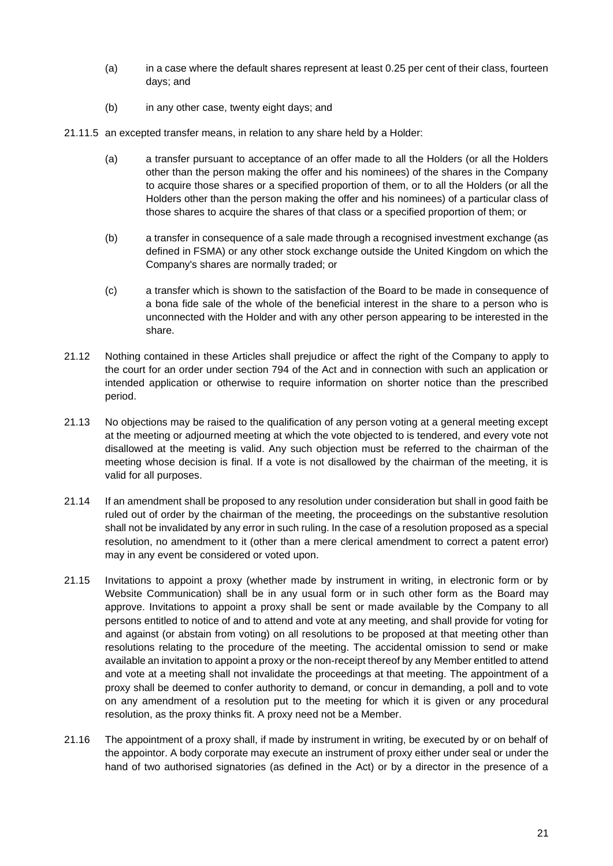- (a) in a case where the default shares represent at least 0.25 per cent of their class, fourteen days; and
- (b) in any other case, twenty eight days; and
- 21.11.5 an excepted transfer means, in relation to any share held by a Holder:
	- (a) a transfer pursuant to acceptance of an offer made to all the Holders (or all the Holders other than the person making the offer and his nominees) of the shares in the Company to acquire those shares or a specified proportion of them, or to all the Holders (or all the Holders other than the person making the offer and his nominees) of a particular class of those shares to acquire the shares of that class or a specified proportion of them; or
	- (b) a transfer in consequence of a sale made through a recognised investment exchange (as defined in FSMA) or any other stock exchange outside the United Kingdom on which the Company's shares are normally traded; or
	- (c) a transfer which is shown to the satisfaction of the Board to be made in consequence of a bona fide sale of the whole of the beneficial interest in the share to a person who is unconnected with the Holder and with any other person appearing to be interested in the share.
- 21.12 Nothing contained in these Articles shall prejudice or affect the right of the Company to apply to the court for an order under section 794 of the Act and in connection with such an application or intended application or otherwise to require information on shorter notice than the prescribed period.
- 21.13 No objections may be raised to the qualification of any person voting at a general meeting except at the meeting or adjourned meeting at which the vote objected to is tendered, and every vote not disallowed at the meeting is valid. Any such objection must be referred to the chairman of the meeting whose decision is final. If a vote is not disallowed by the chairman of the meeting, it is valid for all purposes.
- 21.14 If an amendment shall be proposed to any resolution under consideration but shall in good faith be ruled out of order by the chairman of the meeting, the proceedings on the substantive resolution shall not be invalidated by any error in such ruling. In the case of a resolution proposed as a special resolution, no amendment to it (other than a mere clerical amendment to correct a patent error) may in any event be considered or voted upon.
- 21.15 Invitations to appoint a proxy (whether made by instrument in writing, in electronic form or by Website Communication) shall be in any usual form or in such other form as the Board may approve. Invitations to appoint a proxy shall be sent or made available by the Company to all persons entitled to notice of and to attend and vote at any meeting, and shall provide for voting for and against (or abstain from voting) on all resolutions to be proposed at that meeting other than resolutions relating to the procedure of the meeting. The accidental omission to send or make available an invitation to appoint a proxy or the non-receipt thereof by any Member entitled to attend and vote at a meeting shall not invalidate the proceedings at that meeting. The appointment of a proxy shall be deemed to confer authority to demand, or concur in demanding, a poll and to vote on any amendment of a resolution put to the meeting for which it is given or any procedural resolution, as the proxy thinks fit. A proxy need not be a Member.
- 21.16 The appointment of a proxy shall, if made by instrument in writing, be executed by or on behalf of the appointor. A body corporate may execute an instrument of proxy either under seal or under the hand of two authorised signatories (as defined in the Act) or by a director in the presence of a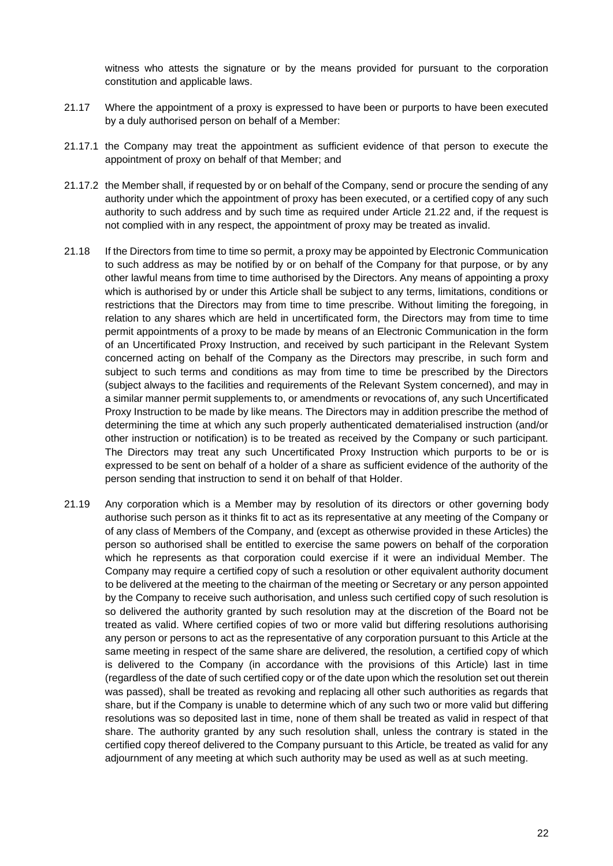witness who attests the signature or by the means provided for pursuant to the corporation constitution and applicable laws.

- 21.17 Where the appointment of a proxy is expressed to have been or purports to have been executed by a duly authorised person on behalf of a Member:
- 21.17.1 the Company may treat the appointment as sufficient evidence of that person to execute the appointment of proxy on behalf of that Member; and
- 21.17.2 the Member shall, if requested by or on behalf of the Company, send or procure the sending of any authority under which the appointment of proxy has been executed, or a certified copy of any such authority to such address and by such time as required under Article [21.22](#page-25-0) and, if the request is not complied with in any respect, the appointment of proxy may be treated as invalid.
- 21.18 If the Directors from time to time so permit, a proxy may be appointed by Electronic Communication to such address as may be notified by or on behalf of the Company for that purpose, or by any other lawful means from time to time authorised by the Directors. Any means of appointing a proxy which is authorised by or under this Article shall be subject to any terms, limitations, conditions or restrictions that the Directors may from time to time prescribe. Without limiting the foregoing, in relation to any shares which are held in uncertificated form, the Directors may from time to time permit appointments of a proxy to be made by means of an Electronic Communication in the form of an Uncertificated Proxy Instruction, and received by such participant in the Relevant System concerned acting on behalf of the Company as the Directors may prescribe, in such form and subject to such terms and conditions as may from time to time be prescribed by the Directors (subject always to the facilities and requirements of the Relevant System concerned), and may in a similar manner permit supplements to, or amendments or revocations of, any such Uncertificated Proxy Instruction to be made by like means. The Directors may in addition prescribe the method of determining the time at which any such properly authenticated dematerialised instruction (and/or other instruction or notification) is to be treated as received by the Company or such participant. The Directors may treat any such Uncertificated Proxy Instruction which purports to be or is expressed to be sent on behalf of a holder of a share as sufficient evidence of the authority of the person sending that instruction to send it on behalf of that Holder.
- 21.19 Any corporation which is a Member may by resolution of its directors or other governing body authorise such person as it thinks fit to act as its representative at any meeting of the Company or of any class of Members of the Company, and (except as otherwise provided in these Articles) the person so authorised shall be entitled to exercise the same powers on behalf of the corporation which he represents as that corporation could exercise if it were an individual Member. The Company may require a certified copy of such a resolution or other equivalent authority document to be delivered at the meeting to the chairman of the meeting or Secretary or any person appointed by the Company to receive such authorisation, and unless such certified copy of such resolution is so delivered the authority granted by such resolution may at the discretion of the Board not be treated as valid. Where certified copies of two or more valid but differing resolutions authorising any person or persons to act as the representative of any corporation pursuant to this Article at the same meeting in respect of the same share are delivered, the resolution, a certified copy of which is delivered to the Company (in accordance with the provisions of this Article) last in time (regardless of the date of such certified copy or of the date upon which the resolution set out therein was passed), shall be treated as revoking and replacing all other such authorities as regards that share, but if the Company is unable to determine which of any such two or more valid but differing resolutions was so deposited last in time, none of them shall be treated as valid in respect of that share. The authority granted by any such resolution shall, unless the contrary is stated in the certified copy thereof delivered to the Company pursuant to this Article, be treated as valid for any adjournment of any meeting at which such authority may be used as well as at such meeting.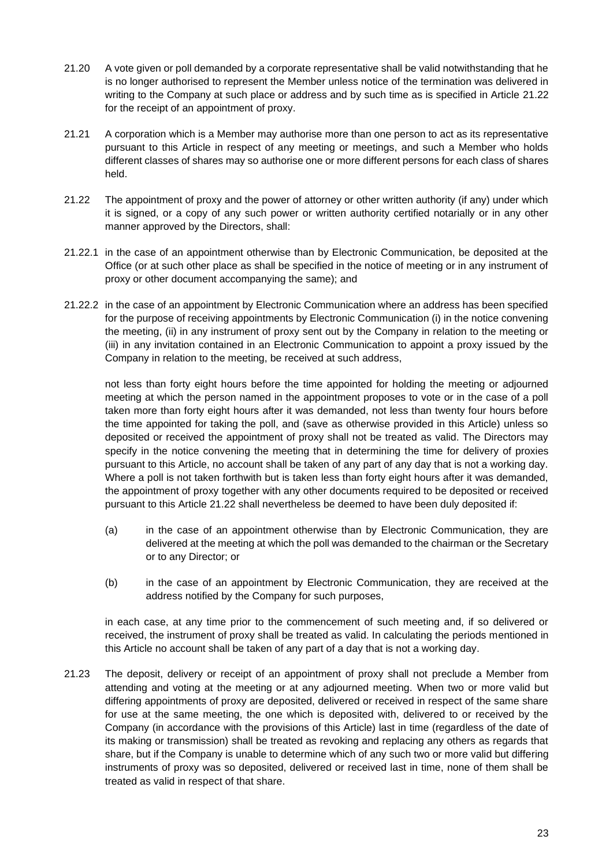- 21.20 A vote given or poll demanded by a corporate representative shall be valid notwithstanding that he is no longer authorised to represent the Member unless notice of the termination was delivered in writing to the Company at such place or address and by such time as is specified in Article [21.22](#page-25-0) for the receipt of an appointment of proxy.
- 21.21 A corporation which is a Member may authorise more than one person to act as its representative pursuant to this Article in respect of any meeting or meetings, and such a Member who holds different classes of shares may so authorise one or more different persons for each class of shares held.
- <span id="page-25-0"></span>21.22 The appointment of proxy and the power of attorney or other written authority (if any) under which it is signed, or a copy of any such power or written authority certified notarially or in any other manner approved by the Directors, shall:
- 21.22.1 in the case of an appointment otherwise than by Electronic Communication, be deposited at the Office (or at such other place as shall be specified in the notice of meeting or in any instrument of proxy or other document accompanying the same); and
- 21.22.2 in the case of an appointment by Electronic Communication where an address has been specified for the purpose of receiving appointments by Electronic Communication (i) in the notice convening the meeting, (ii) in any instrument of proxy sent out by the Company in relation to the meeting or (iii) in any invitation contained in an Electronic Communication to appoint a proxy issued by the Company in relation to the meeting, be received at such address,

not less than forty eight hours before the time appointed for holding the meeting or adjourned meeting at which the person named in the appointment proposes to vote or in the case of a poll taken more than forty eight hours after it was demanded, not less than twenty four hours before the time appointed for taking the poll, and (save as otherwise provided in this Article) unless so deposited or received the appointment of proxy shall not be treated as valid. The Directors may specify in the notice convening the meeting that in determining the time for delivery of proxies pursuant to this Article, no account shall be taken of any part of any day that is not a working day. Where a poll is not taken forthwith but is taken less than forty eight hours after it was demanded, the appointment of proxy together with any other documents required to be deposited or received pursuant to this Article [21.22](#page-25-0) shall nevertheless be deemed to have been duly deposited if:

- (a) in the case of an appointment otherwise than by Electronic Communication, they are delivered at the meeting at which the poll was demanded to the chairman or the Secretary or to any Director; or
- (b) in the case of an appointment by Electronic Communication, they are received at the address notified by the Company for such purposes,

in each case, at any time prior to the commencement of such meeting and, if so delivered or received, the instrument of proxy shall be treated as valid. In calculating the periods mentioned in this Article no account shall be taken of any part of a day that is not a working day.

21.23 The deposit, delivery or receipt of an appointment of proxy shall not preclude a Member from attending and voting at the meeting or at any adjourned meeting. When two or more valid but differing appointments of proxy are deposited, delivered or received in respect of the same share for use at the same meeting, the one which is deposited with, delivered to or received by the Company (in accordance with the provisions of this Article) last in time (regardless of the date of its making or transmission) shall be treated as revoking and replacing any others as regards that share, but if the Company is unable to determine which of any such two or more valid but differing instruments of proxy was so deposited, delivered or received last in time, none of them shall be treated as valid in respect of that share.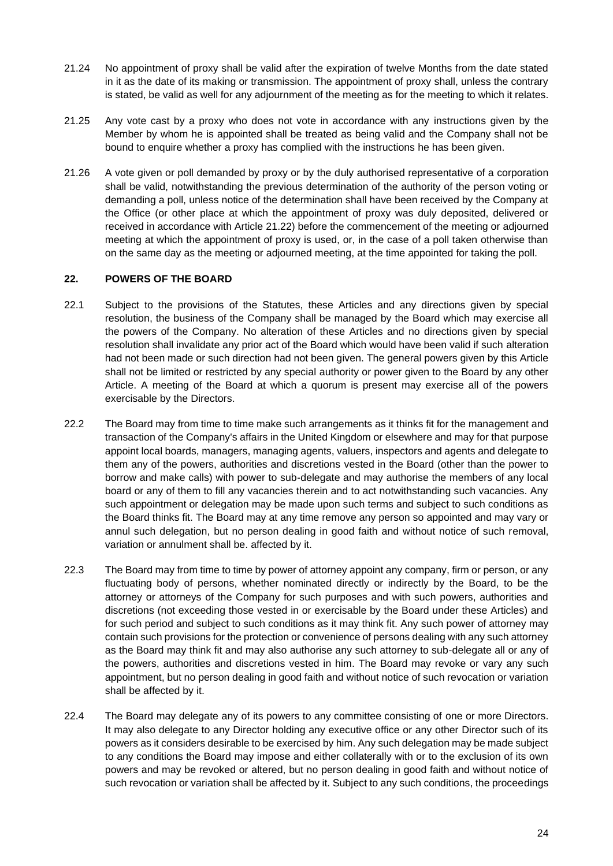- 21.24 No appointment of proxy shall be valid after the expiration of twelve Months from the date stated in it as the date of its making or transmission. The appointment of proxy shall, unless the contrary is stated, be valid as well for any adjournment of the meeting as for the meeting to which it relates.
- 21.25 Any vote cast by a proxy who does not vote in accordance with any instructions given by the Member by whom he is appointed shall be treated as being valid and the Company shall not be bound to enquire whether a proxy has complied with the instructions he has been given.
- 21.26 A vote given or poll demanded by proxy or by the duly authorised representative of a corporation shall be valid, notwithstanding the previous determination of the authority of the person voting or demanding a poll, unless notice of the determination shall have been received by the Company at the Office (or other place at which the appointment of proxy was duly deposited, delivered or received in accordance with Article [21.22\)](#page-25-0) before the commencement of the meeting or adjourned meeting at which the appointment of proxy is used, or, in the case of a poll taken otherwise than on the same day as the meeting or adjourned meeting, at the time appointed for taking the poll.

### **22. POWERS OF THE BOARD**

- 22.1 Subject to the provisions of the Statutes, these Articles and any directions given by special resolution, the business of the Company shall be managed by the Board which may exercise all the powers of the Company. No alteration of these Articles and no directions given by special resolution shall invalidate any prior act of the Board which would have been valid if such alteration had not been made or such direction had not been given. The general powers given by this Article shall not be limited or restricted by any special authority or power given to the Board by any other Article. A meeting of the Board at which a quorum is present may exercise all of the powers exercisable by the Directors.
- 22.2 The Board may from time to time make such arrangements as it thinks fit for the management and transaction of the Company's affairs in the United Kingdom or elsewhere and may for that purpose appoint local boards, managers, managing agents, valuers, inspectors and agents and delegate to them any of the powers, authorities and discretions vested in the Board (other than the power to borrow and make calls) with power to sub-delegate and may authorise the members of any local board or any of them to fill any vacancies therein and to act notwithstanding such vacancies. Any such appointment or delegation may be made upon such terms and subject to such conditions as the Board thinks fit. The Board may at any time remove any person so appointed and may vary or annul such delegation, but no person dealing in good faith and without notice of such removal, variation or annulment shall be. affected by it.
- 22.3 The Board may from time to time by power of attorney appoint any company, firm or person, or any fluctuating body of persons, whether nominated directly or indirectly by the Board, to be the attorney or attorneys of the Company for such purposes and with such powers, authorities and discretions (not exceeding those vested in or exercisable by the Board under these Articles) and for such period and subject to such conditions as it may think fit. Any such power of attorney may contain such provisions for the protection or convenience of persons dealing with any such attorney as the Board may think fit and may also authorise any such attorney to sub-delegate all or any of the powers, authorities and discretions vested in him. The Board may revoke or vary any such appointment, but no person dealing in good faith and without notice of such revocation or variation shall be affected by it.
- <span id="page-26-0"></span>22.4 The Board may delegate any of its powers to any committee consisting of one or more Directors. It may also delegate to any Director holding any executive office or any other Director such of its powers as it considers desirable to be exercised by him. Any such delegation may be made subject to any conditions the Board may impose and either collaterally with or to the exclusion of its own powers and may be revoked or altered, but no person dealing in good faith and without notice of such revocation or variation shall be affected by it. Subject to any such conditions, the proceedings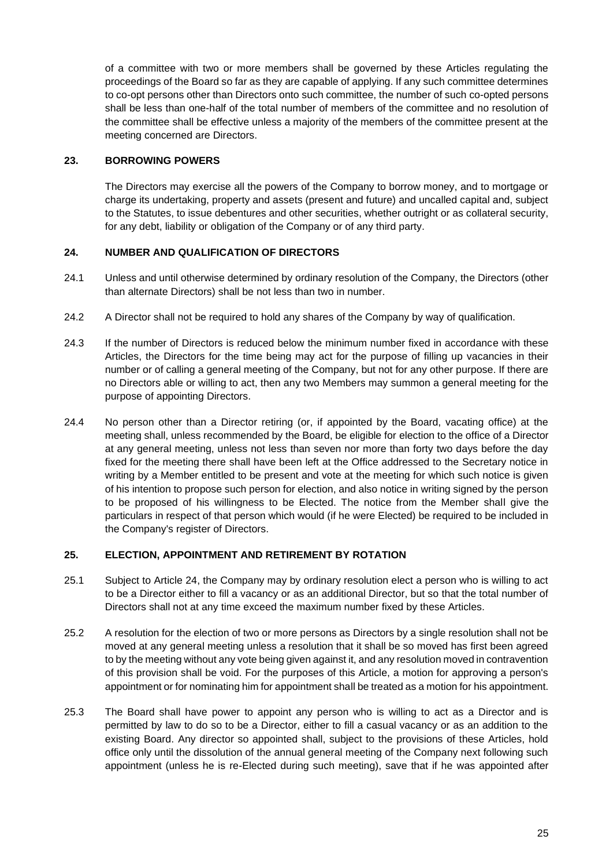of a committee with two or more members shall be governed by these Articles regulating the proceedings of the Board so far as they are capable of applying. If any such committee determines to co-opt persons other than Directors onto such committee, the number of such co-opted persons shall be less than one-half of the total number of members of the committee and no resolution of the committee shall be effective unless a majority of the members of the committee present at the meeting concerned are Directors.

#### **23. BORROWING POWERS**

The Directors may exercise all the powers of the Company to borrow money, and to mortgage or charge its undertaking, property and assets (present and future) and uncalled capital and, subject to the Statutes, to issue debentures and other securities, whether outright or as collateral security, for any debt, liability or obligation of the Company or of any third party.

### <span id="page-27-0"></span>**24. NUMBER AND QUALIFICATION OF DIRECTORS**

- 24.1 Unless and until otherwise determined by ordinary resolution of the Company, the Directors (other than alternate Directors) shall be not less than two in number.
- 24.2 A Director shall not be required to hold any shares of the Company by way of qualification.
- 24.3 If the number of Directors is reduced below the minimum number fixed in accordance with these Articles, the Directors for the time being may act for the purpose of filling up vacancies in their number or of calling a general meeting of the Company, but not for any other purpose. If there are no Directors able or willing to act, then any two Members may summon a general meeting for the purpose of appointing Directors.
- 24.4 No person other than a Director retiring (or, if appointed by the Board, vacating office) at the meeting shall, unless recommended by the Board, be eligible for election to the office of a Director at any general meeting, unless not less than seven nor more than forty two days before the day fixed for the meeting there shall have been left at the Office addressed to the Secretary notice in writing by a Member entitled to be present and vote at the meeting for which such notice is given of his intention to propose such person for election, and also notice in writing signed by the person to be proposed of his willingness to be Elected. The notice from the Member shall give the particulars in respect of that person which would (if he were Elected) be required to be included in the Company's register of Directors.

#### **25. ELECTION, APPOINTMENT AND RETIREMENT BY ROTATION**

- 25.1 Subject to Article [24,](#page-27-0) the Company may by ordinary resolution elect a person who is willing to act to be a Director either to fill a vacancy or as an additional Director, but so that the total number of Directors shall not at any time exceed the maximum number fixed by these Articles.
- 25.2 A resolution for the election of two or more persons as Directors by a single resolution shall not be moved at any general meeting unless a resolution that it shall be so moved has first been agreed to by the meeting without any vote being given against it, and any resolution moved in contravention of this provision shall be void. For the purposes of this Article, a motion for approving a person's appointment or for nominating him for appointment shall be treated as a motion for his appointment.
- <span id="page-27-1"></span>25.3 The Board shall have power to appoint any person who is willing to act as a Director and is permitted by law to do so to be a Director, either to fill a casual vacancy or as an addition to the existing Board. Any director so appointed shall, subject to the provisions of these Articles, hold office only until the dissolution of the annual general meeting of the Company next following such appointment (unless he is re-Elected during such meeting), save that if he was appointed after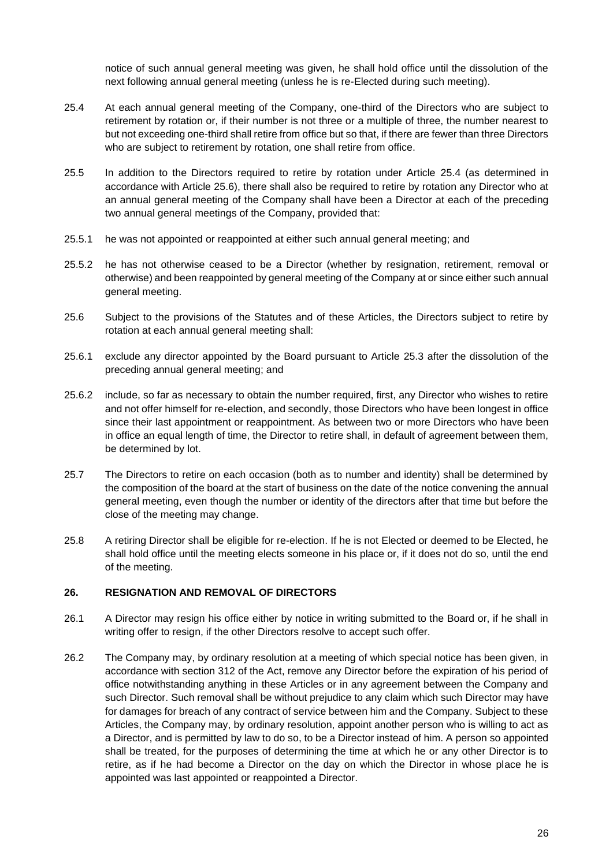notice of such annual general meeting was given, he shall hold office until the dissolution of the next following annual general meeting (unless he is re-Elected during such meeting).

- <span id="page-28-0"></span>25.4 At each annual general meeting of the Company, one-third of the Directors who are subject to retirement by rotation or, if their number is not three or a multiple of three, the number nearest to but not exceeding one-third shall retire from office but so that, if there are fewer than three Directors who are subject to retirement by rotation, one shall retire from office.
- 25.5 In addition to the Directors required to retire by rotation under Article [25.4](#page-28-0) (as determined in accordance with Article [25.6\)](#page-28-1), there shall also be required to retire by rotation any Director who at an annual general meeting of the Company shall have been a Director at each of the preceding two annual general meetings of the Company, provided that:
- 25.5.1 he was not appointed or reappointed at either such annual general meeting; and
- 25.5.2 he has not otherwise ceased to be a Director (whether by resignation, retirement, removal or otherwise) and been reappointed by general meeting of the Company at or since either such annual general meeting.
- <span id="page-28-1"></span>25.6 Subject to the provisions of the Statutes and of these Articles, the Directors subject to retire by rotation at each annual general meeting shall:
- 25.6.1 exclude any director appointed by the Board pursuant to Article [25.3](#page-27-1) after the dissolution of the preceding annual general meeting; and
- 25.6.2 include, so far as necessary to obtain the number required, first, any Director who wishes to retire and not offer himself for re-election, and secondly, those Directors who have been longest in office since their last appointment or reappointment. As between two or more Directors who have been in office an equal length of time, the Director to retire shall, in default of agreement between them, be determined by lot.
- 25.7 The Directors to retire on each occasion (both as to number and identity) shall be determined by the composition of the board at the start of business on the date of the notice convening the annual general meeting, even though the number or identity of the directors after that time but before the close of the meeting may change.
- 25.8 A retiring Director shall be eligible for re-election. If he is not Elected or deemed to be Elected, he shall hold office until the meeting elects someone in his place or, if it does not do so, until the end of the meeting.

#### **26. RESIGNATION AND REMOVAL OF DIRECTORS**

- 26.1 A Director may resign his office either by notice in writing submitted to the Board or, if he shall in writing offer to resign, if the other Directors resolve to accept such offer.
- 26.2 The Company may, by ordinary resolution at a meeting of which special notice has been given, in accordance with section 312 of the Act, remove any Director before the expiration of his period of office notwithstanding anything in these Articles or in any agreement between the Company and such Director. Such removal shall be without prejudice to any claim which such Director may have for damages for breach of any contract of service between him and the Company. Subject to these Articles, the Company may, by ordinary resolution, appoint another person who is willing to act as a Director, and is permitted by law to do so, to be a Director instead of him. A person so appointed shall be treated, for the purposes of determining the time at which he or any other Director is to retire, as if he had become a Director on the day on which the Director in whose place he is appointed was last appointed or reappointed a Director.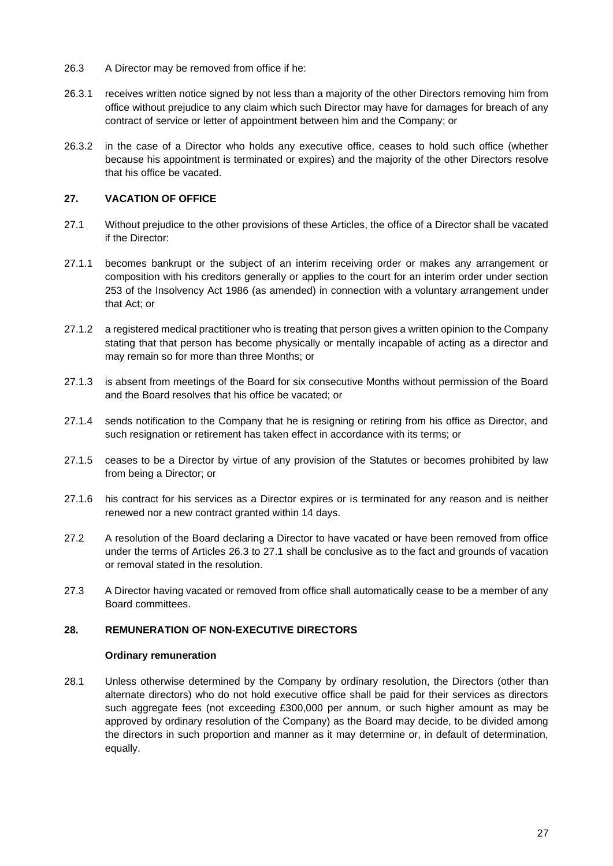- <span id="page-29-0"></span>26.3 A Director may be removed from office if he:
- 26.3.1 receives written notice signed by not less than a majority of the other Directors removing him from office without prejudice to any claim which such Director may have for damages for breach of any contract of service or letter of appointment between him and the Company; or
- 26.3.2 in the case of a Director who holds any executive office, ceases to hold such office (whether because his appointment is terminated or expires) and the majority of the other Directors resolve that his office be vacated.

#### <span id="page-29-1"></span>**27. VACATION OF OFFICE**

- 27.1 Without prejudice to the other provisions of these Articles, the office of a Director shall be vacated if the Director:
- 27.1.1 becomes bankrupt or the subject of an interim receiving order or makes any arrangement or composition with his creditors generally or applies to the court for an interim order under section 253 of the Insolvency Act 1986 (as amended) in connection with a voluntary arrangement under that Act; or
- 27.1.2 a registered medical practitioner who is treating that person gives a written opinion to the Company stating that that person has become physically or mentally incapable of acting as a director and may remain so for more than three Months; or
- 27.1.3 is absent from meetings of the Board for six consecutive Months without permission of the Board and the Board resolves that his office be vacated; or
- 27.1.4 sends notification to the Company that he is resigning or retiring from his office as Director, and such resignation or retirement has taken effect in accordance with its terms; or
- 27.1.5 ceases to be a Director by virtue of any provision of the Statutes or becomes prohibited by law from being a Director; or
- 27.1.6 his contract for his services as a Director expires or is terminated for any reason and is neither renewed nor a new contract granted within 14 days.
- 27.2 A resolution of the Board declaring a Director to have vacated or have been removed from office under the terms of Articles [26.3](#page-29-0) to [27.1](#page-29-1) shall be conclusive as to the fact and grounds of vacation or removal stated in the resolution.
- 27.3 A Director having vacated or removed from office shall automatically cease to be a member of any Board committees.

#### <span id="page-29-2"></span>**28. REMUNERATION OF NON-EXECUTIVE DIRECTORS**

#### **Ordinary remuneration**

28.1 Unless otherwise determined by the Company by ordinary resolution, the Directors (other than alternate directors) who do not hold executive office shall be paid for their services as directors such aggregate fees (not exceeding £300,000 per annum, or such higher amount as may be approved by ordinary resolution of the Company) as the Board may decide, to be divided among the directors in such proportion and manner as it may determine or, in default of determination, equally.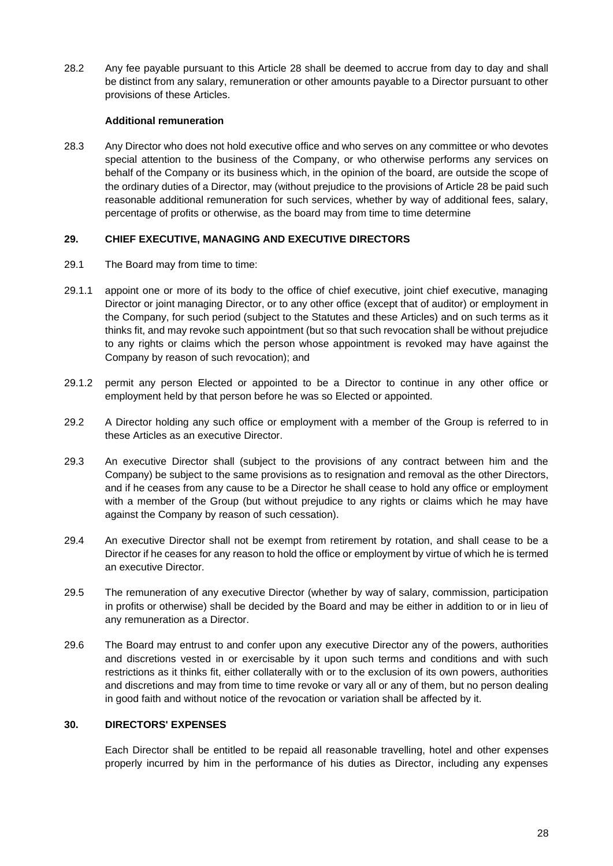28.2 Any fee payable pursuant to this Article [2](#page-29-2)8 shall be deemed to accrue from day to day and shall be distinct from any salary, remuneratio[n or](#page-29-2) other amounts payable to a Director pursuant to other provisions of these Articles.

#### **Additional remuneration**

28.3 Any Director who does not hold executive office and who serves on any committee or who devotes special attention to the business of the Company, or who otherwise performs any services on behalf of the Company or its business which, in the opinion of the board, are outside the scope of the ordinary duties of a Director, may (without prejudice to the provisions of Article [28](#page-29-2) be paid such reasonable additional remuneration for such services, whether by way of additional fees, salary, percentage of profits or otherwise, as the board may from time to time determine

#### **29. CHIEF EXECUTIVE, MANAGING AND EXECUTIVE DIRECTORS**

- 29.1 The Board may from time to time:
- 29.1.1 appoint one or more of its body to the office of chief executive, joint chief executive, managing Director or joint managing Director, or to any other office (except that of auditor) or employment in the Company, for such period (subject to the Statutes and these Articles) and on such terms as it thinks fit, and may revoke such appointment (but so that such revocation shall be without prejudice to any rights or claims which the person whose appointment is revoked may have against the Company by reason of such revocation); and
- 29.1.2 permit any person Elected or appointed to be a Director to continue in any other office or employment held by that person before he was so Elected or appointed.
- 29.2 A Director holding any such office or employment with a member of the Group is referred to in these Articles as an executive Director.
- 29.3 An executive Director shall (subject to the provisions of any contract between him and the Company) be subject to the same provisions as to resignation and removal as the other Directors, and if he ceases from any cause to be a Director he shall cease to hold any office or employment with a member of the Group (but without prejudice to any rights or claims which he may have against the Company by reason of such cessation).
- 29.4 An executive Director shall not be exempt from retirement by rotation, and shall cease to be a Director if he ceases for any reason to hold the office or employment by virtue of which he is termed an executive Director.
- 29.5 The remuneration of any executive Director (whether by way of salary, commission, participation in profits or otherwise) shall be decided by the Board and may be either in addition to or in lieu of any remuneration as a Director.
- 29.6 The Board may entrust to and confer upon any executive Director any of the powers, authorities and discretions vested in or exercisable by it upon such terms and conditions and with such restrictions as it thinks fit, either collaterally with or to the exclusion of its own powers, authorities and discretions and may from time to time revoke or vary all or any of them, but no person dealing in good faith and without notice of the revocation or variation shall be affected by it.

#### **30. DIRECTORS' EXPENSES**

Each Director shall be entitled to be repaid all reasonable travelling, hotel and other expenses properly incurred by him in the performance of his duties as Director, including any expenses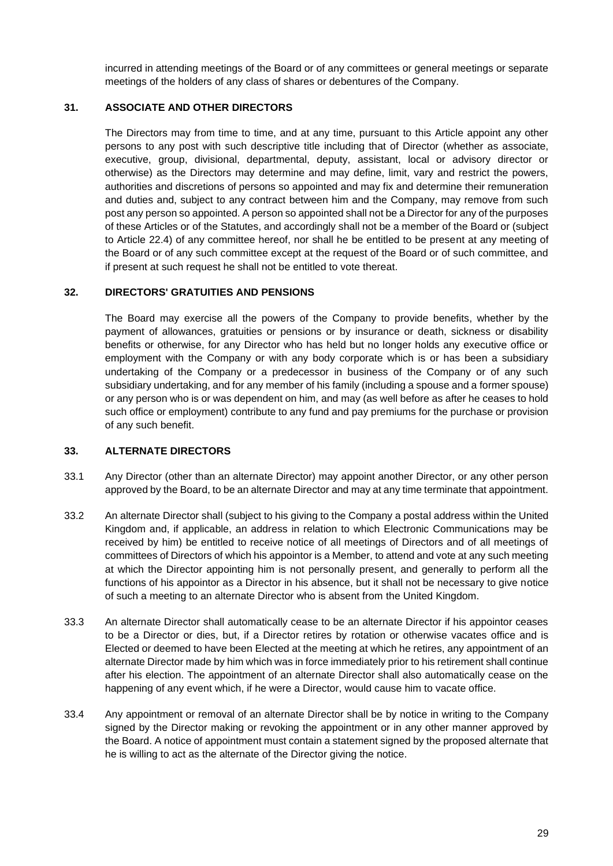incurred in attending meetings of the Board or of any committees or general meetings or separate meetings of the holders of any class of shares or debentures of the Company.

#### **31. ASSOCIATE AND OTHER DIRECTORS**

The Directors may from time to time, and at any time, pursuant to this Article appoint any other persons to any post with such descriptive title including that of Director (whether as associate, executive, group, divisional, departmental, deputy, assistant, local or advisory director or otherwise) as the Directors may determine and may define, limit, vary and restrict the powers, authorities and discretions of persons so appointed and may fix and determine their remuneration and duties and, subject to any contract between him and the Company, may remove from such post any person so appointed. A person so appointed shall not be a Director for any of the purposes of these Articles or of the Statutes, and accordingly shall not be a member of the Board or (subject to Article [22.4\)](#page-26-0) of any committee hereof, nor shall he be entitled to be present at any meeting of the Board or of any such committee except at the request of the Board or of such committee, and if present at such request he shall not be entitled to vote thereat.

## **32. DIRECTORS' GRATUITIES AND PENSIONS**

The Board may exercise all the powers of the Company to provide benefits, whether by the payment of allowances, gratuities or pensions or by insurance or death, sickness or disability benefits or otherwise, for any Director who has held but no longer holds any executive office or employment with the Company or with any body corporate which is or has been a subsidiary undertaking of the Company or a predecessor in business of the Company or of any such subsidiary undertaking, and for any member of his family (including a spouse and a former spouse) or any person who is or was dependent on him, and may (as well before as after he ceases to hold such office or employment) contribute to any fund and pay premiums for the purchase or provision of any such benefit.

#### **33. ALTERNATE DIRECTORS**

- 33.1 Any Director (other than an alternate Director) may appoint another Director, or any other person approved by the Board, to be an alternate Director and may at any time terminate that appointment.
- 33.2 An alternate Director shall (subject to his giving to the Company a postal address within the United Kingdom and, if applicable, an address in relation to which Electronic Communications may be received by him) be entitled to receive notice of all meetings of Directors and of all meetings of committees of Directors of which his appointor is a Member, to attend and vote at any such meeting at which the Director appointing him is not personally present, and generally to perform all the functions of his appointor as a Director in his absence, but it shall not be necessary to give notice of such a meeting to an alternate Director who is absent from the United Kingdom.
- 33.3 An alternate Director shall automatically cease to be an alternate Director if his appointor ceases to be a Director or dies, but, if a Director retires by rotation or otherwise vacates office and is Elected or deemed to have been Elected at the meeting at which he retires, any appointment of an alternate Director made by him which was in force immediately prior to his retirement shall continue after his election. The appointment of an alternate Director shall also automatically cease on the happening of any event which, if he were a Director, would cause him to vacate office.
- 33.4 Any appointment or removal of an alternate Director shall be by notice in writing to the Company signed by the Director making or revoking the appointment or in any other manner approved by the Board. A notice of appointment must contain a statement signed by the proposed alternate that he is willing to act as the alternate of the Director giving the notice.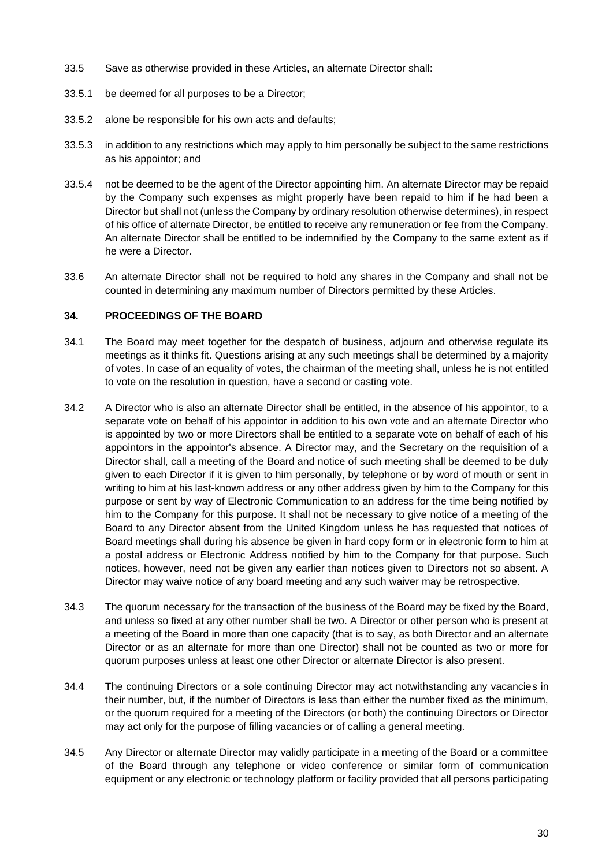- 33.5 Save as otherwise provided in these Articles, an alternate Director shall:
- 33.5.1 be deemed for all purposes to be a Director;
- 33.5.2 alone be responsible for his own acts and defaults;
- 33.5.3 in addition to any restrictions which may apply to him personally be subject to the same restrictions as his appointor; and
- 33.5.4 not be deemed to be the agent of the Director appointing him. An alternate Director may be repaid by the Company such expenses as might properly have been repaid to him if he had been a Director but shall not (unless the Company by ordinary resolution otherwise determines), in respect of his office of alternate Director, be entitled to receive any remuneration or fee from the Company. An alternate Director shall be entitled to be indemnified by the Company to the same extent as if he were a Director.
- 33.6 An alternate Director shall not be required to hold any shares in the Company and shall not be counted in determining any maximum number of Directors permitted by these Articles.

#### **34. PROCEEDINGS OF THE BOARD**

- 34.1 The Board may meet together for the despatch of business, adjourn and otherwise regulate its meetings as it thinks fit. Questions arising at any such meetings shall be determined by a majority of votes. In case of an equality of votes, the chairman of the meeting shall, unless he is not entitled to vote on the resolution in question, have a second or casting vote.
- 34.2 A Director who is also an alternate Director shall be entitled, in the absence of his appointor, to a separate vote on behalf of his appointor in addition to his own vote and an alternate Director who is appointed by two or more Directors shall be entitled to a separate vote on behalf of each of his appointors in the appointor's absence. A Director may, and the Secretary on the requisition of a Director shall, call a meeting of the Board and notice of such meeting shall be deemed to be duly given to each Director if it is given to him personally, by telephone or by word of mouth or sent in writing to him at his last-known address or any other address given by him to the Company for this purpose or sent by way of Electronic Communication to an address for the time being notified by him to the Company for this purpose. It shall not be necessary to give notice of a meeting of the Board to any Director absent from the United Kingdom unless he has requested that notices of Board meetings shall during his absence be given in hard copy form or in electronic form to him at a postal address or Electronic Address notified by him to the Company for that purpose. Such notices, however, need not be given any earlier than notices given to Directors not so absent. A Director may waive notice of any board meeting and any such waiver may be retrospective.
- 34.3 The quorum necessary for the transaction of the business of the Board may be fixed by the Board, and unless so fixed at any other number shall be two. A Director or other person who is present at a meeting of the Board in more than one capacity (that is to say, as both Director and an alternate Director or as an alternate for more than one Director) shall not be counted as two or more for quorum purposes unless at least one other Director or alternate Director is also present.
- 34.4 The continuing Directors or a sole continuing Director may act notwithstanding any vacancies in their number, but, if the number of Directors is less than either the number fixed as the minimum, or the quorum required for a meeting of the Directors (or both) the continuing Directors or Director may act only for the purpose of filling vacancies or of calling a general meeting.
- 34.5 Any Director or alternate Director may validly participate in a meeting of the Board or a committee of the Board through any telephone or video conference or similar form of communication equipment or any electronic or technology platform or facility provided that all persons participating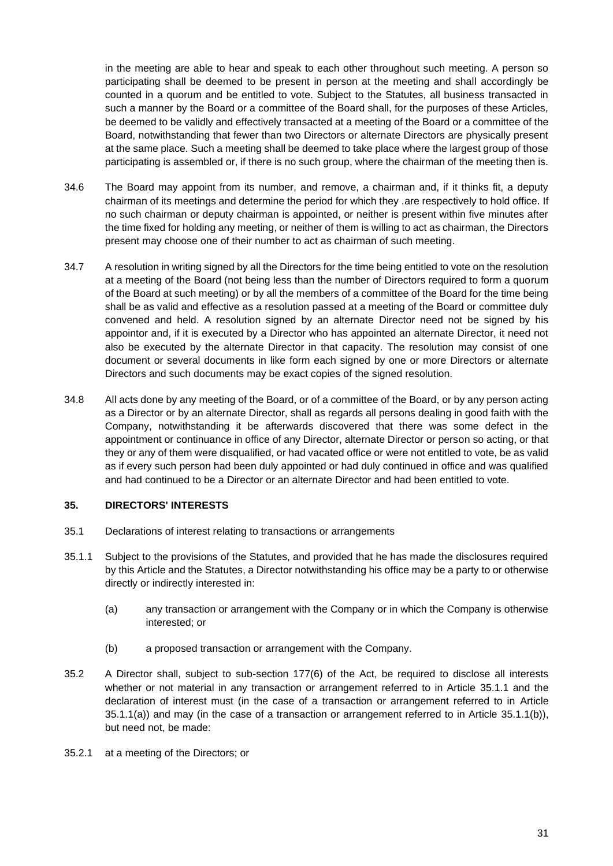in the meeting are able to hear and speak to each other throughout such meeting. A person so participating shall be deemed to be present in person at the meeting and shall accordingly be counted in a quorum and be entitled to vote. Subject to the Statutes, all business transacted in such a manner by the Board or a committee of the Board shall, for the purposes of these Articles, be deemed to be validly and effectively transacted at a meeting of the Board or a committee of the Board, notwithstanding that fewer than two Directors or alternate Directors are physically present at the same place. Such a meeting shall be deemed to take place where the largest group of those participating is assembled or, if there is no such group, where the chairman of the meeting then is.

- 34.6 The Board may appoint from its number, and remove, a chairman and, if it thinks fit, a deputy chairman of its meetings and determine the period for which they .are respectively to hold office. If no such chairman or deputy chairman is appointed, or neither is present within five minutes after the time fixed for holding any meeting, or neither of them is willing to act as chairman, the Directors present may choose one of their number to act as chairman of such meeting.
- 34.7 A resolution in writing signed by all the Directors for the time being entitled to vote on the resolution at a meeting of the Board (not being less than the number of Directors required to form a quorum of the Board at such meeting) or by all the members of a committee of the Board for the time being shall be as valid and effective as a resolution passed at a meeting of the Board or committee duly convened and held. A resolution signed by an alternate Director need not be signed by his appointor and, if it is executed by a Director who has appointed an alternate Director, it need not also be executed by the alternate Director in that capacity. The resolution may consist of one document or several documents in like form each signed by one or more Directors or alternate Directors and such documents may be exact copies of the signed resolution.
- 34.8 All acts done by any meeting of the Board, or of a committee of the Board, or by any person acting as a Director or by an alternate Director, shall as regards all persons dealing in good faith with the Company, notwithstanding it be afterwards discovered that there was some defect in the appointment or continuance in office of any Director, alternate Director or person so acting, or that they or any of them were disqualified, or had vacated office or were not entitled to vote, be as valid as if every such person had been duly appointed or had duly continued in office and was qualified and had continued to be a Director or an alternate Director and had been entitled to vote.

#### **35. DIRECTORS' INTERESTS**

- <span id="page-33-0"></span>35.1 Declarations of interest relating to transactions or arrangements
- <span id="page-33-1"></span>35.1.1 Subject to the provisions of the Statutes, and provided that he has made the disclosures required by this Article and the Statutes, a Director notwithstanding his office may be a party to or otherwise directly or indirectly interested in:
	- (a) any transaction or arrangement with the Company or in which the Company is otherwise interested; or
	- (b) a proposed transaction or arrangement with the Company.
- <span id="page-33-2"></span>35.2 A Director shall, subject to sub-section 177(6) of the Act, be required to disclose all interests whether or not material in any transaction or arrangement referred to in Article [35.1.1](#page-33-0) and the declaration of interest must (in the case of a transaction or arrangement referred to in Article [35.1.1\(a\)\)](#page-33-1) and may (in the case of a transaction or arrangement referred to in Article [35.1.1\(b\)\)](#page-33-2), but need not, be made:
- 35.2.1 at a meeting of the Directors; or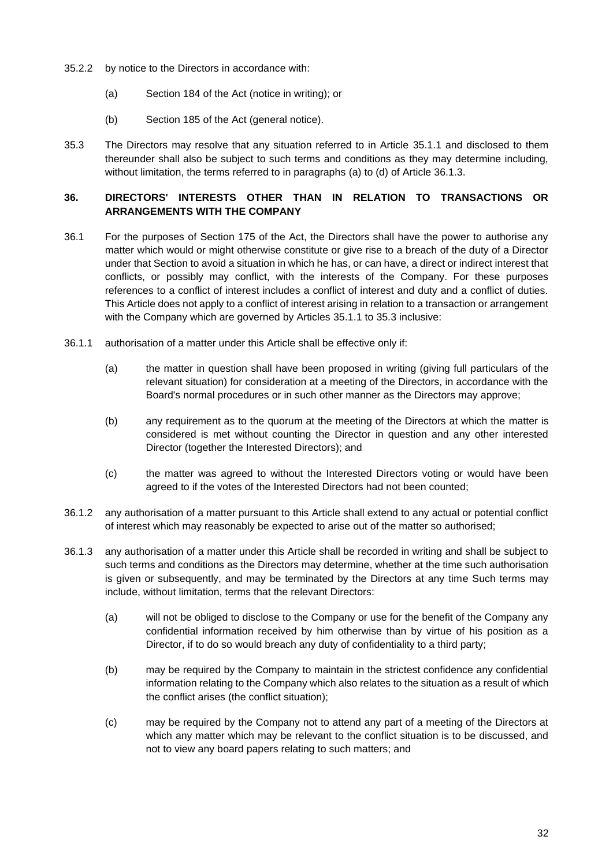- 35.2.2 by notice to the Directors in accordance with:
	- (a) Section 184 of the Act (notice in writing); or
	- (b) Section 185 of the Act (general notice).
- <span id="page-34-2"></span>35.3 The Directors may resolve that any situation referred to in Article [35.1.1](#page-33-0) and disclosed to them thereunder shall also be subject to such terms and conditions as they may determine including, without limitation, the terms referred to in paragraphs [\(a\)](#page-34-0) to [\(d\)](#page-35-0) of Article [36.1.3.](#page-34-1)

# **36. DIRECTORS' INTERESTS OTHER THAN IN RELATION TO TRANSACTIONS OR ARRANGEMENTS WITH THE COMPANY**

- 36.1 For the purposes of Section 175 of the Act, the Directors shall have the power to authorise any matter which would or might otherwise constitute or give rise to a breach of the duty of a Director under that Section to avoid a situation in which he has, or can have, a direct or indirect interest that conflicts, or possibly may conflict, with the interests of the Company. For these purposes references to a conflict of interest includes a conflict of interest and duty and a conflict of duties. This Article does not apply to a conflict of interest arising in relation to a transaction or arrangement with the Company which are governed by Articles [35.1.1](#page-33-0) to [35.3](#page-34-2) inclusive:
- 36.1.1 authorisation of a matter under this Article shall be effective only if:
	- (a) the matter in question shall have been proposed in writing (giving full particulars of the relevant situation) for consideration at a meeting of the Directors, in accordance with the Board's normal procedures or in such other manner as the Directors may approve;
	- (b) any requirement as to the quorum at the meeting of the Directors at which the matter is considered is met without counting the Director in question and any other interested Director (together the Interested Directors); and
	- (c) the matter was agreed to without the Interested Directors voting or would have been agreed to if the votes of the Interested Directors had not been counted;
- 36.1.2 any authorisation of a matter pursuant to this Article shall extend to any actual or potential conflict of interest which may reasonably be expected to arise out of the matter so authorised;
- <span id="page-34-1"></span><span id="page-34-0"></span>36.1.3 any authorisation of a matter under this Article shall be recorded in writing and shall be subject to such terms and conditions as the Directors may determine, whether at the time such authorisation is given or subsequently, and may be terminated by the Directors at any time Such terms may include, without limitation, terms that the relevant Directors:
	- (a) will not be obliged to disclose to the Company or use for the benefit of the Company any confidential information received by him otherwise than by virtue of his position as a Director, if to do so would breach any duty of confidentiality to a third party;
	- (b) may be required by the Company to maintain in the strictest confidence any confidential information relating to the Company which also relates to the situation as a result of which the conflict arises (the conflict situation);
	- (c) may be required by the Company not to attend any part of a meeting of the Directors at which any matter which may be relevant to the conflict situation is to be discussed, and not to view any board papers relating to such matters; and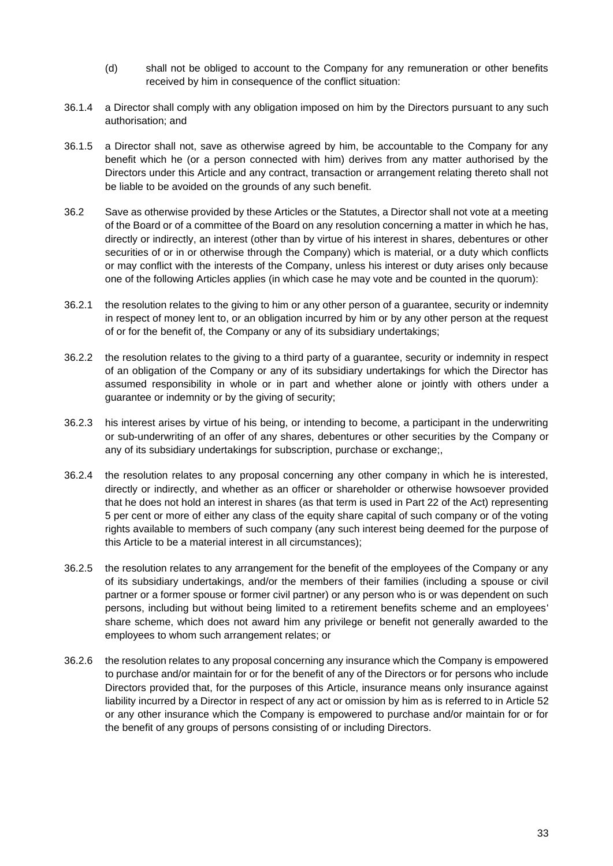- (d) shall not be obliged to account to the Company for any remuneration or other benefits received by him in consequence of the conflict situation:
- <span id="page-35-0"></span>36.1.4 a Director shall comply with any obligation imposed on him by the Directors pursuant to any such authorisation; and
- 36.1.5 a Director shall not, save as otherwise agreed by him, be accountable to the Company for any benefit which he (or a person connected with him) derives from any matter authorised by the Directors under this Article and any contract, transaction or arrangement relating thereto shall not be liable to be avoided on the grounds of any such benefit.
- <span id="page-35-1"></span>36.2 Save as otherwise provided by these Articles or the Statutes, a Director shall not vote at a meeting of the Board or of a committee of the Board on any resolution concerning a matter in which he has, directly or indirectly, an interest (other than by virtue of his interest in shares, debentures or other securities of or in or otherwise through the Company) which is material, or a duty which conflicts or may conflict with the interests of the Company, unless his interest or duty arises only because one of the following Articles applies (in which case he may vote and be counted in the quorum):
- 36.2.1 the resolution relates to the giving to him or any other person of a guarantee, security or indemnity in respect of money lent to, or an obligation incurred by him or by any other person at the request of or for the benefit of, the Company or any of its subsidiary undertakings;
- 36.2.2 the resolution relates to the giving to a third party of a guarantee, security or indemnity in respect of an obligation of the Company or any of its subsidiary undertakings for which the Director has assumed responsibility in whole or in part and whether alone or jointly with others under a guarantee or indemnity or by the giving of security;
- 36.2.3 his interest arises by virtue of his being, or intending to become, a participant in the underwriting or sub-underwriting of an offer of any shares, debentures or other securities by the Company or any of its subsidiary undertakings for subscription, purchase or exchange;,
- <span id="page-35-2"></span>36.2.4 the resolution relates to any proposal concerning any other company in which he is interested, directly or indirectly, and whether as an officer or shareholder or otherwise howsoever provided that he does not hold an interest in shares (as that term is used in Part 22 of the Act) representing 5 per cent or more of either any class of the equity share capital of such company or of the voting rights available to members of such company (any such interest being deemed for the purpose of this Article to be a material interest in all circumstances);
- 36.2.5 the resolution relates to any arrangement for the benefit of the employees of the Company or any of its subsidiary undertakings, and/or the members of their families (including a spouse or civil partner or a former spouse or former civil partner) or any person who is or was dependent on such persons, including but without being limited to a retirement benefits scheme and an employees' share scheme, which does not award him any privilege or benefit not generally awarded to the employees to whom such arrangement relates; or
- 36.2.6 the resolution relates to any proposal concerning any insurance which the Company is empowered to purchase and/or maintain for or for the benefit of any of the Directors or for persons who include Directors provided that, for the purposes of this Article, insurance means only insurance against liability incurred by a Director in respect of any act or omission by him as is referred to in Article [52](#page-50-0) or any other insurance which the Company is empowered to purchase and/or maintain for or for the benefit of any groups of persons consisting of or including Directors.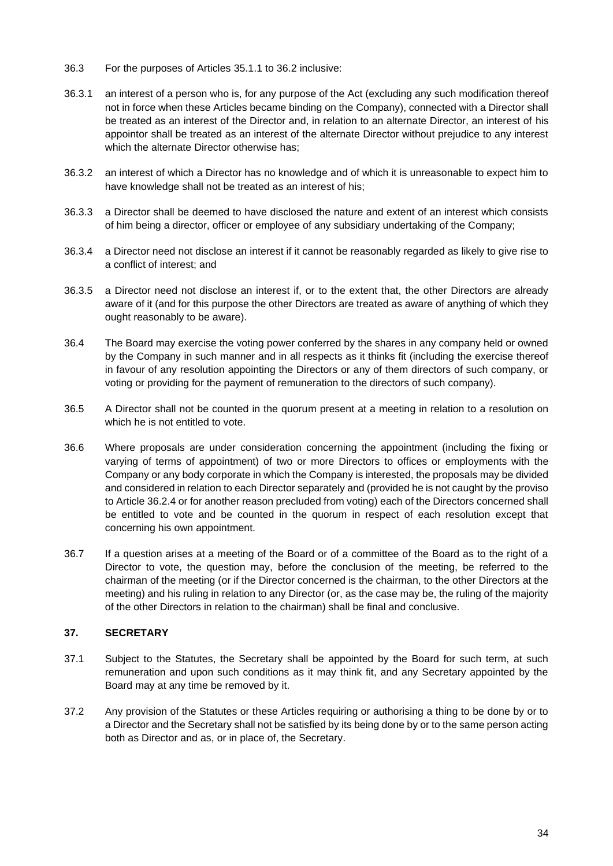- 36.3 For the purposes of Articles [35.1.1](#page-33-0) to [36.2](#page-35-1) inclusive:
- 36.3.1 an interest of a person who is, for any purpose of the Act (excluding any such modification thereof not in force when these Articles became binding on the Company), connected with a Director shall be treated as an interest of the Director and, in relation to an alternate Director, an interest of his appointor shall be treated as an interest of the alternate Director without prejudice to any interest which the alternate Director otherwise has;
- 36.3.2 an interest of which a Director has no knowledge and of which it is unreasonable to expect him to have knowledge shall not be treated as an interest of his;
- 36.3.3 a Director shall be deemed to have disclosed the nature and extent of an interest which consists of him being a director, officer or employee of any subsidiary undertaking of the Company;
- 36.3.4 a Director need not disclose an interest if it cannot be reasonably regarded as likely to give rise to a conflict of interest; and
- 36.3.5 a Director need not disclose an interest if, or to the extent that, the other Directors are already aware of it (and for this purpose the other Directors are treated as aware of anything of which they ought reasonably to be aware).
- 36.4 The Board may exercise the voting power conferred by the shares in any company held or owned by the Company in such manner and in all respects as it thinks fit (including the exercise thereof in favour of any resolution appointing the Directors or any of them directors of such company, or voting or providing for the payment of remuneration to the directors of such company).
- 36.5 A Director shall not be counted in the quorum present at a meeting in relation to a resolution on which he is not entitled to vote.
- 36.6 Where proposals are under consideration concerning the appointment (including the fixing or varying of terms of appointment) of two or more Directors to offices or employments with the Company or any body corporate in which the Company is interested, the proposals may be divided and considered in relation to each Director separately and (provided he is not caught by the proviso to Article [36.2.4](#page-35-2) or for another reason precluded from voting) each of the Directors concerned shall be entitled to vote and be counted in the quorum in respect of each resolution except that concerning his own appointment.
- 36.7 If a question arises at a meeting of the Board or of a committee of the Board as to the right of a Director to vote, the question may, before the conclusion of the meeting, be referred to the chairman of the meeting (or if the Director concerned is the chairman, to the other Directors at the meeting) and his ruling in relation to any Director (or, as the case may be, the ruling of the majority of the other Directors in relation to the chairman) shall be final and conclusive.

#### **37. SECRETARY**

- 37.1 Subject to the Statutes, the Secretary shall be appointed by the Board for such term, at such remuneration and upon such conditions as it may think fit, and any Secretary appointed by the Board may at any time be removed by it.
- 37.2 Any provision of the Statutes or these Articles requiring or authorising a thing to be done by or to a Director and the Secretary shall not be satisfied by its being done by or to the same person acting both as Director and as, or in place of, the Secretary.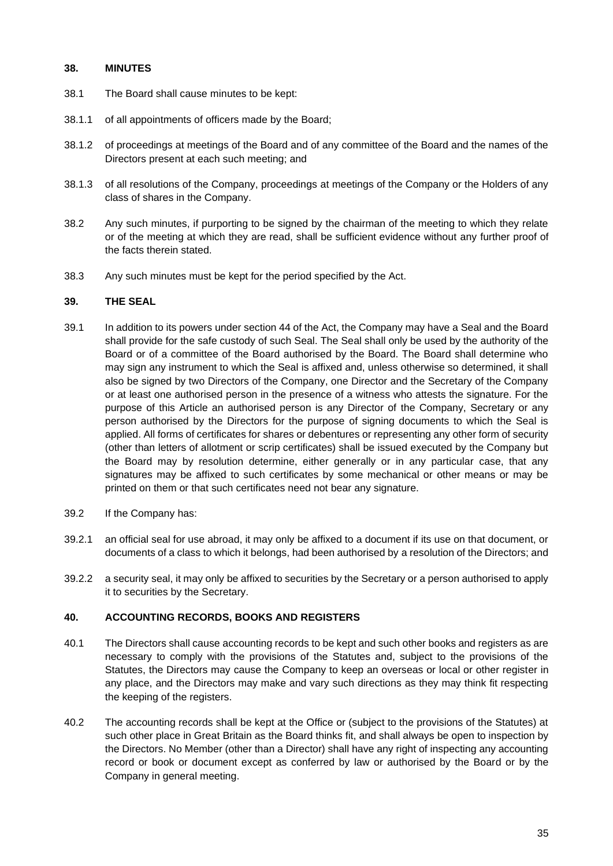#### **38. MINUTES**

- 38.1 The Board shall cause minutes to be kept:
- 38.1.1 of all appointments of officers made by the Board;
- 38.1.2 of proceedings at meetings of the Board and of any committee of the Board and the names of the Directors present at each such meeting; and
- 38.1.3 of all resolutions of the Company, proceedings at meetings of the Company or the Holders of any class of shares in the Company.
- 38.2 Any such minutes, if purporting to be signed by the chairman of the meeting to which they relate or of the meeting at which they are read, shall be sufficient evidence without any further proof of the facts therein stated.
- 38.3 Any such minutes must be kept for the period specified by the Act.

#### **39. THE SEAL**

- 39.1 In addition to its powers under section 44 of the Act, the Company may have a Seal and the Board shall provide for the safe custody of such Seal. The Seal shall only be used by the authority of the Board or of a committee of the Board authorised by the Board. The Board shall determine who may sign any instrument to which the Seal is affixed and, unless otherwise so determined, it shall also be signed by two Directors of the Company, one Director and the Secretary of the Company or at least one authorised person in the presence of a witness who attests the signature. For the purpose of this Article an authorised person is any Director of the Company, Secretary or any person authorised by the Directors for the purpose of signing documents to which the Seal is applied. All forms of certificates for shares or debentures or representing any other form of security (other than letters of allotment or scrip certificates) shall be issued executed by the Company but the Board may by resolution determine, either generally or in any particular case, that any signatures may be affixed to such certificates by some mechanical or other means or may be printed on them or that such certificates need not bear any signature.
- 39.2 If the Company has:
- 39.2.1 an official seal for use abroad, it may only be affixed to a document if its use on that document, or documents of a class to which it belongs, had been authorised by a resolution of the Directors; and
- 39.2.2 a security seal, it may only be affixed to securities by the Secretary or a person authorised to apply it to securities by the Secretary.

#### **40. ACCOUNTING RECORDS, BOOKS AND REGISTERS**

- 40.1 The Directors shall cause accounting records to be kept and such other books and registers as are necessary to comply with the provisions of the Statutes and, subject to the provisions of the Statutes, the Directors may cause the Company to keep an overseas or local or other register in any place, and the Directors may make and vary such directions as they may think fit respecting the keeping of the registers.
- 40.2 The accounting records shall be kept at the Office or (subject to the provisions of the Statutes) at such other place in Great Britain as the Board thinks fit, and shall always be open to inspection by the Directors. No Member (other than a Director) shall have any right of inspecting any accounting record or book or document except as conferred by law or authorised by the Board or by the Company in general meeting.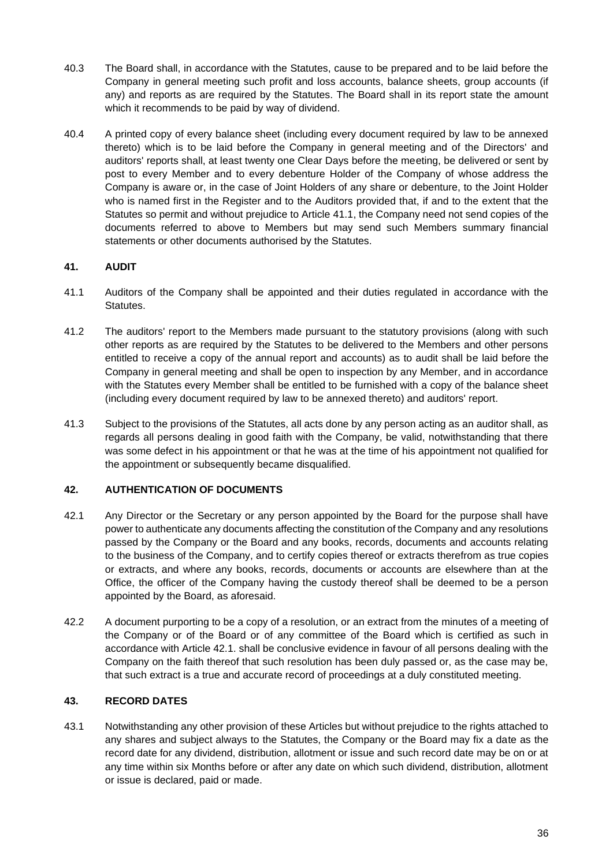- 40.3 The Board shall, in accordance with the Statutes, cause to be prepared and to be laid before the Company in general meeting such profit and loss accounts, balance sheets, group accounts (if any) and reports as are required by the Statutes. The Board shall in its report state the amount which it recommends to be paid by way of dividend.
- 40.4 A printed copy of every balance sheet (including every document required by law to be annexed thereto) which is to be laid before the Company in general meeting and of the Directors' and auditors' reports shall, at least twenty one Clear Days before the meeting, be delivered or sent by post to every Member and to every debenture Holder of the Company of whose address the Company is aware or, in the case of Joint Holders of any share or debenture, to the Joint Holder who is named first in the Register and to the Auditors provided that, if and to the extent that the Statutes so permit and without prejudice to Article [41.1,](#page-38-0) the Company need not send copies of the documents referred to above to Members but may send such Members summary financial statements or other documents authorised by the Statutes.

# <span id="page-38-0"></span>**41. AUDIT**

- 41.1 Auditors of the Company shall be appointed and their duties regulated in accordance with the Statutes.
- 41.2 The auditors' report to the Members made pursuant to the statutory provisions (along with such other reports as are required by the Statutes to be delivered to the Members and other persons entitled to receive a copy of the annual report and accounts) as to audit shall be laid before the Company in general meeting and shall be open to inspection by any Member, and in accordance with the Statutes every Member shall be entitled to be furnished with a copy of the balance sheet (including every document required by law to be annexed thereto) and auditors' report.
- 41.3 Subject to the provisions of the Statutes, all acts done by any person acting as an auditor shall, as regards all persons dealing in good faith with the Company, be valid, notwithstanding that there was some defect in his appointment or that he was at the time of his appointment not qualified for the appointment or subsequently became disqualified.

#### <span id="page-38-1"></span>**42. AUTHENTICATION OF DOCUMENTS**

- 42.1 Any Director or the Secretary or any person appointed by the Board for the purpose shall have power to authenticate any documents affecting the constitution of the Company and any resolutions passed by the Company or the Board and any books, records, documents and accounts relating to the business of the Company, and to certify copies thereof or extracts therefrom as true copies or extracts, and where any books, records, documents or accounts are elsewhere than at the Office, the officer of the Company having the custody thereof shall be deemed to be a person appointed by the Board, as aforesaid.
- 42.2 A document purporting to be a copy of a resolution, or an extract from the minutes of a meeting of the Company or of the Board or of any committee of the Board which is certified as such in accordance with Article [42.1.](#page-38-1) shall be conclusive evidence in favour of all persons dealing with the Company on the faith thereof that such resolution has been duly passed or, as the case may be, that such extract is a true and accurate record of proceedings at a duly constituted meeting.

#### **43. RECORD DATES**

43.1 Notwithstanding any other provision of these Articles but without prejudice to the rights attached to any shares and subject always to the Statutes, the Company or the Board may fix a date as the record date for any dividend, distribution, allotment or issue and such record date may be on or at any time within six Months before or after any date on which such dividend, distribution, allotment or issue is declared, paid or made.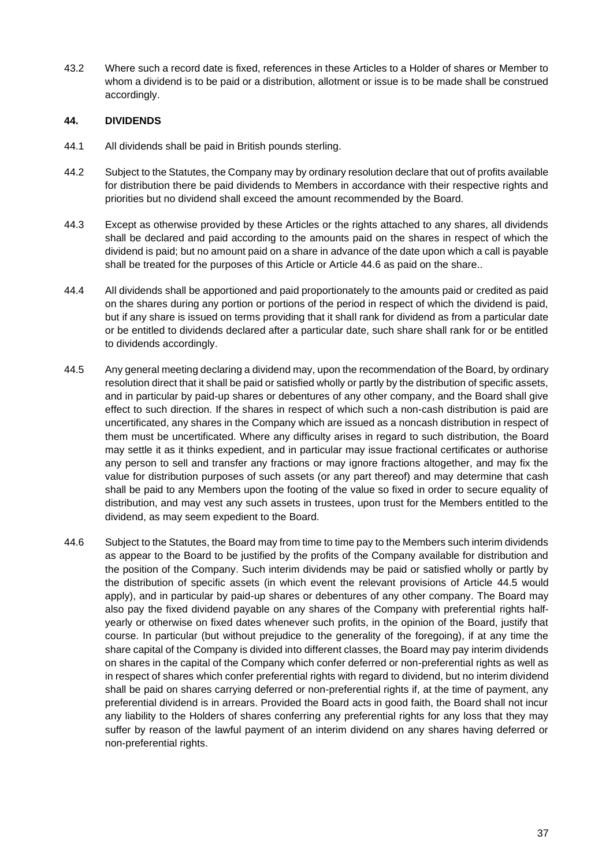43.2 Where such a record date is fixed, references in these Articles to a Holder of shares or Member to whom a dividend is to be paid or a distribution, allotment or issue is to be made shall be construed accordingly.

#### **44. DIVIDENDS**

- 44.1 All dividends shall be paid in British pounds sterling.
- 44.2 Subject to the Statutes, the Company may by ordinary resolution declare that out of profits available for distribution there be paid dividends to Members in accordance with their respective rights and priorities but no dividend shall exceed the amount recommended by the Board.
- 44.3 Except as otherwise provided by these Articles or the rights attached to any shares, all dividends shall be declared and paid according to the amounts paid on the shares in respect of which the dividend is paid; but no amount paid on a share in advance of the date upon which a call is payable shall be treated for the purposes of this Article or Article [44.6](#page-39-0) as paid on the share..
- 44.4 All dividends shall be apportioned and paid proportionately to the amounts paid or credited as paid on the shares during any portion or portions of the period in respect of which the dividend is paid, but if any share is issued on terms providing that it shall rank for dividend as from a particular date or be entitled to dividends declared after a particular date, such share shall rank for or be entitled to dividends accordingly.
- <span id="page-39-1"></span>44.5 Any general meeting declaring a dividend may, upon the recommendation of the Board, by ordinary resolution direct that it shall be paid or satisfied wholly or partly by the distribution of specific assets, and in particular by paid-up shares or debentures of any other company, and the Board shall give effect to such direction. If the shares in respect of which such a non-cash distribution is paid are uncertificated, any shares in the Company which are issued as a noncash distribution in respect of them must be uncertificated. Where any difficulty arises in regard to such distribution, the Board may settle it as it thinks expedient, and in particular may issue fractional certificates or authorise any person to sell and transfer any fractions or may ignore fractions altogether, and may fix the value for distribution purposes of such assets (or any part thereof) and may determine that cash shall be paid to any Members upon the footing of the value so fixed in order to secure equality of distribution, and may vest any such assets in trustees, upon trust for the Members entitled to the dividend, as may seem expedient to the Board.
- <span id="page-39-0"></span>44.6 Subject to the Statutes, the Board may from time to time pay to the Members such interim dividends as appear to the Board to be justified by the profits of the Company available for distribution and the position of the Company. Such interim dividends may be paid or satisfied wholly or partly by the distribution of specific assets (in which event the relevant provisions of Article [44.5](#page-39-1) would apply), and in particular by paid-up shares or debentures of any other company. The Board may also pay the fixed dividend payable on any shares of the Company with preferential rights halfyearly or otherwise on fixed dates whenever such profits, in the opinion of the Board, justify that course. In particular (but without prejudice to the generality of the foregoing), if at any time the share capital of the Company is divided into different classes, the Board may pay interim dividends on shares in the capital of the Company which confer deferred or non-preferential rights as well as in respect of shares which confer preferential rights with regard to dividend, but no interim dividend shall be paid on shares carrying deferred or non-preferential rights if, at the time of payment, any preferential dividend is in arrears. Provided the Board acts in good faith, the Board shall not incur any liability to the Holders of shares conferring any preferential rights for any loss that they may suffer by reason of the lawful payment of an interim dividend on any shares having deferred or non-preferential rights.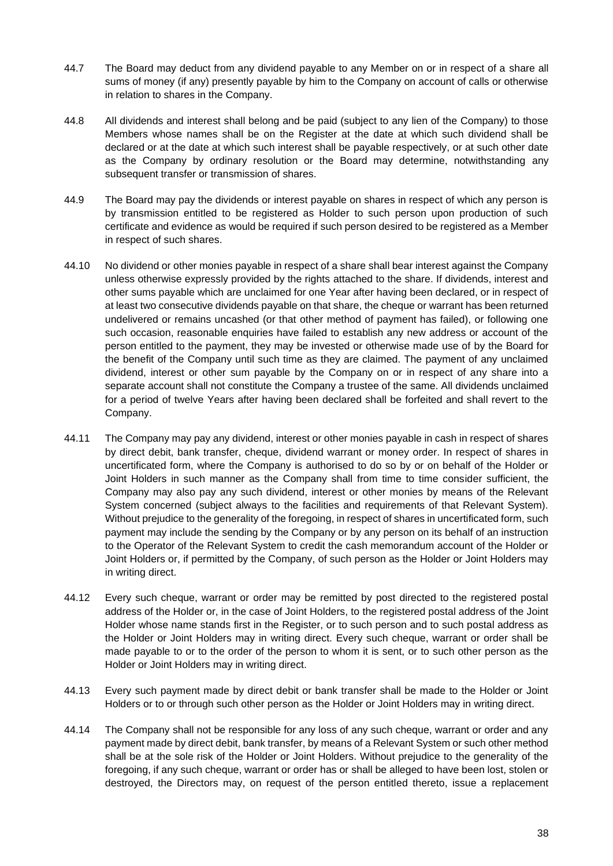- 44.7 The Board may deduct from any dividend payable to any Member on or in respect of a share all sums of money (if any) presently payable by him to the Company on account of calls or otherwise in relation to shares in the Company.
- 44.8 All dividends and interest shall belong and be paid (subject to any lien of the Company) to those Members whose names shall be on the Register at the date at which such dividend shall be declared or at the date at which such interest shall be payable respectively, or at such other date as the Company by ordinary resolution or the Board may determine, notwithstanding any subsequent transfer or transmission of shares.
- 44.9 The Board may pay the dividends or interest payable on shares in respect of which any person is by transmission entitled to be registered as Holder to such person upon production of such certificate and evidence as would be required if such person desired to be registered as a Member in respect of such shares.
- 44.10 No dividend or other monies payable in respect of a share shall bear interest against the Company unless otherwise expressly provided by the rights attached to the share. If dividends, interest and other sums payable which are unclaimed for one Year after having been declared, or in respect of at least two consecutive dividends payable on that share, the cheque or warrant has been returned undelivered or remains uncashed (or that other method of payment has failed), or following one such occasion, reasonable enquiries have failed to establish any new address or account of the person entitled to the payment, they may be invested or otherwise made use of by the Board for the benefit of the Company until such time as they are claimed. The payment of any unclaimed dividend, interest or other sum payable by the Company on or in respect of any share into a separate account shall not constitute the Company a trustee of the same. All dividends unclaimed for a period of twelve Years after having been declared shall be forfeited and shall revert to the Company.
- 44.11 The Company may pay any dividend, interest or other monies payable in cash in respect of shares by direct debit, bank transfer, cheque, dividend warrant or money order. In respect of shares in uncertificated form, where the Company is authorised to do so by or on behalf of the Holder or Joint Holders in such manner as the Company shall from time to time consider sufficient, the Company may also pay any such dividend, interest or other monies by means of the Relevant System concerned (subject always to the facilities and requirements of that Relevant System). Without prejudice to the generality of the foregoing, in respect of shares in uncertificated form, such payment may include the sending by the Company or by any person on its behalf of an instruction to the Operator of the Relevant System to credit the cash memorandum account of the Holder or Joint Holders or, if permitted by the Company, of such person as the Holder or Joint Holders may in writing direct.
- 44.12 Every such cheque, warrant or order may be remitted by post directed to the registered postal address of the Holder or, in the case of Joint Holders, to the registered postal address of the Joint Holder whose name stands first in the Register, or to such person and to such postal address as the Holder or Joint Holders may in writing direct. Every such cheque, warrant or order shall be made payable to or to the order of the person to whom it is sent, or to such other person as the Holder or Joint Holders may in writing direct.
- 44.13 Every such payment made by direct debit or bank transfer shall be made to the Holder or Joint Holders or to or through such other person as the Holder or Joint Holders may in writing direct.
- 44.14 The Company shall not be responsible for any loss of any such cheque, warrant or order and any payment made by direct debit, bank transfer, by means of a Relevant System or such other method shall be at the sole risk of the Holder or Joint Holders. Without prejudice to the generality of the foregoing, if any such cheque, warrant or order has or shall be alleged to have been lost, stolen or destroyed, the Directors may, on request of the person entitled thereto, issue a replacement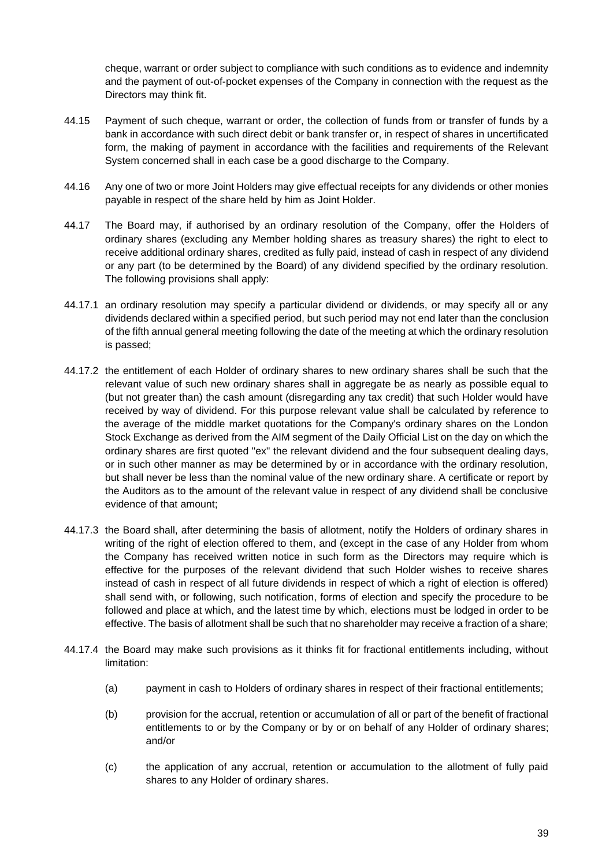cheque, warrant or order subject to compliance with such conditions as to evidence and indemnity and the payment of out-of-pocket expenses of the Company in connection with the request as the Directors may think fit.

- 44.15 Payment of such cheque, warrant or order, the collection of funds from or transfer of funds by a bank in accordance with such direct debit or bank transfer or, in respect of shares in uncertificated form, the making of payment in accordance with the facilities and requirements of the Relevant System concerned shall in each case be a good discharge to the Company.
- 44.16 Any one of two or more Joint Holders may give effectual receipts for any dividends or other monies payable in respect of the share held by him as Joint Holder.
- <span id="page-41-0"></span>44.17 The Board may, if authorised by an ordinary resolution of the Company, offer the Holders of ordinary shares (excluding any Member holding shares as treasury shares) the right to elect to receive additional ordinary shares, credited as fully paid, instead of cash in respect of any dividend or any part (to be determined by the Board) of any dividend specified by the ordinary resolution. The following provisions shall apply:
- 44.17.1 an ordinary resolution may specify a particular dividend or dividends, or may specify all or any dividends declared within a specified period, but such period may not end later than the conclusion of the fifth annual general meeting following the date of the meeting at which the ordinary resolution is passed;
- 44.17.2 the entitlement of each Holder of ordinary shares to new ordinary shares shall be such that the relevant value of such new ordinary shares shall in aggregate be as nearly as possible equal to (but not greater than) the cash amount (disregarding any tax credit) that such Holder would have received by way of dividend. For this purpose relevant value shall be calculated by reference to the average of the middle market quotations for the Company's ordinary shares on the London Stock Exchange as derived from the AIM segment of the Daily Official List on the day on which the ordinary shares are first quoted "ex" the relevant dividend and the four subsequent dealing days, or in such other manner as may be determined by or in accordance with the ordinary resolution, but shall never be less than the nominal value of the new ordinary share. A certificate or report by the Auditors as to the amount of the relevant value in respect of any dividend shall be conclusive evidence of that amount;
- 44.17.3 the Board shall, after determining the basis of allotment, notify the Holders of ordinary shares in writing of the right of election offered to them, and (except in the case of any Holder from whom the Company has received written notice in such form as the Directors may require which is effective for the purposes of the relevant dividend that such Holder wishes to receive shares instead of cash in respect of all future dividends in respect of which a right of election is offered) shall send with, or following, such notification, forms of election and specify the procedure to be followed and place at which, and the latest time by which, elections must be lodged in order to be effective. The basis of allotment shall be such that no shareholder may receive a fraction of a share;
- 44.17.4 the Board may make such provisions as it thinks fit for fractional entitlements including, without limitation:
	- (a) payment in cash to Holders of ordinary shares in respect of their fractional entitlements;
	- (b) provision for the accrual, retention or accumulation of all or part of the benefit of fractional entitlements to or by the Company or by or on behalf of any Holder of ordinary shares; and/or
	- (c) the application of any accrual, retention or accumulation to the allotment of fully paid shares to any Holder of ordinary shares.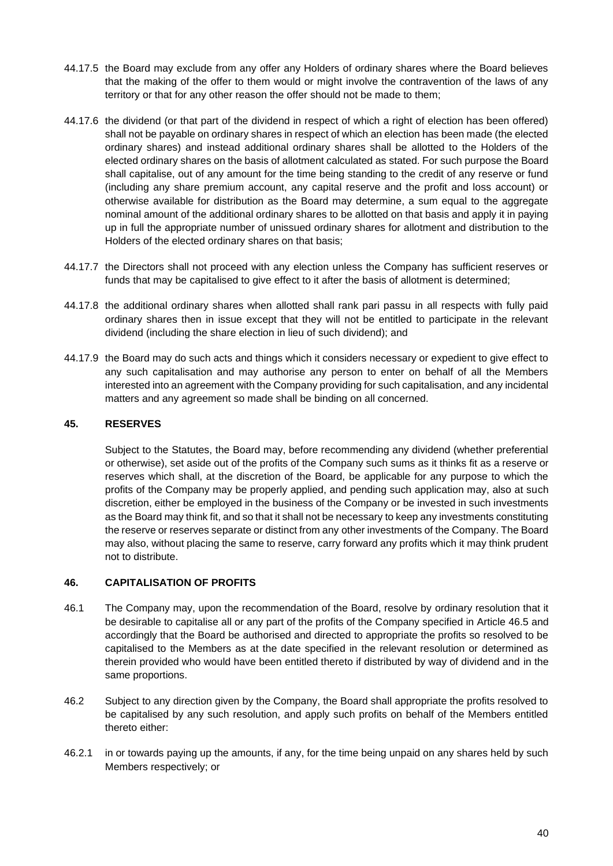- 44.17.5 the Board may exclude from any offer any Holders of ordinary shares where the Board believes that the making of the offer to them would or might involve the contravention of the laws of any territory or that for any other reason the offer should not be made to them;
- 44.17.6 the dividend (or that part of the dividend in respect of which a right of election has been offered) shall not be payable on ordinary shares in respect of which an election has been made (the elected ordinary shares) and instead additional ordinary shares shall be allotted to the Holders of the elected ordinary shares on the basis of allotment calculated as stated. For such purpose the Board shall capitalise, out of any amount for the time being standing to the credit of any reserve or fund (including any share premium account, any capital reserve and the profit and loss account) or otherwise available for distribution as the Board may determine, a sum equal to the aggregate nominal amount of the additional ordinary shares to be allotted on that basis and apply it in paying up in full the appropriate number of unissued ordinary shares for allotment and distribution to the Holders of the elected ordinary shares on that basis;
- 44.17.7 the Directors shall not proceed with any election unless the Company has sufficient reserves or funds that may be capitalised to give effect to it after the basis of allotment is determined;
- 44.17.8 the additional ordinary shares when allotted shall rank pari passu in all respects with fully paid ordinary shares then in issue except that they will not be entitled to participate in the relevant dividend (including the share election in lieu of such dividend); and
- 44.17.9 the Board may do such acts and things which it considers necessary or expedient to give effect to any such capitalisation and may authorise any person to enter on behalf of all the Members interested into an agreement with the Company providing for such capitalisation, and any incidental matters and any agreement so made shall be binding on all concerned.

### **45. RESERVES**

Subject to the Statutes, the Board may, before recommending any dividend (whether preferential or otherwise), set aside out of the profits of the Company such sums as it thinks fit as a reserve or reserves which shall, at the discretion of the Board, be applicable for any purpose to which the profits of the Company may be properly applied, and pending such application may, also at such discretion, either be employed in the business of the Company or be invested in such investments as the Board may think fit, and so that it shall not be necessary to keep any investments constituting the reserve or reserves separate or distinct from any other investments of the Company. The Board may also, without placing the same to reserve, carry forward any profits which it may think prudent not to distribute.

#### <span id="page-42-0"></span>**46. CAPITALISATION OF PROFITS**

- 46.1 The Company may, upon the recommendation of the Board, resolve by ordinary resolution that it be desirable to capitalise all or any part of the profits of the Company specified in Article [46.5](#page-43-0) and accordingly that the Board be authorised and directed to appropriate the profits so resolved to be capitalised to the Members as at the date specified in the relevant resolution or determined as therein provided who would have been entitled thereto if distributed by way of dividend and in the same proportions.
- 46.2 Subject to any direction given by the Company, the Board shall appropriate the profits resolved to be capitalised by any such resolution, and apply such profits on behalf of the Members entitled thereto either:
- 46.2.1 in or towards paying up the amounts, if any, for the time being unpaid on any shares held by such Members respectively; or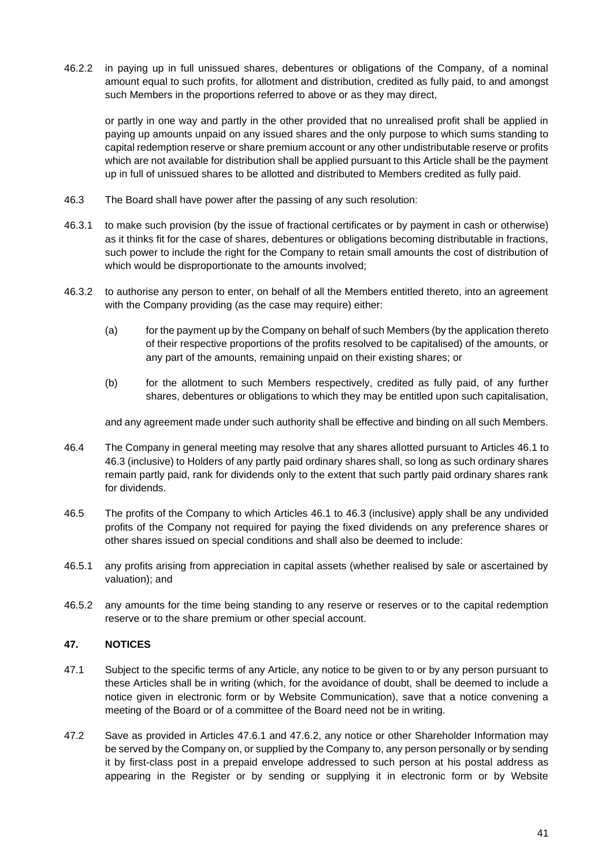46.2.2 in paying up in full unissued shares, debentures or obligations of the Company, of a nominal amount equal to such profits, for allotment and distribution, credited as fully paid, to and amongst such Members in the proportions referred to above or as they may direct,

or partly in one way and partly in the other provided that no unrealised profit shall be applied in paying up amounts unpaid on any issued shares and the only purpose to which sums standing to capital redemption reserve or share premium account or any other undistributable reserve or profits which are not available for distribution shall be applied pursuant to this Article shall be the payment up in full of unissued shares to be allotted and distributed to Members credited as fully paid.

- <span id="page-43-1"></span>46.3 The Board shall have power after the passing of any such resolution:
- 46.3.1 to make such provision (by the issue of fractional certificates or by payment in cash or otherwise) as it thinks fit for the case of shares, debentures or obligations becoming distributable in fractions, such power to include the right for the Company to retain small amounts the cost of distribution of which would be disproportionate to the amounts involved;
- 46.3.2 to authorise any person to enter, on behalf of all the Members entitled thereto, into an agreement with the Company providing (as the case may require) either:
	- (a) for the payment up by the Company on behalf of such Members (by the application thereto of their respective proportions of the profits resolved to be capitalised) of the amounts, or any part of the amounts, remaining unpaid on their existing shares; or
	- (b) for the allotment to such Members respectively, credited as fully paid, of any further shares, debentures or obligations to which they may be entitled upon such capitalisation,

and any agreement made under such authority shall be effective and binding on all such Members.

- 46.4 The Company in general meeting may resolve that any shares allotted pursuant to Articles [46.1](#page-42-0) to [46.3](#page-43-1) (inclusive) to Holders of any partly paid ordinary shares shall, so long as such ordinary shares remain partly paid, rank for dividends only to the extent that such partly paid ordinary shares rank for dividends.
- <span id="page-43-0"></span>46.5 The profits of the Company to which Articles [46.1](#page-42-0) to [46.3](#page-43-1) (inclusive) apply shall be any undivided profits of the Company not required for paying the fixed dividends on any preference shares or other shares issued on special conditions and shall also be deemed to include:
- 46.5.1 any profits arising from appreciation in capital assets (whether realised by sale or ascertained by valuation); and
- 46.5.2 any amounts for the time being standing to any reserve or reserves or to the capital redemption reserve or to the share premium or other special account.

#### **47. NOTICES**

- 47.1 Subject to the specific terms of any Article, any notice to be given to or by any person pursuant to these Articles shall be in writing (which, for the avoidance of doubt, shall be deemed to include a notice given in electronic form or by Website Communication), save that a notice convening a meeting of the Board or of a committee of the Board need not be in writing.
- 47.2 Save as provided in Articles [47.6.1](#page-44-0) and [47.6.2,](#page-44-1) any notice or other Shareholder Information may be served by the Company on, or supplied by the Company to, any person personally or by sending it by first-class post in a prepaid envelope addressed to such person at his postal address as appearing in the Register or by sending or supplying it in electronic form or by Website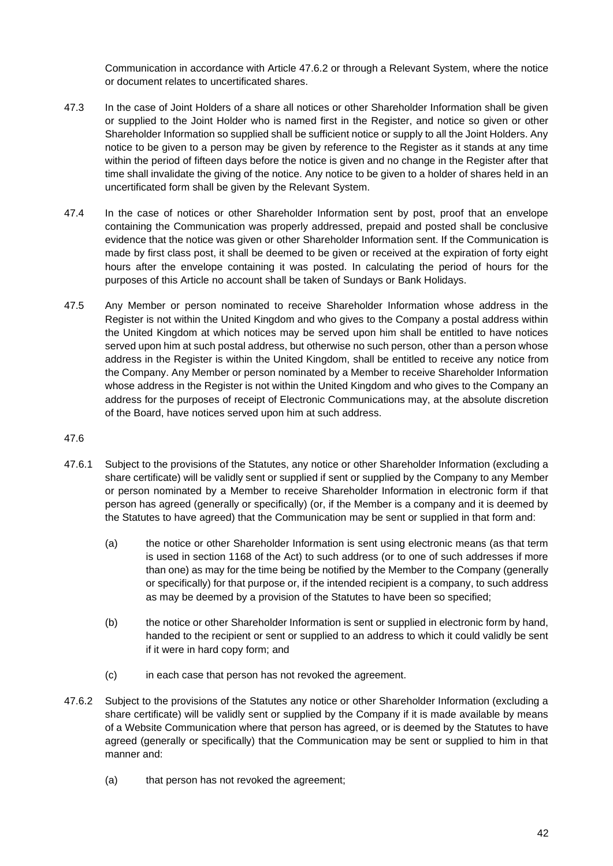Communication in accordance with Article [47.6.2](#page-44-1) or through a Relevant System, where the notice or document relates to uncertificated shares.

- 47.3 In the case of Joint Holders of a share all notices or other Shareholder Information shall be given or supplied to the Joint Holder who is named first in the Register, and notice so given or other Shareholder Information so supplied shall be sufficient notice or supply to all the Joint Holders. Any notice to be given to a person may be given by reference to the Register as it stands at any time within the period of fifteen days before the notice is given and no change in the Register after that time shall invalidate the giving of the notice. Any notice to be given to a holder of shares held in an uncertificated form shall be given by the Relevant System.
- 47.4 In the case of notices or other Shareholder Information sent by post, proof that an envelope containing the Communication was properly addressed, prepaid and posted shall be conclusive evidence that the notice was given or other Shareholder Information sent. If the Communication is made by first class post, it shall be deemed to be given or received at the expiration of forty eight hours after the envelope containing it was posted. In calculating the period of hours for the purposes of this Article no account shall be taken of Sundays or Bank Holidays.
- 47.5 Any Member or person nominated to receive Shareholder Information whose address in the Register is not within the United Kingdom and who gives to the Company a postal address within the United Kingdom at which notices may be served upon him shall be entitled to have notices served upon him at such postal address, but otherwise no such person, other than a person whose address in the Register is within the United Kingdom, shall be entitled to receive any notice from the Company. Any Member or person nominated by a Member to receive Shareholder Information whose address in the Register is not within the United Kingdom and who gives to the Company an address for the purposes of receipt of Electronic Communications may, at the absolute discretion of the Board, have notices served upon him at such address.

- <span id="page-44-2"></span><span id="page-44-0"></span>47.6.1 Subject to the provisions of the Statutes, any notice or other Shareholder Information (excluding a share certificate) will be validly sent or supplied if sent or supplied by the Company to any Member or person nominated by a Member to receive Shareholder Information in electronic form if that person has agreed (generally or specifically) (or, if the Member is a company and it is deemed by the Statutes to have agreed) that the Communication may be sent or supplied in that form and:
	- (a) the notice or other Shareholder Information is sent using electronic means (as that term is used in section 1168 of the Act) to such address (or to one of such addresses if more than one) as may for the time being be notified by the Member to the Company (generally or specifically) for that purpose or, if the intended recipient is a company, to such address as may be deemed by a provision of the Statutes to have been so specified;
	- (b) the notice or other Shareholder Information is sent or supplied in electronic form by hand, handed to the recipient or sent or supplied to an address to which it could validly be sent if it were in hard copy form; and
	- (c) in each case that person has not revoked the agreement.
- <span id="page-44-1"></span>47.6.2 Subject to the provisions of the Statutes any notice or other Shareholder Information (excluding a share certificate) will be validly sent or supplied by the Company if it is made available by means of a Website Communication where that person has agreed, or is deemed by the Statutes to have agreed (generally or specifically) that the Communication may be sent or supplied to him in that manner and:
	- (a) that person has not revoked the agreement;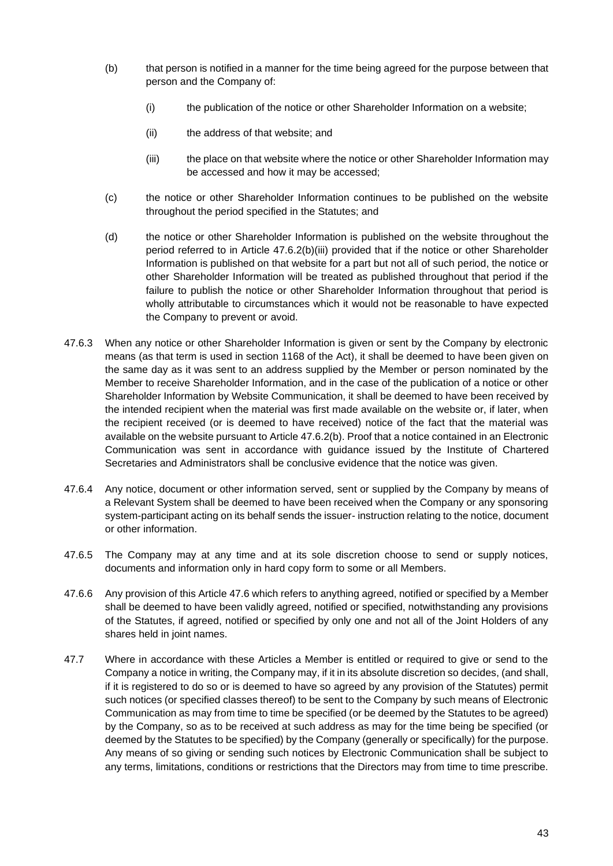- <span id="page-45-1"></span>(b) that person is notified in a manner for the time being agreed for the purpose between that person and the Company of:
	- (i) the publication of the notice or other Shareholder Information on a website;
	- (ii) the address of that website; and
	- (iii) the place on that website where the notice or other Shareholder Information may be accessed and how it may be accessed;
- <span id="page-45-0"></span>(c) the notice or other Shareholder Information continues to be published on the website throughout the period specified in the Statutes; and
- (d) the notice or other Shareholder Information is published on the website throughout the period referred to in Article [47.6.2\(b\)\(iii\)](#page-45-0) provided that if the notice or other Shareholder Information is published on that website for a part but not all of such period, the notice or other Shareholder Information will be treated as published throughout that period if the failure to publish the notice or other Shareholder Information throughout that period is wholly attributable to circumstances which it would not be reasonable to have expected the Company to prevent or avoid.
- 47.6.3 When any notice or other Shareholder Information is given or sent by the Company by electronic means (as that term is used in section 1168 of the Act), it shall be deemed to have been given on the same day as it was sent to an address supplied by the Member or person nominated by the Member to receive Shareholder Information, and in the case of the publication of a notice or other Shareholder Information by Website Communication, it shall be deemed to have been received by the intended recipient when the material was first made available on the website or, if later, when the recipient received (or is deemed to have received) notice of the fact that the material was available on the website pursuant to Article [47.6.2\(b\).](#page-45-1) Proof that a notice contained in an Electronic Communication was sent in accordance with guidance issued by the Institute of Chartered Secretaries and Administrators shall be conclusive evidence that the notice was given.
- 47.6.4 Any notice, document or other information served, sent or supplied by the Company by means of a Relevant System shall be deemed to have been received when the Company or any sponsoring system-participant acting on its behalf sends the issuer- instruction relating to the notice, document or other information.
- 47.6.5 The Company may at any time and at its sole discretion choose to send or supply notices, documents and information only in hard copy form to some or all Members.
- 47.6.6 Any provision of this Article [47.6](#page-44-2) which refers to anything agreed, notified or specified by a Member shall be deemed to have been validly agreed, notified or specified, notwithstanding any provisions of the Statutes, if agreed, notified or specified by only one and not all of the Joint Holders of any shares held in joint names.
- 47.7 Where in accordance with these Articles a Member is entitled or required to give or send to the Company a notice in writing, the Company may, if it in its absolute discretion so decides, (and shall, if it is registered to do so or is deemed to have so agreed by any provision of the Statutes) permit such notices (or specified classes thereof) to be sent to the Company by such means of Electronic Communication as may from time to time be specified (or be deemed by the Statutes to be agreed) by the Company, so as to be received at such address as may for the time being be specified (or deemed by the Statutes to be specified) by the Company (generally or specifically) for the purpose. Any means of so giving or sending such notices by Electronic Communication shall be subject to any terms, limitations, conditions or restrictions that the Directors may from time to time prescribe.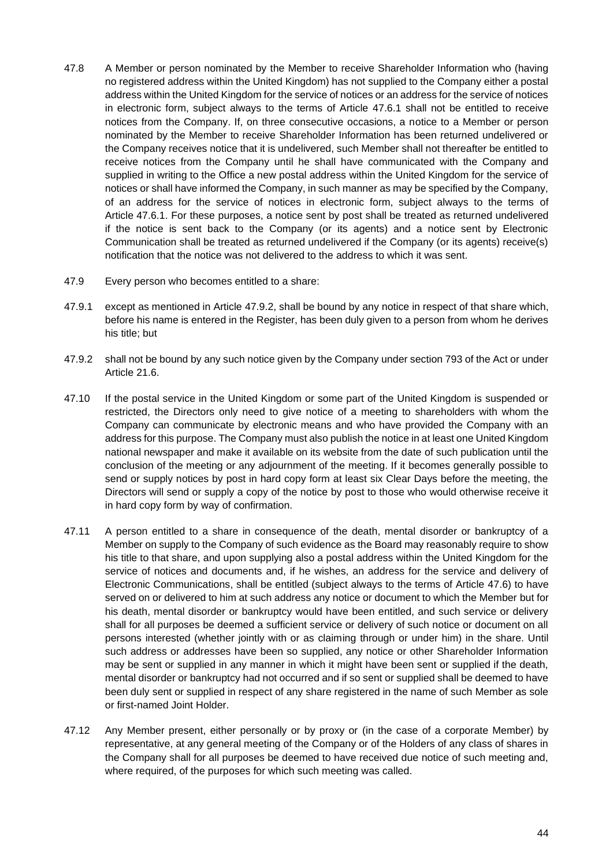- 47.8 A Member or person nominated by the Member to receive Shareholder Information who (having no registered address within the United Kingdom) has not supplied to the Company either a postal address within the United Kingdom for the service of notices or an address for the service of notices in electronic form, subject always to the terms of Article [47.6.1](#page-44-0) shall not be entitled to receive notices from the Company. If, on three consecutive occasions, a notice to a Member or person nominated by the Member to receive Shareholder Information has been returned undelivered or the Company receives notice that it is undelivered, such Member shall not thereafter be entitled to receive notices from the Company until he shall have communicated with the Company and supplied in writing to the Office a new postal address within the United Kingdom for the service of notices or shall have informed the Company, in such manner as may be specified by the Company, of an address for the service of notices in electronic form, subject always to the terms of Article [47.6.1.](#page-44-0) For these purposes, a notice sent by post shall be treated as returned undelivered if the notice is sent back to the Company (or its agents) and a notice sent by Electronic Communication shall be treated as returned undelivered if the Company (or its agents) receive(s) notification that the notice was not delivered to the address to which it was sent.
- 47.9 Every person who becomes entitled to a share:
- 47.9.1 except as mentioned in Article [47.9.2,](#page-46-0) shall be bound by any notice in respect of that share which, before his name is entered in the Register, has been duly given to a person from whom he derives his title; but
- <span id="page-46-0"></span>47.9.2 shall not be bound by any such notice given by the Company under section 793 of the Act or under Article [21.6.](#page-21-1)
- 47.10 If the postal service in the United Kingdom or some part of the United Kingdom is suspended or restricted, the Directors only need to give notice of a meeting to shareholders with whom the Company can communicate by electronic means and who have provided the Company with an address for this purpose. The Company must also publish the notice in at least one United Kingdom national newspaper and make it available on its website from the date of such publication until the conclusion of the meeting or any adjournment of the meeting. If it becomes generally possible to send or supply notices by post in hard copy form at least six Clear Days before the meeting, the Directors will send or supply a copy of the notice by post to those who would otherwise receive it in hard copy form by way of confirmation.
- 47.11 A person entitled to a share in consequence of the death, mental disorder or bankruptcy of a Member on supply to the Company of such evidence as the Board may reasonably require to show his title to that share, and upon supplying also a postal address within the United Kingdom for the service of notices and documents and, if he wishes, an address for the service and delivery of Electronic Communications, shall be entitled (subject always to the terms of Article [47.6\)](#page-44-2) to have served on or delivered to him at such address any notice or document to which the Member but for his death, mental disorder or bankruptcy would have been entitled, and such service or delivery shall for all purposes be deemed a sufficient service or delivery of such notice or document on all persons interested (whether jointly with or as claiming through or under him) in the share. Until such address or addresses have been so supplied, any notice or other Shareholder Information may be sent or supplied in any manner in which it might have been sent or supplied if the death, mental disorder or bankruptcy had not occurred and if so sent or supplied shall be deemed to have been duly sent or supplied in respect of any share registered in the name of such Member as sole or first-named Joint Holder.
- 47.12 Any Member present, either personally or by proxy or (in the case of a corporate Member) by representative, at any general meeting of the Company or of the Holders of any class of shares in the Company shall for all purposes be deemed to have received due notice of such meeting and, where required, of the purposes for which such meeting was called.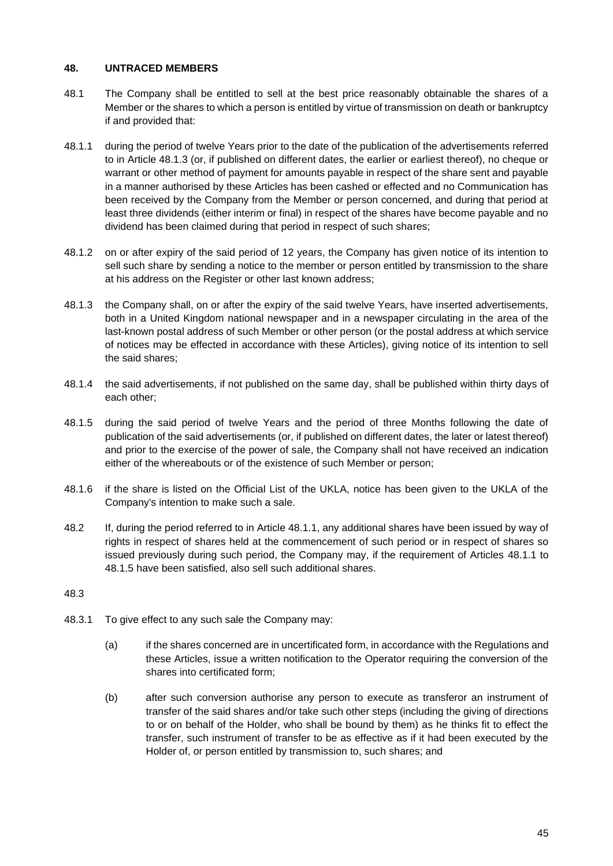#### **48. UNTRACED MEMBERS**

- 48.1 The Company shall be entitled to sell at the best price reasonably obtainable the shares of a Member or the shares to which a person is entitled by virtue of transmission on death or bankruptcy if and provided that:
- <span id="page-47-1"></span>48.1.1 during the period of twelve Years prior to the date of the publication of the advertisements referred to in Article [48.1.3](#page-47-0) (or, if published on different dates, the earlier or earliest thereof), no cheque or warrant or other method of payment for amounts payable in respect of the share sent and payable in a manner authorised by these Articles has been cashed or effected and no Communication has been received by the Company from the Member or person concerned, and during that period at least three dividends (either interim or final) in respect of the shares have become payable and no dividend has been claimed during that period in respect of such shares;
- 48.1.2 on or after expiry of the said period of 12 years, the Company has given notice of its intention to sell such share by sending a notice to the member or person entitled by transmission to the share at his address on the Register or other last known address;
- <span id="page-47-0"></span>48.1.3 the Company shall, on or after the expiry of the said twelve Years, have inserted advertisements, both in a United Kingdom national newspaper and in a newspaper circulating in the area of the last-known postal address of such Member or other person (or the postal address at which service of notices may be effected in accordance with these Articles), giving notice of its intention to sell the said shares;
- 48.1.4 the said advertisements, if not published on the same day, shall be published within thirty days of each other;
- <span id="page-47-2"></span>48.1.5 during the said period of twelve Years and the period of three Months following the date of publication of the said advertisements (or, if published on different dates, the later or latest thereof) and prior to the exercise of the power of sale, the Company shall not have received an indication either of the whereabouts or of the existence of such Member or person;
- 48.1.6 if the share is listed on the Official List of the UKLA, notice has been given to the UKLA of the Company's intention to make such a sale.
- 48.2 If, during the period referred to in Article [48.1.1,](#page-47-1) any additional shares have been issued by way of rights in respect of shares held at the commencement of such period or in respect of shares so issued previously during such period, the Company may, if the requirement of Articles [48.1.1](#page-47-1) to [48.1.5](#page-47-2) have been satisfied, also sell such additional shares.

- 48.3.1 To give effect to any such sale the Company may:
	- (a) if the shares concerned are in uncertificated form, in accordance with the Regulations and these Articles, issue a written notification to the Operator requiring the conversion of the shares into certificated form;
	- (b) after such conversion authorise any person to execute as transferor an instrument of transfer of the said shares and/or take such other steps (including the giving of directions to or on behalf of the Holder, who shall be bound by them) as he thinks fit to effect the transfer, such instrument of transfer to be as effective as if it had been executed by the Holder of, or person entitled by transmission to, such shares; and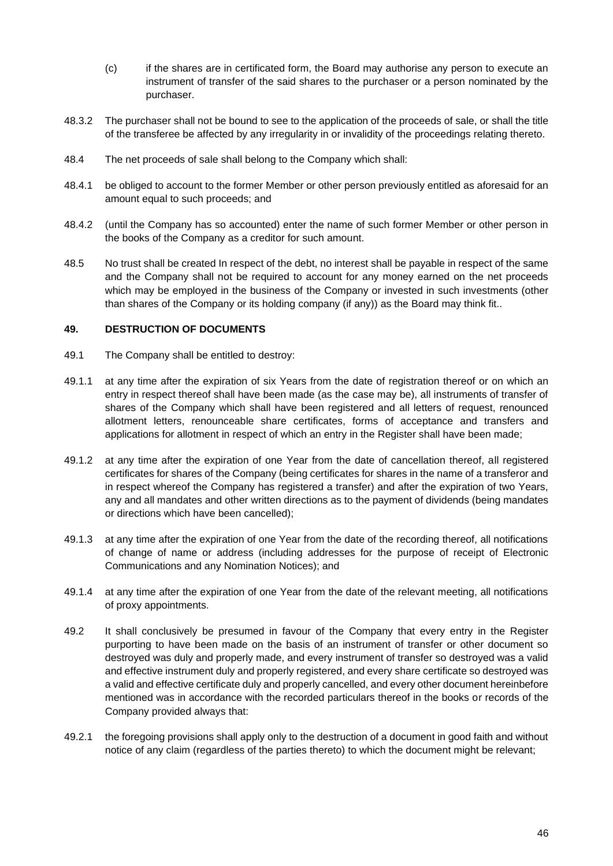- (c) if the shares are in certificated form, the Board may authorise any person to execute an instrument of transfer of the said shares to the purchaser or a person nominated by the purchaser.
- 48.3.2 The purchaser shall not be bound to see to the application of the proceeds of sale, or shall the title of the transferee be affected by any irregularity in or invalidity of the proceedings relating thereto.
- 48.4 The net proceeds of sale shall belong to the Company which shall:
- 48.4.1 be obliged to account to the former Member or other person previously entitled as aforesaid for an amount equal to such proceeds; and
- 48.4.2 (until the Company has so accounted) enter the name of such former Member or other person in the books of the Company as a creditor for such amount.
- 48.5 No trust shall be created In respect of the debt, no interest shall be payable in respect of the same and the Company shall not be required to account for any money earned on the net proceeds which may be employed in the business of the Company or invested in such investments (other than shares of the Company or its holding company (if any)) as the Board may think fit..

#### <span id="page-48-0"></span>**49. DESTRUCTION OF DOCUMENTS**

- <span id="page-48-1"></span>49.1 The Company shall be entitled to destroy:
- 49.1.1 at any time after the expiration of six Years from the date of registration thereof or on which an entry in respect thereof shall have been made (as the case may be), all instruments of transfer of shares of the Company which shall have been registered and all letters of request, renounced allotment letters, renounceable share certificates, forms of acceptance and transfers and applications for allotment in respect of which an entry in the Register shall have been made;
- <span id="page-48-2"></span>49.1.2 at any time after the expiration of one Year from the date of cancellation thereof, all registered certificates for shares of the Company (being certificates for shares in the name of a transferor and in respect whereof the Company has registered a transfer) and after the expiration of two Years, any and all mandates and other written directions as to the payment of dividends (being mandates or directions which have been cancelled);
- <span id="page-48-3"></span>49.1.3 at any time after the expiration of one Year from the date of the recording thereof, all notifications of change of name or address (including addresses for the purpose of receipt of Electronic Communications and any Nomination Notices); and
- 49.1.4 at any time after the expiration of one Year from the date of the relevant meeting, all notifications of proxy appointments.
- 49.2 It shall conclusively be presumed in favour of the Company that every entry in the Register purporting to have been made on the basis of an instrument of transfer or other document so destroyed was duly and properly made, and every instrument of transfer so destroyed was a valid and effective instrument duly and properly registered, and every share certificate so destroyed was a valid and effective certificate duly and properly cancelled, and every other document hereinbefore mentioned was in accordance with the recorded particulars thereof in the books or records of the Company provided always that:
- 49.2.1 the foregoing provisions shall apply only to the destruction of a document in good faith and without notice of any claim (regardless of the parties thereto) to which the document might be relevant;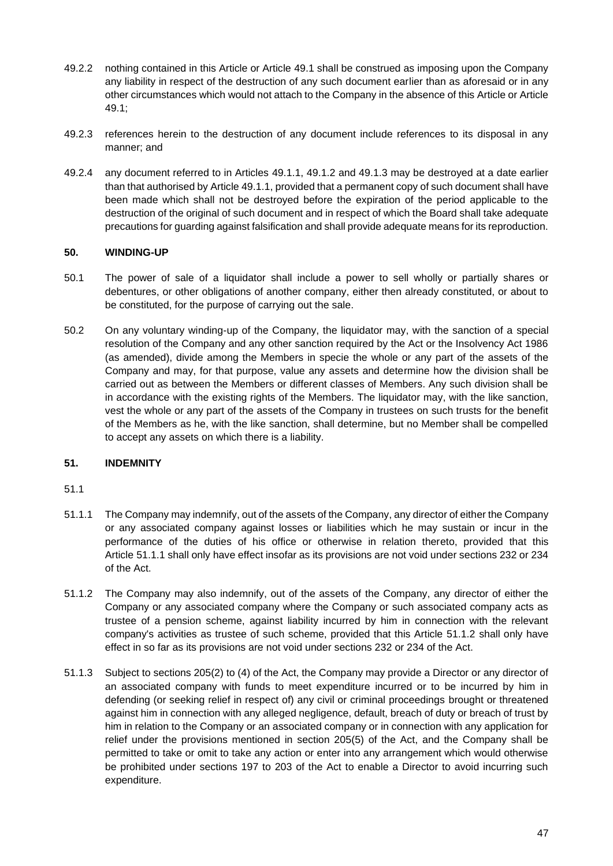- 49.2.2 nothing contained in this Article or Article [49.1](#page-48-0) shall be construed as imposing upon the Company any liability in respect of the destruction of any such document earlier than as aforesaid or in any other circumstances which would not attach to the Company in the absence of this Article or Article [49.1;](#page-48-0)
- 49.2.3 references herein to the destruction of any document include references to its disposal in any manner; and
- 49.2.4 any document referred to in Articles [49.1.1,](#page-48-1) [49.1.2](#page-48-2) and [49.1.3](#page-48-3) may be destroyed at a date earlier than that authorised by Articl[e 49.1.1,](#page-48-1) provided that a permanent copy of such document shall have been made which shall not be destroyed before the expiration of the period applicable to the destruction of the original of such document and in respect of which the Board shall take adequate precautions for guarding against falsification and shall provide adequate means for its reproduction.

### **50. WINDING-UP**

- 50.1 The power of sale of a liquidator shall include a power to sell wholly or partially shares or debentures, or other obligations of another company, either then already constituted, or about to be constituted, for the purpose of carrying out the sale.
- 50.2 On any voluntary winding-up of the Company, the liquidator may, with the sanction of a special resolution of the Company and any other sanction required by the Act or the Insolvency Act 1986 (as amended), divide among the Members in specie the whole or any part of the assets of the Company and may, for that purpose, value any assets and determine how the division shall be carried out as between the Members or different classes of Members. Any such division shall be in accordance with the existing rights of the Members. The liquidator may, with the like sanction, vest the whole or any part of the assets of the Company in trustees on such trusts for the benefit of the Members as he, with the like sanction, shall determine, but no Member shall be compelled to accept any assets on which there is a liability.

# **51. INDEMNITY**

- <span id="page-49-0"></span>51.1.1 The Company may indemnify, out of the assets of the Company, any director of either the Company or any associated company against losses or liabilities which he may sustain or incur in the performance of the duties of his office or otherwise in relation thereto, provided that this Article [51.1.1](#page-49-0) shall only have effect insofar as its provisions are not void under sections 232 or 234 of the Act.
- <span id="page-49-1"></span>51.1.2 The Company may also indemnify, out of the assets of the Company, any director of either the Company or any associated company where the Company or such associated company acts as trustee of a pension scheme, against liability incurred by him in connection with the relevant company's activities as trustee of such scheme, provided that this Article [51.1.2](#page-49-1) shall only have effect in so far as its provisions are not void under sections 232 or 234 of the Act.
- 51.1.3 Subject to sections 205(2) to (4) of the Act, the Company may provide a Director or any director of an associated company with funds to meet expenditure incurred or to be incurred by him in defending (or seeking relief in respect of) any civil or criminal proceedings brought or threatened against him in connection with any alleged negligence, default, breach of duty or breach of trust by him in relation to the Company or an associated company or in connection with any application for relief under the provisions mentioned in section 205(5) of the Act, and the Company shall be permitted to take or omit to take any action or enter into any arrangement which would otherwise be prohibited under sections 197 to 203 of the Act to enable a Director to avoid incurring such expenditure.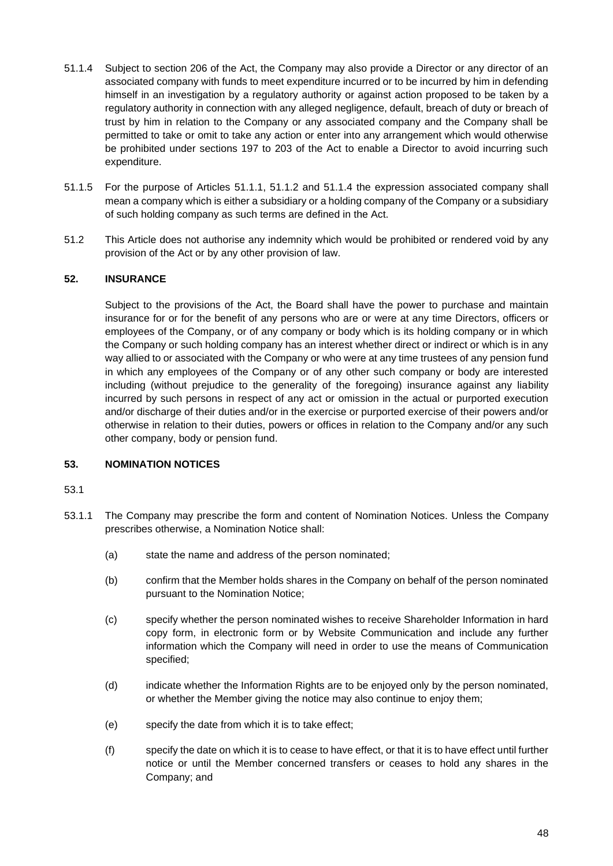- <span id="page-50-1"></span>51.1.4 Subject to section 206 of the Act, the Company may also provide a Director or any director of an associated company with funds to meet expenditure incurred or to be incurred by him in defending himself in an investigation by a regulatory authority or against action proposed to be taken by a regulatory authority in connection with any alleged negligence, default, breach of duty or breach of trust by him in relation to the Company or any associated company and the Company shall be permitted to take or omit to take any action or enter into any arrangement which would otherwise be prohibited under sections 197 to 203 of the Act to enable a Director to avoid incurring such expenditure.
- 51.1.5 For the purpose of Articles [51.1.1,](#page-49-0) [51.1.2](#page-49-1) and [51.1.4](#page-50-1) the expression associated company shall mean a company which is either a subsidiary or a holding company of the Company or a subsidiary of such holding company as such terms are defined in the Act.
- 51.2 This Article does not authorise any indemnity which would be prohibited or rendered void by any provision of the Act or by any other provision of law.

### <span id="page-50-0"></span>**52. INSURANCE**

Subject to the provisions of the Act, the Board shall have the power to purchase and maintain insurance for or for the benefit of any persons who are or were at any time Directors, officers or employees of the Company, or of any company or body which is its holding company or in which the Company or such holding company has an interest whether direct or indirect or which is in any way allied to or associated with the Company or who were at any time trustees of any pension fund in which any employees of the Company or of any other such company or body are interested including (without prejudice to the generality of the foregoing) insurance against any liability incurred by such persons in respect of any act or omission in the actual or purported execution and/or discharge of their duties and/or in the exercise or purported exercise of their powers and/or otherwise in relation to their duties, powers or offices in relation to the Company and/or any such other company, body or pension fund.

#### **53. NOMINATION NOTICES**

- 53.1.1 The Company may prescribe the form and content of Nomination Notices. Unless the Company prescribes otherwise, a Nomination Notice shall:
	- (a) state the name and address of the person nominated;
	- (b) confirm that the Member holds shares in the Company on behalf of the person nominated pursuant to the Nomination Notice;
	- (c) specify whether the person nominated wishes to receive Shareholder Information in hard copy form, in electronic form or by Website Communication and include any further information which the Company will need in order to use the means of Communication specified;
	- (d) indicate whether the Information Rights are to be enjoyed only by the person nominated, or whether the Member giving the notice may also continue to enjoy them;
	- (e) specify the date from which it is to take effect;
	- (f) specify the date on which it is to cease to have effect, or that it is to have effect until further notice or until the Member concerned transfers or ceases to hold any shares in the Company; and